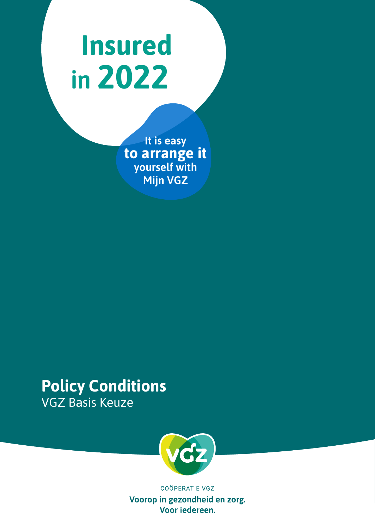# **Insured in 2022**

**It is easy to arrange it yourself with Mijn VGZ**

## **Policy Conditions** VGZ Basis Keuze



**COÖPERATIE VGZ** Voorop in gezondheid en zorg. Voor iedereen.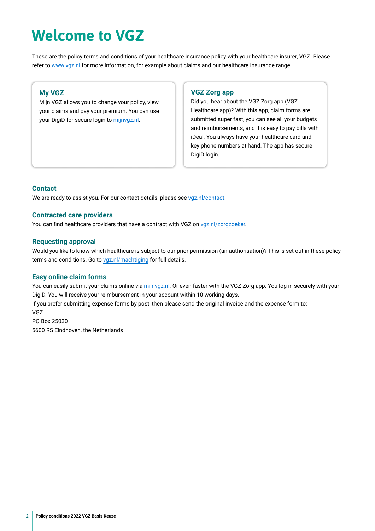## **Welcome to VGZ**

These are the policy terms and conditions of your healthcare insurance policy with your healthcare insurer, VGZ. Please refer to [www.vgz.nl](https://www.vgz.nl) for more information, for example about claims and our healthcare insurance range.

### **My VGZ**

Mijn VGZ allows you to change your policy, view your claims and pay your premium. You can use your DigiD for secure login to [mijnvgz.nl](https://www.vgz.nl/inloggen).

### **VGZ Zorg app**

Did you hear about the VGZ Zorg app (VGZ Healthcare app)? With this app, claim forms are submitted super fast, you can see all your budgets [and reimbursements, and it is easy to pay bills with](https://www.nza.nl)  iDeal. You always have your healthcare card and key phone numbers at hand. The app has secure DigiD login.

### **Contact**

We are ready to assist you. For our contact details, please see [vgz.nl/contact](https://www.vgz.nl/contact).

### **Contracted care providers**

You can find healthcare providers that have a contract with VGZ on [vgz.nl/zorgzoeker](https://www.vgz.nl/zorgzoeker).

### **Requesting approval**

Would you like to know which healthcare is subject to our prior permission (an authorisation)? This is set out in these policy terms and conditions. Go to [vgz.nl/machtiging](http://vgz.nl/machtiging) for full details.

### **Easy online claim forms**

You can easily submit your claims online via [mijnvgz.nl](https://www.vgz.nl/inloggen). Or even faster with the VGZ Zorg app. You log in securely with your DigiD. You will receive your reimbursement in your account within 10 working days. If you prefer submitting expense forms by post, then please send the original invoice and the expense form to: VGZ PO Box 25030 5600 RS Eindhoven, the Netherlands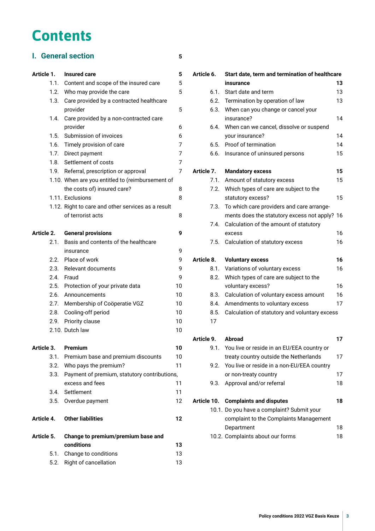## **Contents**

### **I. [General section](#page-4-0) 5**

### **Article 1. [Insured care](#page-4-0) 5**

| Article 5. |      | Change to premium/premium base and<br>conditione   | 13 |
|------------|------|----------------------------------------------------|----|
| Article 4. |      | <b>Other liabilities</b>                           | 12 |
|            |      | 3.5. Overdue payment                               | 12 |
|            | 3.4. | Settlement                                         | 11 |
|            |      | excess and fees                                    | 11 |
|            | 3.3. | Payment of premium, statutory contributions,       |    |
|            |      | 3.2. Who pays the premium?                         | 11 |
|            | 3.1. | Premium base and premium discounts                 | 10 |
| Article 3. |      | <b>Premium</b>                                     | 10 |
|            |      | 2.10. Dutch law                                    | 10 |
|            | 2.9. | Priority clause                                    | 10 |
|            | 2.8. | Cooling-off period                                 | 10 |
|            |      | 2.7. Membership of Coöperatie VGZ                  | 10 |
|            | 2.6. | Announcements                                      | 10 |
|            |      | 2.5. Protection of your private data               | 10 |
|            | 2.4. | Fraud                                              | 9  |
|            | 2.3. | Relevant documents                                 | 9  |
|            |      | 2.2. Place of work                                 | 9  |
|            |      | insurance                                          | 9  |
|            | 2.1. | Basis and contents of the healthcare               |    |
| Article 2. |      | <b>General provisions</b>                          | 9  |
|            |      | of terrorist acts                                  | 8  |
|            |      | 1.12. Right to care and other services as a result |    |
|            |      | 1.11. Exclusions                                   | 8  |
|            |      | the costs of) insured care?                        | 8  |
|            |      | 1.10. When are you entitled to (reimbursement of   |    |
|            | 1.9. | Referral, prescription or approval                 | 7  |
|            | 1.8. | Settlement of costs                                | 7  |
|            | 1.7. | Direct payment                                     | 7  |
|            | 1.6. | Timely provision of care                           | 7  |
|            | 1.5. | Submission of invoices                             | 6  |
|            |      | provider                                           | 6  |
|            | 1.4. | provider<br>Care provided by a non-contracted care |    |
|            | 1.3. | Care provided by a contracted healthcare           | 5  |
|            |      | 1.2. Who may provide the care                      | 5  |
|            |      | 1.1. Content and scope of the insured care         | 5  |
|            |      |                                                    |    |

| conditions                 | 13 |
|----------------------------|----|
| 5.1. Change to conditions  | 13 |
| 5.2. Right of cancellation | 13 |

| Article 6. | Start date, term and termination of healthcare |    |  |  |
|------------|------------------------------------------------|----|--|--|
|            | insurance                                      | 13 |  |  |
| 6.1.       | Start date and term                            | 13 |  |  |
| 6.2.       | Termination by operation of law                | 13 |  |  |
| 6.3.       | When can you change or cancel your             |    |  |  |
|            | insurance?                                     | 14 |  |  |
| 6.4.       | When can we cancel, dissolve or suspend        |    |  |  |
|            | your insurance?                                | 14 |  |  |
| 6.5.       | Proof of termination                           | 14 |  |  |
| 6.6.       | Insurance of uninsured persons                 | 15 |  |  |
| Article 7. | <b>Mandatory excess</b>                        | 15 |  |  |
| 7.1.       | Amount of statutory excess                     | 15 |  |  |
| 7.2.       | Which types of care are subject to the         |    |  |  |
|            | statutory excess?                              | 15 |  |  |
| 7.3.       | To which care providers and care arrange-      |    |  |  |
|            | ments does the statutory excess not apply? 16  |    |  |  |
| 7.4.       | Calculation of the amount of statutory         |    |  |  |
|            | excess                                         | 16 |  |  |
| 7.5.       | Calculation of statutory excess                | 16 |  |  |
| Article 8. | <b>Voluntary excess</b>                        | 16 |  |  |
| 8.1.       | Variations of voluntary excess                 | 16 |  |  |
| 8.2.       | Which types of care are subject to the         |    |  |  |
|            | voluntary excess?                              | 16 |  |  |
| 8.3.       | Calculation of voluntary excess amount         | 16 |  |  |
| 8.4.       | Amendments to voluntary excess                 | 17 |  |  |
| 8.5.       | Calculation of statutory and voluntary excess  |    |  |  |
| 17         |                                                |    |  |  |
| Article 9. | Abroad                                         | 17 |  |  |

| Article 9. | Abroad                                          |    |
|------------|-------------------------------------------------|----|
|            | 9.1. You live or reside in an EU/EEA country or |    |
|            | treaty country outside the Netherlands          | 17 |
|            | 9.2. You live or reside in a non-EU/EEA country |    |
|            | or non-treaty country                           | 17 |
|            | 9.3. Approval and/or referral                   | 18 |
|            |                                                 |    |
|            | Article 10. Complaints and disputes             | 18 |
|            | 10.1. Do you have a complaint? Submit your      |    |
|            | complaint to the Complaints Management          |    |
|            |                                                 |    |

[Department](#page-17-0) 18 10.2. [Complaints about our forms](#page-17-0) 18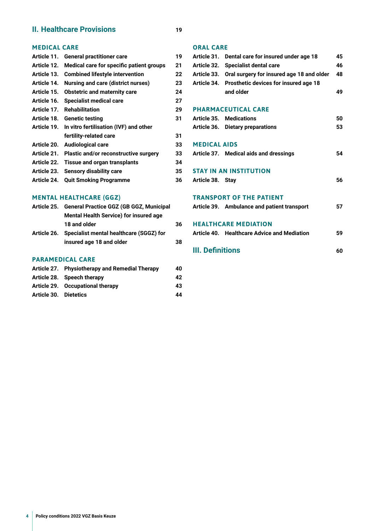### **II. [Healthcare Provisions](#page-18-0) 19**

### **[MEDICAL CARE](#page-18-0)**

| Article 11. | <b>General practitioner care</b>             | 19 |
|-------------|----------------------------------------------|----|
| Article 12. | Medical care for specific patient groups     | 21 |
| Article 13. | <b>Combined lifestyle intervention</b>       | 22 |
| Article 14. | <b>Nursing and care (district nurses)</b>    | 23 |
| Article 15. | <b>Obstetric and maternity care</b>          | 24 |
| Article 16. | <b>Specialist medical care</b>               | 27 |
| Article 17. | <b>Rehabilitation</b>                        | 29 |
| Article 18. | <b>Genetic testing</b>                       | 31 |
| Article 19. | In vitro fertilisation (IVF) and other       |    |
|             | fertility-related care                       | 31 |
| Article 20. | <b>Audiological care</b>                     | 33 |
| Article 21. | <b>Plastic and/or reconstructive surgery</b> | 33 |
| Article 22. | <b>Tissue and organ transplants</b>          | 34 |
| Article 23. | <b>Sensory disability care</b>               | 35 |
| Article 24. | <b>Quit Smoking Programme</b>                | 36 |
|             |                                              |    |

### **[MENTAL HEALTHCARE \(GGZ\)](#page-35-0)**

| Article 25. General Practice GGZ (GB GGZ, Municipal |    |  |
|-----------------------------------------------------|----|--|
| <b>Mental Health Service) for insured age</b>       |    |  |
| 18 and older                                        | 36 |  |
| Article 26. Specialist mental healthcare (SGGZ) for |    |  |
| insured age 18 and older                            | 38 |  |
|                                                     |    |  |

### **[PARAMEDICAL CARE](#page-39-0)**

|                       | Article 27. Physiotherapy and Remedial Therapy |    |
|-----------------------|------------------------------------------------|----|
|                       | Article 28. Speech therapy                     | 42 |
|                       | Article 29. Occupational therapy               | 43 |
| Article 30. Dietetics |                                                | 44 |

### **[ORAL CARE](#page-44-0)**

|                     | Article 31. Dental care for insured under age 18 | 45 |
|---------------------|--------------------------------------------------|----|
|                     | Article 32. Specialist dental care               | 46 |
| Article 33.         | Oral surgery for insured age 18 and older        | 48 |
| Article 34.         | Prosthetic devices for insured age 18            |    |
|                     | and older                                        | 49 |
|                     |                                                  |    |
|                     | <b>PHARMACEUTICAL CARE</b>                       |    |
|                     | <b>Article 35. Medications</b>                   | 50 |
|                     | Article 36. Dietary preparations                 | 53 |
|                     |                                                  |    |
| <b>MEDICAL AIDS</b> |                                                  |    |
|                     | Article 37. Medical aids and dressings           | 54 |
|                     |                                                  |    |
|                     | <b>STAY IN AN INSTITUTION</b>                    |    |
| Article 38. Stay    |                                                  | 56 |
|                     |                                                  |    |
|                     | <b>TRANSPORT OF THE PATIENT</b>                  |    |
|                     | Article 39. Ambulance and patient transport      | 57 |
|                     |                                                  |    |
|                     | <b>HEALTHCARE MEDIATION</b>                      |    |
|                     | Article 40. Healthcare Advice and Mediation      | 59 |
|                     |                                                  |    |

**[III. Defnitions](#page-59-0) 60**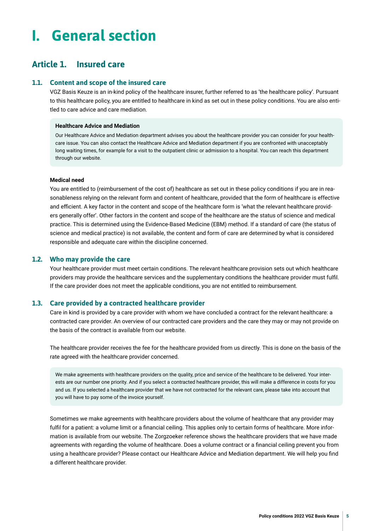## <span id="page-4-0"></span>**I. General section**

### **Article 1. Insured care**

### **1.1. Content and scope of the insured care**

VGZ Basis Keuze is an in-kind policy of the healthcare insurer, further referred to as 'the healthcare policy'. Pursuant to this healthcare policy, you are entitled to healthcare in kind as set out in these policy conditions. You are also entitled to care advice and care mediation.

### **Healthcare Advice and Mediation**

Our Healthcare Advice and Mediation department advises you about the healthcare provider you can consider for your healthcare issue. You can also contact the Healthcare Advice and Mediation department if you are confronted with unacceptably long waiting times, for example for a visit to the outpatient clinic or admission to a hospital. You can reach this department through our website.

#### **Medical need**

You are entitled to (reimbursement of the cost of) healthcare as set out in these policy conditions if you are in reasonableness relying on the relevant form and content of healthcare, provided that the form of healthcare is effective and efficient. A key factor in the content and scope of the healthcare form is 'what the relevant healthcare providers generally offer'. Other factors in the content and scope of the healthcare are the status of science and medical practice. This is determined using the Evidence-Based Medicine (EBM) method. If a standard of care (the status of science and medical practice) is not available, the content and form of care are determined by what is considered responsible and adequate care within the discipline concerned.

### **1.2. Who may provide the care**

Your healthcare provider must meet certain conditions. The relevant healthcare provision sets out which healthcare providers may provide the healthcare services and the supplementary conditions the healthcare provider must fulfl. If the care provider does not meet the applicable conditions, you are not entitled to reimbursement.

### **1.3. Care provided by a contracted healthcare provider**

Care in kind is provided by a care provider with whom we have concluded a contract for the relevant healthcare: a contracted care provider. An overview of our contracted care providers and the care they may or may not provide on the basis of the contract is available from our website.

The healthcare provider receives the fee for the healthcare provided from us directly. This is done on the basis of the rate agreed with the healthcare provider concerned.

We make agreements with healthcare providers on the quality, price and service of the healthcare to be delivered. Your interests are our number one priority. And if you select a contracted healthcare provider, this will make a difference in costs for you and us. If you selected a healthcare provider that we have not contracted for the relevant care, please take into account that you will have to pay some of the invoice yourself.

Sometimes we make agreements with healthcare providers about the volume of healthcare that any provider may fulfil for a patient: a volume limit or a financial ceiling. This applies only to certain forms of healthcare. More information is available from our website. The Zorgzoeker reference shows the healthcare providers that we have made agreements with regarding the volume of healthcare. Does a volume contract or a fnancial ceiling prevent you from using a healthcare provider? Please contact our Healthcare Advice and Mediation department. We will help you fnd a different healthcare provider.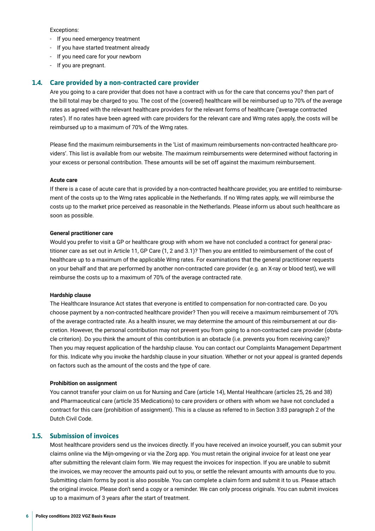<span id="page-5-0"></span>Exceptions:

- If you need emergency treatment
- If you have started treatment already
- If you need care for your newborn
- If you are pregnant.

### **1.4. Care provided by a non-contracted care provider**

Are you going to a care provider that does not have a contract with us for the care that concerns you? then part of the bill total may be charged to you. The cost of the (covered) healthcare will be reimbursed up to 70% of the average rates as agreed with the relevant healthcare providers for the relevant forms of healthcare ('average contracted rates'). If no rates have been agreed with care providers for the relevant care and Wmg rates apply, the costs will be reimbursed up to a maximum of 70% of the Wmg rates.

Please fnd the maximum reimbursements in the 'List of maximum reimbursements non-contracted healthcare providers'. This list is available from our website. The maximum reimbursements were determined without factoring in your excess or personal contribution. These amounts will be set off against the maximum reimbursement.

#### **Acute care**

If there is a case of acute care that is provided by a non-contracted healthcare provider, you are entitled to reimbursement of the costs up to the Wmg rates applicable in the Netherlands. If no Wmg rates apply, we will reimburse the costs up to the market price perceived as reasonable in the Netherlands. Please inform us about such healthcare as soon as possible.

#### **General practitioner care**

Would you prefer to visit a GP or healthcare group with whom we have not concluded a contract for general practitioner care as set out in Article 11, GP Care (1, 2 and 3.1)? Then you are entitled to reimbursement of the cost of healthcare up to a maximum of the applicable Wmg rates. For examinations that the general practitioner requests on your behalf and that are performed by another non-contracted care provider (e.g. an X-ray or blood test), we will reimburse the costs up to a maximum of 70% of the average contracted rate.

### **Hardship clause**

The Healthcare Insurance Act states that everyone is entitled to compensation for non-contracted care. Do you choose payment by a non-contracted healthcare provider? Then you will receive a maximum reimbursement of 70% of the average contracted rate. As a health insurer, we may determine the amount of this reimbursement at our discretion. However, the personal contribution may not prevent you from going to a non-contracted care provider (obstacle criterion). Do you think the amount of this contribution is an obstacle (i.e. prevents you from receiving care)? Then you may request application of the hardship clause. You can contact our Complaints Management Department for this. Indicate why you invoke the hardship clause in your situation. Whether or not your appeal is granted depends on factors such as the amount of the costs and the type of care.

### **Prohibition on assignment**

You cannot transfer your claim on us for Nursing and Care (article 14), Mental Healthcare (articles 25, 26 and 38) and Pharmaceutical care (article 35 Medications) to care providers or others with whom we have not concluded a contract for this care (prohibition of assignment). This is a clause as referred to in Section 3:83 paragraph 2 of the Dutch Civil Code.

### **1.5. Submission of invoices**

Most healthcare providers send us the invoices directly. If you have received an invoice yourself, you can submit your claims online via the Mijn-omgeving or via the Zorg app. You must retain the original invoice for at least one year after submitting the relevant claim form. We may request the invoices for inspection. If you are unable to submit the invoices, we may recover the amounts paid out to you, or settle the relevant amounts with amounts due to you. Submitting claim forms by post is also possible. You can complete a claim form and submit it to us. Please attach the original invoice. Please don't send a copy or a reminder. We can only process originals. You can submit invoices up to a maximum of 3 years after the start of treatment.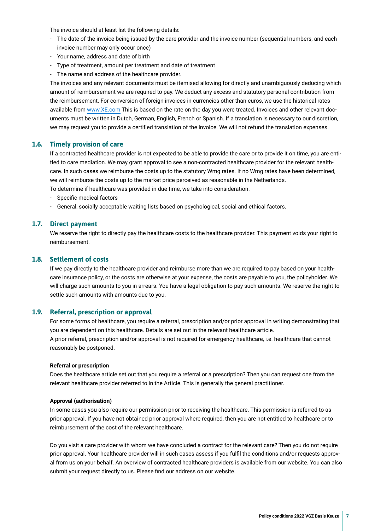<span id="page-6-0"></span>The invoice should at least list the following details:

- The date of the invoice being issued by the care provider and the invoice number (sequential numbers, and each invoice number may only occur once)
- Your name, address and date of birth
- Type of treatment, amount per treatment and date of treatment
- The name and address of the healthcare provider.

The invoices and any relevant documents must be itemised allowing for directly and unambiguously deducing which amount of reimbursement we are required to pay. We deduct any excess and statutory personal contribution from the reimbursement. For conversion of foreign invoices in currencies other than euros, we use the historical rates available from [www.XE.com](https://www.XE.com) This is based on the rate on the day you were treated. Invoices and other relevant documents must be written in Dutch, German, English, French or Spanish. If a translation is necessary to our discretion, we may request you to provide a certifed translation of the invoice. We will not refund the translation expenses.

### **1.6. Timely provision of care**

If a contracted healthcare provider is not expected to be able to provide the care or to provide it on time, you are entitled to care mediation. We may grant approval to see a non-contracted healthcare provider for the relevant healthcare. In such cases we reimburse the costs up to the statutory Wmg rates. If no Wmg rates have been determined, we will reimburse the costs up to the market price perceived as reasonable in the Netherlands.

To determine if healthcare was provided in due time, we take into consideration:

- Specifc medical factors
- General, socially acceptable waiting lists based on psychological, social and ethical factors.

### **1.7. Direct payment**

We reserve the right to directly pay the healthcare costs to the healthcare provider. This payment voids your right to reimbursement.

### **1.8. Settlement of costs**

If we pay directly to the healthcare provider and reimburse more than we are required to pay based on your healthcare insurance policy, or the costs are otherwise at your expense, the costs are payable to you, the policyholder. We will charge such amounts to you in arrears. You have a legal obligation to pay such amounts. We reserve the right to settle such amounts with amounts due to you.

### **1.9. Referral, prescription or approval**

For some forms of healthcare, you require a referral, prescription and/or prior approval in writing demonstrating that you are dependent on this healthcare. Details are set out in the relevant healthcare article. A prior referral, prescription and/or approval is not required for emergency healthcare, i.e. healthcare that cannot reasonably be postponed.

#### **Referral or prescription**

Does the healthcare article set out that you require a referral or a prescription? Then you can request one from the relevant healthcare provider referred to in the Article. This is generally the general practitioner.

#### **Approval (authorisation)**

In some cases you also require our permission prior to receiving the healthcare. This permission is referred to as prior approval. If you have not obtained prior approval where required, then you are not entitled to healthcare or to reimbursement of the cost of the relevant healthcare.

Do you visit a care provider with whom we have concluded a contract for the relevant care? Then you do not require prior approval. Your healthcare provider will in such cases assess if you fulfil the conditions and/or requests approval from us on your behalf. An overview of contracted healthcare providers is available from our website. You can also submit your request directly to us. Please fnd our address on our website.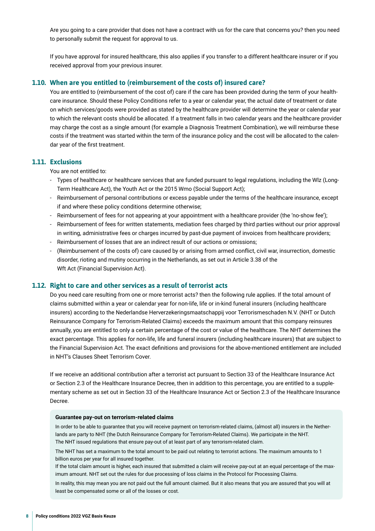<span id="page-7-0"></span>Are you going to a care provider that does not have a contract with us for the care that concerns you? then you need to personally submit the request for approval to us.

If you have approval for insured healthcare, this also applies if you transfer to a different healthcare insurer or if you received approval from your previous insurer.

### **1.10. When are you entitled to (reimbursement of the costs of) insured care?**

You are entitled to (reimbursement of the cost of) care if the care has been provided during the term of your healthcare insurance. Should these Policy Conditions refer to a year or calendar year, the actual date of treatment or date on which services/goods were provided as stated by the healthcare provider will determine the year or calendar year to which the relevant costs should be allocated. If a treatment falls in two calendar years and the healthcare provider may charge the cost as a single amount (for example a Diagnosis Treatment Combination), we will reimburse these costs if the treatment was started within the term of the insurance policy and the cost will be allocated to the calendar year of the frst treatment.

### **1.11. Exclusions**

You are not entitled to:

- Types of healthcare or healthcare services that are funded pursuant to legal regulations, including the Wlz (Long-Term Healthcare Act), the Youth Act or the 2015 Wmo (Social Support Act);
- Reimbursement of personal contributions or excess payable under the terms of the healthcare insurance, except if and where these policy conditions determine otherwise;
- Reimbursement of fees for not appearing at your appointment with a healthcare provider (the 'no-show fee');
- Reimbursement of fees for written statements, mediation fees charged by third parties without our prior approval in writing, administrative fees or charges incurred by past-due payment of invoices from healthcare providers;
- Reimbursement of losses that are an indirect result of our actions or omissions;
- (Reimbursement of the costs of) care caused by or arising from armed confict, civil war, insurrection, domestic disorder, rioting and mutiny occurring in the Netherlands, as set out in Article 3.38 of the Wft Act (Financial Supervision Act).

### **1.12. Right to care and other services as a result of terrorist acts**

Do you need care resulting from one or more terrorist acts? then the following rule applies. If the total amount of claims submitted within a year or calendar year for non-life, life or in-kind funeral insurers (including healthcare insurers) according to the Nederlandse Herverzekeringsmaatschappij voor Terrorismeschaden N.V. (NHT or Dutch Reinsurance Company for Terrorism-Related Claims) exceeds the maximum amount that this company reinsures annually, you are entitled to only a certain percentage of the cost or value of the healthcare. The NHT determines the exact percentage. This applies for non-life, life and funeral insurers (including healthcare insurers) that are subject to the Financial Supervision Act. The exact defnitions and provisions for the above-mentioned entitlement are included in NHT's Clauses Sheet Terrorism Cover.

If we receive an additional contribution after a terrorist act pursuant to Section 33 of the Healthcare Insurance Act or Section 2.3 of the Healthcare Insurance Decree, then in addition to this percentage, you are entitled to a supplementary scheme as set out in Section 33 of the Healthcare Insurance Act or Section 2.3 of the Healthcare Insurance Decree.

### **Guarantee pay-out on terrorism-related claims**

In order to be able to guarantee that you will receive payment on terrorism-related claims, (almost all) insurers in the Netherlands are party to NHT (the Dutch Reinsurance Company for Terrorism-Related Claims). We participate in the NHT. The NHT issued regulations that ensure pay-out of at least part of any terrorism-related claim.

The NHT has set a maximum to the total amount to be paid out relating to terrorist actions. The maximum amounts to 1 billion euros per year for all insured together.

If the total claim amount is higher, each insured that submitted a claim will receive pay-out at an equal percentage of the maximum amount. NHT set out the rules for due processing of loss claims in the Protocol for Processing Claims.

In reality, this may mean you are not paid out the full amount claimed. But it also means that you are assured that you will at least be compensated some or all of the losses or cost.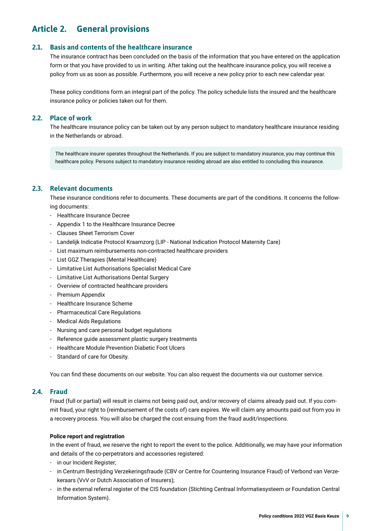### <span id="page-8-0"></span>**Article 2. General provisions**

### **2.1. Basis and contents of the healthcare insurance**

The insurance contract has been concluded on the basis of the information that you have entered on the application form or that you have provided to us in writing. After taking out the healthcare insurance policy, you will receive a policy from us as soon as possible. Furthermore, you will receive a new policy prior to each new calendar year.

These policy conditions form an integral part of the policy. The policy schedule lists the insured and the healthcare insurance policy or policies taken out for them.

### **2.2. Place of work**

The healthcare insurance policy can be taken out by any person subject to mandatory healthcare insurance residing in the Netherlands or abroad.

The healthcare insurer operates throughout the Netherlands. If you are subject to mandatory insurance, you may continue this healthcare policy. Persons subject to mandatory insurance residing abroad are also entitled to concluding this insurance.

### **2.3. Relevant documents**

These insurance conditions refer to documents. These documents are part of the conditions. It concerns the following documents:

- Healthcare Insurance Decree
- Appendix 1 to the Healthcare Insurance Decree
- Clauses Sheet Terrorism Cover
- Landelijk Indicatie Protocol Kraamzorg (LIP National Indication Protocol Maternity Care)
- List maximum reimbursements non-contracted healthcare providers
- List GGZ Therapies (Mental Healthcare)
- Limitative List Authorisations Specialist Medical Care
- Limitative List Authorisations Dental Surgery
- Overview of contracted healthcare providers
- Premium Appendix
- Healthcare Insurance Scheme
- Pharmaceutical Care Regulations
- Medical Aids Regulations
- Nursing and care personal budget regulations
- Reference guide assessment plastic surgery treatments
- Healthcare Module Prevention Diabetic Foot Ulcers
- Standard of care for Obesity.

You can fnd these documents on our website. You can also request the documents via our customer service.

### **2.4. Fraud**

Fraud (full or partial) will result in claims not being paid out, and/or recovery of claims already paid out. If you commit fraud, your right to (reimbursement of the costs of) care expires. We will claim any amounts paid out from you in a recovery process. You will also be charged the cost ensuing from the fraud audit/inspections.

### **Police report and registration**

In the event of fraud, we reserve the right to report the event to the police. Additionally, we may have your information and details of the co-perpetrators and accessories registered:

- in our Incident Register;
- in Centrum Bestrijding Verzekeringsfraude (CBV or Centre for Countering Insurance Fraud) of Verbond van Verzekeraars (VvV or Dutch Association of Insurers);
- in the external referral register of the CIS foundation (Stichting Centraal Informatiesysteem or Foundation Central Information System).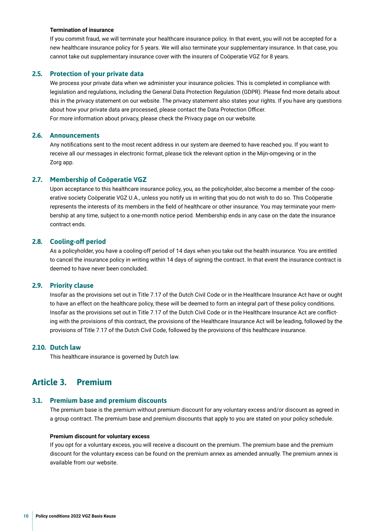### <span id="page-9-0"></span>**Termination of insurance**

If you commit fraud, we will terminate your healthcare insurance policy. In that event, you will not be accepted for a new healthcare insurance policy for 5 years. We will also terminate your supplementary insurance. In that case, you cannot take out supplementary insurance cover with the insurers of Coöperatie VGZ for 8 years.

### **2.5. Protection of your private data**

We process your private data when we administer your insurance policies. This is completed in compliance with legislation and regulations, including the General Data Protection Regulation (GDPR). Please fnd more details about this in the privacy statement on our website. The privacy statement also states your rights. If you have any questions about how your private data are processed, please contact the Data Protection Officer. For more information about privacy, please check the Privacy page on our website.

### **2.6. Announcements**

Any notifcations sent to the most recent address in our system are deemed to have reached you. If you want to receive all our messages in electronic format, please tick the relevant option in the Mijn-omgeving or in the Zorg app.

### **2.7. Membership of Coöperatie VGZ**

Upon acceptance to this healthcare insurance policy, you, as the policyholder, also become a member of the cooperative society Coöperatie VGZ U.A., unless you notify us in writing that you do not wish to do so. This Coöperatie represents the interests of its members in the feld of healthcare or other insurance. You may terminate your membership at any time, subject to a one-month notice period. Membership ends in any case on the date the insurance contract ends.

### **2.8. Cooling-of period**

As a policyholder, you have a cooling-off period of 14 days when you take out the health insurance. You are entitled to cancel the insurance policy in writing within 14 days of signing the contract. In that event the insurance contract is deemed to have never been concluded.

### **2.9. Priority clause**

Insofar as the provisions set out in Title 7.17 of the Dutch Civil Code or in the Healthcare Insurance Act have or ought to have an effect on the healthcare policy, these will be deemed to form an integral part of these policy conditions. Insofar as the provisions set out in Title 7.17 of the Dutch Civil Code or in the Healthcare Insurance Act are conficting with the provisions of this contract, the provisions of the Healthcare Insurance Act will be leading, followed by the provisions of Title 7.17 of the Dutch Civil Code, followed by the provisions of this healthcare insurance.

### **2.10. Dutch law**

This healthcare insurance is governed by Dutch law.

### **Article 3. Premium**

### **3.1. Premium base and premium discounts**

The premium base is the premium without premium discount for any voluntary excess and/or discount as agreed in a group contract. The premium base and premium discounts that apply to you are stated on your policy schedule.

#### **Premium discount for voluntary excess**

If you opt for a voluntary excess, you will receive a discount on the premium. The premium base and the premium discount for the voluntary excess can be found on the premium annex as amended annually. The premium annex is available from our website.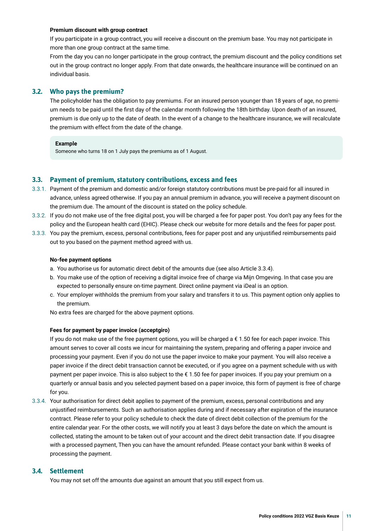### <span id="page-10-0"></span>**Premium discount with group contract**

If you participate in a group contract, you will receive a discount on the premium base. You may not participate in more than one group contract at the same time.

From the day you can no longer participate in the group contract, the premium discount and the policy conditions set out in the group contract no longer apply. From that date onwards, the healthcare insurance will be continued on an individual basis.

### **3.2. Who pays the premium?**

The policyholder has the obligation to pay premiums. For an insured person younger than 18 years of age, no premium needs to be paid until the frst day of the calendar month following the 18th birthday. Upon death of an insured, premium is due only up to the date of death. In the event of a change to the healthcare insurance, we will recalculate the premium with effect from the date of the change.

### **Example**

Someone who turns 18 on 1 July pays the premiums as of 1 August.

### **3.3. Payment of premium, statutory contributions, excess and fees**

- 3.3.1. Payment of the premium and domestic and/or foreign statutory contributions must be pre-paid for all insured in advance, unless agreed otherwise. If you pay an annual premium in advance, you will receive a payment discount on the premium due. The amount of the discount is stated on the policy schedule.
- 3.3.2. If you do not make use of the free digital post, you will be charged a fee for paper post. You don't pay any fees for the policy and the European health card (EHIC). Please check our website for more details and the fees for paper post.
- 3.3.3. You pay the premium, excess, personal contributions, fees for paper post and any unjustifed reimbursements paid out to you based on the payment method agreed with us.

### **No-fee payment options**

- a. You authorise us for automatic direct debit of the amounts due (see also Article 3.3.4).
- b. You make use of the option of receiving a digital invoice free of charge via Mijn Omgeving. In that case you are expected to personally ensure on-time payment. Direct online payment via iDeal is an option.
- c. Your employer withholds the premium from your salary and transfers it to us. This payment option only applies to the premium.

No extra fees are charged for the above payment options.

### **Fees for payment by paper invoice (acceptgiro)**

If you do not make use of the free payment options, you will be charged a  $\epsilon$  1.50 fee for each paper invoice. This amount serves to cover all costs we incur for maintaining the system, preparing and offering a paper invoice and processing your payment. Even if you do not use the paper invoice to make your payment. You will also receive a paper invoice if the direct debit transaction cannot be executed, or if you agree on a payment schedule with us with payment per paper invoice. This is also subject to the €1.50 fee for paper invoices. If you pay your premium on a quarterly or annual basis and you selected payment based on a paper invoice, this form of payment is free of charge for you.

3.3.4. Your authorisation for direct debit applies to payment of the premium, excess, personal contributions and any unjustifed reimbursements. Such an authorisation applies during and if necessary after expiration of the insurance contract. Please refer to your policy schedule to check the date of direct debit collection of the premium for the entire calendar year. For the other costs, we will notify you at least 3 days before the date on which the amount is collected, stating the amount to be taken out of your account and the direct debit transaction date. If you disagree with a processed payment, Then you can have the amount refunded. Please contact your bank within 8 weeks of processing the payment.

### **3.4. Settlement**

You may not set off the amounts due against an amount that you still expect from us.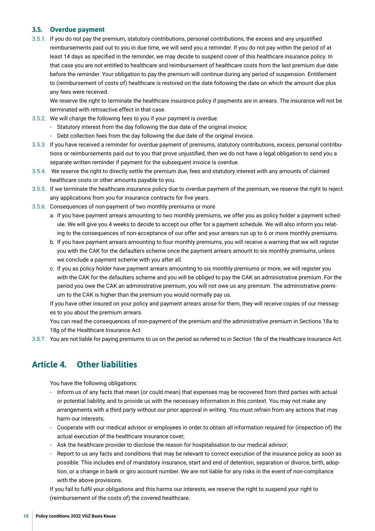### <span id="page-11-0"></span>**3.5. Overdue payment**

3.5.1. If you do not pay the premium, statutory contributions, personal contributions, the excess and any unjustifed reimbursements paid out to you in due time, we will send you a reminder. If you do not pay within the period of at least 14 days as specifed in the reminder, we may decide to suspend cover of this healthcare insurance policy. In that case you are not entitled to healthcare and reimbursement of healthcare costs from the last premium due date before the reminder. Your obligation to pay the premium will continue during any period of suspension. Entitlement to (reimbursement of costs of) healthcare is restored on the date following the date on which the amount due plus any fees were received.

We reserve the right to terminate the healthcare insurance policy if payments are in arrears. The insurance will not be terminated with retroactive effect in that case.

- 3.5.2. We will charge the following fees to you if your payment is overdue:
	- Statutory interest from the day following the due date of the original invoice;
	- Debt collection fees from the day following the due date of the original invoice.
- 3.5.3. If you have received a reminder for overdue payment of premiums, statutory contributions, excess, personal contributions or reimbursements paid out to you that prove unjustifed, then we do not have a legal obligation to send you a separate written reminder if payment for the subsequent invoice is overdue.
- 3.5.4. We reserve the right to directly settle the premium due, fees and statutory interest with any amounts of claimed healthcare costs or other amounts payable to you.
- 3.5.5. If we terminate the healthcare insurance policy due to overdue payment of the premium, we reserve the right to reject any applications from you for insurance contracts for fve years.
- 3.5.6. Consequences of non-payment of two monthly premiums or more
	- a. If you have payment arrears amounting to two monthly premiums, we offer you as policy holder a payment schedule. We will give you 4 weeks to decide to accept our offer for a payment schedule. We will also inform you relating to the consequences of non-acceptance of our offer and your arrears run up to 6 or more monthly premiums.
	- b. If you have payment arrears amounting to four monthly premiums, you will receive a warning that we will register you with the CAK for the defaulters scheme once the payment arrears amount to six monthly premiums, unless we conclude a payment scheme with you after all.
	- c. If you as policy holder have payment arrears amounting to six monthly premiums or more, we will register you with the CAK for the defaulters scheme and you will be obliged to pay the CAK an administrative premium. For the period you owe the CAK an administrative premium, you will not owe us any premium. The administrative premium to the CAK is higher than the premium you would normally pay us.

If you have other insured on your policy and payment arrears arose for them, they will receive copies of our messages to you about the premium arrears.

You can read the consequences of non-payment of the premium and the administrative premium in Sections 18a to 18g of the Healthcare Insurance Act.

3.5.7. You are not liable for paying premiums to us on the period as referred to in Section 18e of the Healthcare Insurance Act.

### **Article 4. Other liabilities**

You have the following obligations:

- Inform us of any facts that mean (or could mean) that expenses may be recovered from third parties with actual or potential liability, and to provide us with the necessary information in this context. You may not make any arrangements with a third party without our prior approval in writing. You must refrain from any actions that may harm our interests;
- Cooperate with our medical advisor or employees in order to obtain all information required for (inspection of) the actual execution of the healthcare insurance cover;
- Ask the healthcare provider to disclose the reason for hospitalisation to our medical advisor;
- Report to us any facts and conditions that may be relevant to correct execution of the insurance policy as soon as possible. This includes end of mandatory insurance, start and end of detention, separation or divorce, birth, adoption, or a change in bank or giro account number. We are not liable for any risks in the event of non-compliance with the above provisions.

If you fail to fulfl your obligations and this harms our interests, we reserve the right to suspend your right to (reimbursement of the costs of) the covered healthcare.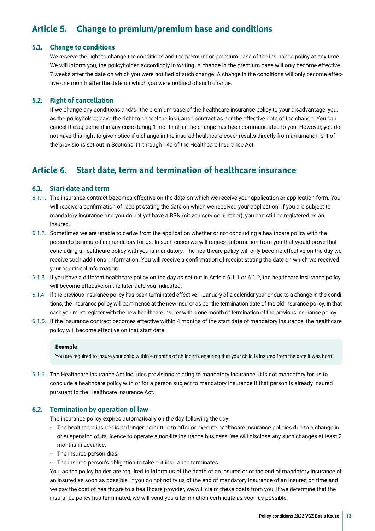### <span id="page-12-0"></span>**Article 5. Change to premium/premium base and conditions**

### **5.1. Change to conditions**

We reserve the right to change the conditions and the premium or premium base of the insurance policy at any time. We will inform you, the policyholder, accordingly in writing. A change in the premium base will only become effective 7 weeks after the date on which you were notifed of such change. A change in the conditions will only become effective one month after the date on which you were notifed of such change.

### **5.2. Right of cancellation**

If we change any conditions and/or the premium base of the healthcare insurance policy to your disadvantage, you, as the policyholder, have the right to cancel the insurance contract as per the effective date of the change. You can cancel the agreement in any case during 1 month after the change has been communicated to you. However, you do not have this right to give notice if a change in the insured healthcare cover results directly from an amendment of the provisions set out in Sections 11 through 14a of the Healthcare Insurance Act.

### **Article 6. Start date, term and termination of healthcare insurance**

### **6.1. Start date and term**

- 6.1.1. The insurance contract becomes effective on the date on which we receive your application or application form. You will receive a confrmation of receipt stating the date on which we received your application. If you are subject to mandatory insurance and you do not yet have a BSN (citizen service number), you can still be registered as an insured.
- 6.1.2. Sometimes we are unable to derive from the application whether or not concluding a healthcare policy with the person to be insured is mandatory for us. In such cases we will request information from you that would prove that concluding a healthcare policy with you is mandatory. The healthcare policy will only become effective on the day we receive such additional information. You will receive a confrmation of receipt stating the date on which we received your additional information.
- 6.1.3. If you have a different healthcare policy on the day as set out in Article 6.1.1 or 6.1.2, the healthcare insurance policy will become effective on the later date you indicated.
- 6.1.4. If the previous insurance policy has been terminated effective 1 January of a calendar year or due to a change in the conditions, the insurance policy will commence at the new insurer as per the termination date of the old insurance policy. In that case you must register with the new healthcare insurer within one month of termination of the previous insurance policy.
- 6.1.5. If the insurance contract becomes effective within 4 months of the start date of mandatory insurance, the healthcare policy will become effective on that start date.

### **Example**

You are required to insure your child within 4 months of childbirth, ensuring that your child is insured from the date it was born.

6.1.6. The Healthcare Insurance Act includes provisions relating to mandatory insurance. It is not mandatory for us to conclude a healthcare policy with or for a person subject to mandatory insurance if that person is already insured pursuant to the Healthcare Insurance Act.

### **6.2. Termination by operation of law**

The insurance policy expires automatically on the day following the day:

- The healthcare insurer is no longer permitted to offer or execute healthcare insurance policies due to a change in or suspension of its licence to operate a non-life insurance business. We will disclose any such changes at least 2 months in advance;
- The insured person dies;
- The insured person's obligation to take out insurance terminates.

You, as the policy holder, are required to inform us of the death of an insured or of the end of mandatory insurance of an insured as soon as possible. If you do not notify us of the end of mandatory insurance of an insured on time and we pay the cost of healthcare to a healthcare provider, we will claim these costs from you. If we determine that the insurance policy has terminated, we will send you a termination certifcate as soon as possible.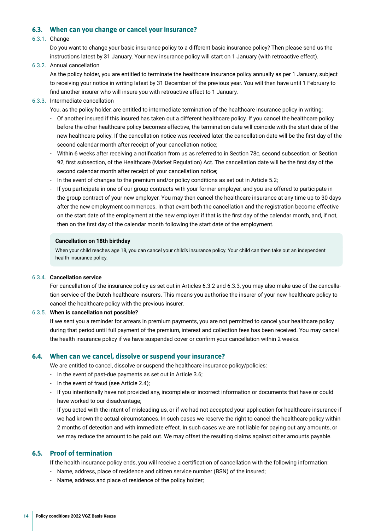### <span id="page-13-0"></span>**6.3. When can you change or cancel your insurance?**

### 6.3.1. Change

Do you want to change your basic insurance policy to a different basic insurance policy? Then please send us the instructions latest by 31 January. Your new insurance policy will start on 1 January (with retroactive effect).

6.3.2. Annual cancellation

As the policy holder, you are entitled to terminate the healthcare insurance policy annually as per 1 January, subject to receiving your notice in writing latest by 31 December of the previous year. You will then have until 1 February to fnd another insurer who will insure you with retroactive effect to 1 January.

6.3.3. Intermediate cancellation

You, as the policy holder, are entitled to intermediate termination of the healthcare insurance policy in writing:

- Of another insured if this insured has taken out a different healthcare policy. If you cancel the healthcare policy before the other healthcare policy becomes effective, the termination date will coincide with the start date of the new healthcare policy. If the cancellation notice was received later, the cancellation date will be the frst day of the second calendar month after receipt of your cancellation notice;
- Within 6 weeks after receiving a notifcation from us as referred to in Section 78c, second subsection, or Section 92, frst subsection, of the Healthcare (Market Regulation) Act. The cancellation date will be the frst day of the second calendar month after receipt of your cancellation notice;
- In the event of changes to the premium and/or policy conditions as set out in Article 5.2;
- If you participate in one of our group contracts with your former employer, and you are offered to participate in the group contract of your new employer. You may then cancel the healthcare insurance at any time up to 30 days after the new employment commences. In that event both the cancellation and the registration become effective on the start date of the employment at the new employer if that is the frst day of the calendar month, and, if not, then on the frst day of the calendar month following the start date of the employment.

#### **Cancellation on 18th birthday**

When your child reaches age 18, you can cancel your child's insurance policy. Your child can then take out an independent health insurance policy.

### 6.3.4. **Cancellation service**

For cancellation of the insurance policy as set out in Articles 6.3.2 and 6.3.3, you may also make use of the cancellation service of the Dutch healthcare insurers. This means you authorise the insurer of your new healthcare policy to cancel the healthcare policy with the previous insurer.

#### 6.3.5. **When is cancellation not possible?**

If we sent you a reminder for arrears in premium payments, you are not permitted to cancel your healthcare policy during that period until full payment of the premium, interest and collection fees has been received. You may cancel the health insurance policy if we have suspended cover or confrm your cancellation within 2 weeks.

### **6.4. When can we cancel, dissolve or suspend your insurance?**

We are entitled to cancel, dissolve or suspend the healthcare insurance policy/policies:

- In the event of past-due payments as set out in Article 3.6;
- In the event of fraud (see Article 2.4);
- If you intentionally have not provided any, incomplete or incorrect information or documents that have or could have worked to our disadvantage;
- If you acted with the intent of misleading us, or if we had not accepted your application for healthcare insurance if we had known the actual circumstances. In such cases we reserve the right to cancel the healthcare policy within 2 months of detection and with immediate effect. In such cases we are not liable for paying out any amounts, or we may reduce the amount to be paid out. We may offset the resulting claims against other amounts payable.

### **6.5. Proof of termination**

If the health insurance policy ends, you will receive a certifcation of cancellation with the following information:

- Name, address, place of residence and citizen service number (BSN) of the insured;
- Name, address and place of residence of the policy holder;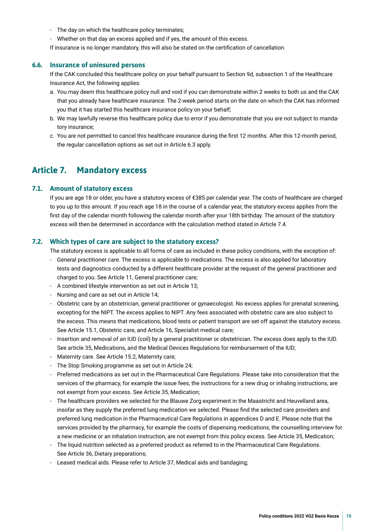- <span id="page-14-0"></span>- The day on which the healthcare policy terminates;
- Whether on that day an excess applied and if yes, the amount of this excess.
- If insurance is no longer mandatory, this will also be stated on the certifcation of cancellation.

### **6.6. Insurance of uninsured persons**

If the CAK concluded this healthcare policy on your behalf pursuant to Section 9d, subsection 1 of the Healthcare Insurance Act, the following applies:

- a. You may deem this healthcare policy null and void if you can demonstrate within 2 weeks to both us and the CAK that you already have healthcare insurance. The 2-week period starts on the date on which the CAK has informed you that it has started this healthcare insurance policy on your behalf;
- b. We may lawfully reverse this healthcare policy due to error if you demonstrate that you are not subject to mandatory insurance;
- c. You are not permitted to cancel this healthcare insurance during the frst 12 months. After this 12-month period, the regular cancellation options as set out in Article 6.3 apply.

### **Article 7. Mandatory excess**

### **7.1. Amount of statutory excess**

If you are age 18 or older, you have a statutory excess of €385 per calendar year. The costs of healthcare are charged to you up to this amount. If you reach age 18 in the course of a calendar year, the statutory excess applies from the frst day of the calendar month following the calendar month after your 18th birthday. The amount of the statutory excess will then be determined in accordance with the calculation method stated in Article 7.4.

### **7.2. Which types of care are subject to the statutory excess?**

The statutory excess is applicable to all forms of care as included in these policy conditions, with the exception of:

- General practitioner care. The excess is applicable to medications. The excess is also applied for laboratory tests and diagnostics conducted by a different healthcare provider at the request of the general practitioner and charged to you. See Article 11, General practitioner care;
- A combined lifestyle intervention as set out in Article 13;
- Nursing and care as set out in Article 14;
- Obstetric care by an obstetrician, general practitioner or gynaecologist. No excess applies for prenatal screening, excepting for the NIPT. The excess applies to NIPT. Any fees associated with obstetric care are also subject to the excess. This means that medications, blood tests or patient transport are set off against the statutory excess. See Article 15.1, Obstetric care, and Article 16, Specialist medical care;
- Insertion and removal of an IUD (coil) by a general practitioner or obstetrician. The excess does apply to the IUD. See article 35, Medications, and the Medical Devices Regulations for reimbursement of the IUD;
- Maternity care. See Article 15.2, Maternity care;
- The Stop Smoking programme as set out in Article 24;
- Preferred medications as set out in the Pharmaceutical Care Regulations. Please take into consideration that the services of the pharmacy, for example the issue fees, the instructions for a new drug or inhaling instructions, are not exempt from your excess. See Article 35, Medication;
- The healthcare providers we selected for the Blauwe Zorg experiment in the Maastricht and Heuvelland area, insofar as they supply the preferred lung medication we selected. Please fnd the selected care providers and preferred lung medication in the Pharmaceutical Care Regulations in appendices D and E. Please note that the services provided by the pharmacy, for example the costs of dispensing medications, the counselling interview for a new medicine or an inhalation instruction, are not exempt from this policy excess. See Article 35, Medication;
- The liquid nutrition selected as a preferred product as referred to in the Pharmaceutical Care Regulations. See Article 36, Dietary preparations;
- Leased medical aids. Please refer to Article 37, Medical aids and bandaging;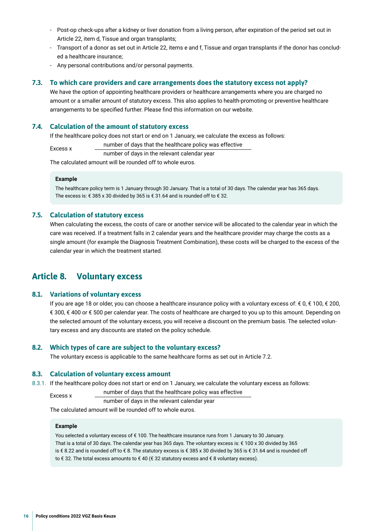- <span id="page-15-0"></span>- Post-op check-ups after a kidney or liver donation from a living person, after expiration of the period set out in Article 22, item d, Tissue and organ transplants;
- Transport of a donor as set out in Article 22, items e and f, Tissue and organ transplants if the donor has concluded a healthcare insurance;
- Any personal contributions and/or personal payments.

### **7.3. To which care providers and care arrangements does the statutory excess not apply?**

We have the option of appointing healthcare providers or healthcare arrangements where you are charged no amount or a smaller amount of statutory excess. This also applies to health-promoting or preventive healthcare arrangements to be specifed further. Please fnd this information on our website.

### **7.4. Calculation of the amount of statutory excess**

If the healthcare policy does not start or end on 1 January, we calculate the excess as follows:

Excess x humber of days that the healthcare policy was effective

number of days in the relevant calendar year

The calculated amount will be rounded off to whole euros.

### **Example**

The healthcare policy term is 1 January through 30 January. That is a total of 30 days. The calendar year has 365 days. The excess is: € 385 x 30 divided by 365 is € 31.64 and is rounded off to € 32.

### **7.5. Calculation of statutory excess**

When calculating the excess, the costs of care or another service will be allocated to the calendar year in which the care was received. If a treatment falls in 2 calendar years and the healthcare provider may charge the costs as a single amount (for example the Diagnosis Treatment Combination), these costs will be charged to the excess of the calendar year in which the treatment started.

### **Article 8. Voluntary excess**

### **8.1. Variations of voluntary excess**

If you are age 18 or older, you can choose a healthcare insurance policy with a voluntary excess of: € 0, € 100, € 200, € 300, € 400 or € 500 per calendar year. The costs of healthcare are charged to you up to this amount. Depending on the selected amount of the voluntary excess, you will receive a discount on the premium basis. The selected voluntary excess and any discounts are stated on the policy schedule.

### **8.2. Which types of care are subject to the voluntary excess?**

The voluntary excess is applicable to the same healthcare forms as set out in Article 7.2.

### **8.3. Calculation of voluntary excess amount**

8.3.1. If the healthcare policy does not start or end on 1 January, we calculate the voluntary excess as follows:

Excess x number of days that the healthcare policy was effective number of days in the relevant calendar year

The calculated amount will be rounded off to whole euros.

### **Example**

You selected a voluntary excess of € 100. The healthcare insurance runs from 1 January to 30 January. That is a total of 30 days. The calendar year has 365 days. The voluntary excess is: € 100 x 30 divided by 365 is € 8.22 and is rounded off to € 8. The statutory excess is € 385 x 30 divided by 365 is € 31.64 and is rounded off to € 32. The total excess amounts to € 40 (€ 32 statutory excess and € 8 voluntary excess).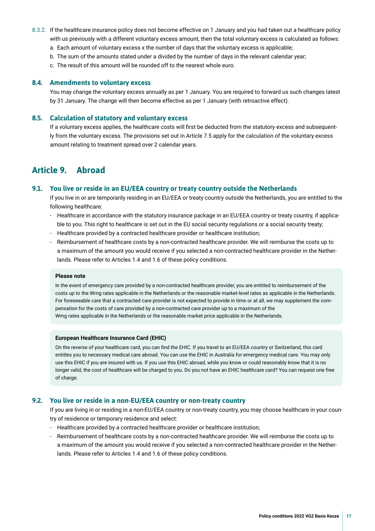- <span id="page-16-0"></span>8.3.2. If the healthcare insurance policy does not become effective on 1 January and you had taken out a healthcare policy with us previously with a different voluntary excess amount, then the total voluntary excess is calculated as follows:
	- a. Each amount of voluntary excess x the number of days that the voluntary excess is applicable;
	- b. The sum of the amounts stated under a divided by the number of days in the relevant calendar year;
	- c. The result of this amount will be rounded off to the nearest whole euro.

### **8.4. Amendments to voluntary excess**

You may change the voluntary excess annually as per 1 January. You are required to forward us such changes latest by 31 January. The change will then become effective as per 1 January (with retroactive effect).

### **8.5. Calculation of statutory and voluntary excess**

If a voluntary excess applies, the healthcare costs will frst be deducted from the statutory excess and subsequently from the voluntary excess. The provisions set out in Article 7.5 apply for the calculation of the voluntary excess amount relating to treatment spread over 2 calendar years.

### **Article 9. Abroad**

### **9.1. You live or reside in an EU/EEA country or treaty country outside the Netherlands**

If you live in or are temporarily residing in an EU/EEA or treaty country outside the Netherlands, you are entitled to the following healthcare:

- Healthcare in accordance with the statutory insurance package in an EU/EEA country or treaty country, if applicable to you. This right to healthcare is set out in the EU social security regulations or a social security treaty;
- Healthcare provided by a contracted healthcare provider or healthcare institution;
- Reimbursement of healthcare costs by a non-contracted healthcare provider. We will reimburse the costs up to a maximum of the amount you would receive if you selected a non-contracted healthcare provider in the Netherlands. Please refer to Articles 1.4 and 1.6 of these policy conditions.

### **Please note**

In the event of emergency care provided by a non-contracted healthcare provider, you are entitled to reimbursement of the costs up to the Wmg rates applicable in the Netherlands or the reasonable market-level rates as applicable in the Netherlands. For foreseeable care that a contracted care provider is not expected to provide in time or at all, we may supplement the compensation for the costs of care provided by a non-contracted care provider up to a maximum of the Wmg rates applicable in the Netherlands or the reasonable market price applicable in the Netherlands.

### **European Healthcare Insurance Card (EHIC)**

On the reverse of your healthcare card, you can fnd the EHIC. If you travel to an EU/EEA country or Switzerland, this card entitles you to necessary medical care abroad. You can use the EHIC in Australia for emergency medical care. You may only use this EHIC if you are insured with us. If you use this EHIC abroad, while you know or could reasonably know that it is no longer valid, the cost of healthcare will be charged to you. Do you not have an EHIC healthcare card? You can request one free of charge.

### **9.2. You live or reside in a non-EU/EEA country or non-treaty country**

If you are living in or residing in a non-EU/EEA country or non-treaty country, you may choose healthcare in your country of residence or temporary residence and select:

- Healthcare provided by a contracted healthcare provider or healthcare institution;
- Reimbursement of healthcare costs by a non-contracted healthcare provider. We will reimburse the costs up to a maximum of the amount you would receive if you selected a non-contracted healthcare provider in the Netherlands. Please refer to Articles 1.4 and 1.6 of these policy conditions.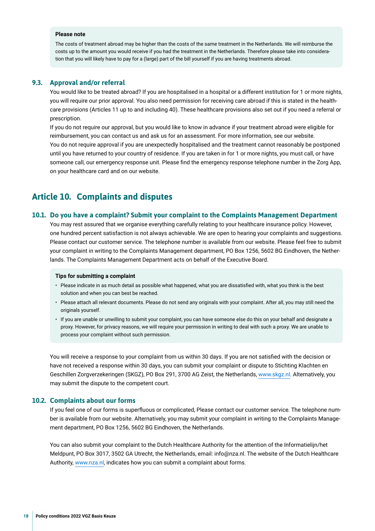### <span id="page-17-0"></span>**Please note**

The costs of treatment abroad may be higher than the costs of the same treatment in the Netherlands. We will reimburse the costs up to the amount you would receive if you had the treatment in the Netherlands. Therefore please take into consideration that you will likely have to pay for a (large) part of the bill yourself if you are having treatments abroad.

### **9.3. Approval and/or referral**

You would like to be treated abroad? If you are hospitalised in a hospital or a different institution for 1 or more nights, you will require our prior approval. You also need permission for receiving care abroad if this is stated in the healthcare provisions (Articles 11 up to and including 40). These healthcare provisions also set out if you need a referral or prescription.

If you do not require our approval, but you would like to know in advance if your treatment abroad were eligible for reimbursement, you can contact us and ask us for an assessment. For more information, see our website. You do not require approval if you are unexpectedly hospitalised and the treatment cannot reasonably be postponed until you have returned to your country of residence. If you are taken in for 1 or more nights, you must call, or have someone call, our emergency response unit. Please fnd the emergency response telephone number in the Zorg App, on your healthcare card and on our website.

### **Article 10. Complaints and disputes**

### **10.1. Do you have a complaint? Submit your complaint to the Complaints Management Department**

You may rest assured that we organise everything carefully relating to your healthcare insurance policy. However, one hundred percent satisfaction is not always achievable. We are open to hearing your complaints and suggestions. Please contact our customer service. The telephone number is available from our website. Please feel free to submit your complaint in writing to the Complaints Management department, PO Box 1256, 5602 BG Eindhoven, the Netherlands. The Complaints Management Department acts on behalf of the Executive Board.

#### **Tips for submitting a complaint**

- Please indicate in as much detail as possible what happened, what you are dissatisfed with, what you think is the best solution and when you can best be reached.
- Please attach all relevant documents. Please do not send any originals with your complaint. After all, you may still need the originals yourself.
- If you are unable or unwilling to submit your complaint, you can have someone else do this on your behalf and designate a proxy. However, for privacy reasons, we will require your permission in writing to deal with such a proxy. We are unable to process your complaint without such permission.

You will receive a response to your complaint from us within 30 days. If you are not satisfed with the decision or have not received a response within 30 days, you can submit your complaint or dispute to Stichting Klachten en Geschillen Zorgverzekeringen (SKGZ), PO Box 291, 3700 AG Zeist, the Netherlands, [www.skgz.nl.](https://www.skgz.nl) Alternatively, you may submit the dispute to the competent court.

### **10.2. Complaints about our forms**

If you feel one of our forms is superfuous or complicated, Please contact our customer service. The telephone number is available from our website. Alternatively, you may submit your complaint in writing to the Complaints Management department, PO Box 1256, 5602 BG Eindhoven, the Netherlands.

You can also submit your complaint to the Dutch Healthcare Authority for the attention of the Informatielijn/het Meldpunt, PO Box 3017, 3502 GA Utrecht, the Netherlands, email: info@nza.nl. The website of the Dutch Healthcare Authority, [www.nza.nl](https://www.nza.nl), indicates how you can submit a complaint about forms.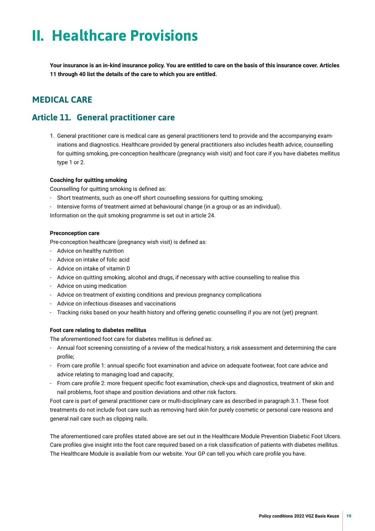## <span id="page-18-0"></span>**II. Healthcare Provisions**

**Your insurance is an in-kind insurance policy. You are entitled to care on the basis of this insurance cover. Articles 11 through 40 list the details of the care to which you are entitled.**

### **MEDICAL CARE**

### **Article 11. General practitioner care**

1. General practitioner care is medical care as general practitioners tend to provide and the accompanying examinations and diagnostics. Healthcare provided by general practitioners also includes health advice, counselling for quitting smoking, pre-conception healthcare (pregnancy wish visit) and foot care if you have diabetes mellitus type 1 or 2.

### **Coaching for quitting smoking**

Counselling for quitting smoking is defned as:

- Short treatments, such as one-off short counselling sessions for quitting smoking;
- Intensive forms of treatment aimed at behavioural change (in a group or as an individual).

Information on the quit smoking programme is set out in article 24.

### **Preconception care**

Pre-conception healthcare (pregnancy wish visit) is defned as:

- Advice on healthy nutrition
- Advice on intake of folic acid
- Advice on intake of vitamin D
- Advice on quitting smoking, alcohol and drugs, if necessary with active counselling to realise this
- Advice on using medication
- Advice on treatment of existing conditions and previous pregnancy complications
- Advice on infectious diseases and vaccinations
- Tracking risks based on your health history and offering genetic counselling if you are not (yet) pregnant.

### **Foot care relating to diabetes mellitus**

The aforementioned foot care for diabetes mellitus is defned as:

- Annual foot screening consisting of a review of the medical history, a risk assessment and determining the care profle;
- From care profle 1: annual specifc foot examination and advice on adequate footwear, foot care advice and advice relating to managing load and capacity;
- From care profle 2: more frequent specifc foot examination, check-ups and diagnostics, treatment of skin and nail problems, foot shape and position deviations and other risk factors.

Foot care is part of general practitioner care or multi-disciplinary care as described in paragraph 3.1. These foot treatments do not include foot care such as removing hard skin for purely cosmetic or personal care reasons and general nail care such as clipping nails.

The aforementioned care profles stated above are set out in the Healthcare Module Prevention Diabetic Foot Ulcers. Care profles give insight into the foot care required based on a risk classifcation of patients with diabetes mellitus. The Healthcare Module is available from our website. Your GP can tell you which care profle you have.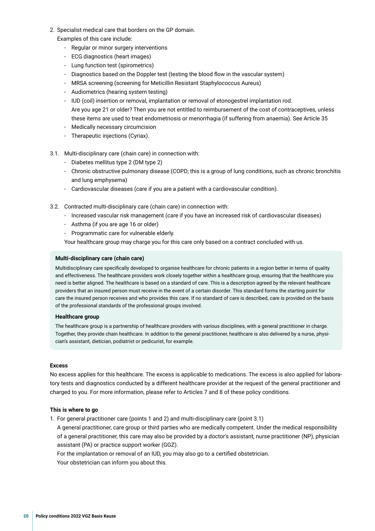- 2. Specialist medical care that borders on the GP domain. Examples of this care include:
	- Regular or minor surgery interventions
	- ECG diagnostics (heart images)
	- Lung function test (spirometrics)
	- Diagnostics based on the Doppler test (testing the blood fow in the vascular system)
	- MRSA screening (screening for Meticillin Resistant Staphylococcus Aureus)
	- Audiometrics (hearing system testing)
	- IUD (coil) insertion or removal, implantation or removal of etonogestrel implantation rod. Are you age 21 or older? Then you are not entitled to reimbursement of the cost of contraceptives, unless these items are used to treat endometriosis or menorrhagia (if suffering from anaemia). See Article 35
	- Medically necessary circumcision
	- Therapeutic injections (Cyriax).
- 3.1. Multi-disciplinary care (chain care) in connection with:
	- Diabetes mellitus type 2 (DM type 2)
	- Chronic obstructive pulmonary disease (COPD; this is a group of lung conditions, such as chronic bronchitis and lung emphysema)
	- Cardiovascular diseases (care if you are a patient with a cardiovascular condition).
- 3.2. Contracted multi-disciplinary care (chain care) in connection with:
	- Increased vascular risk management (care if you have an increased risk of cardiovascular diseases)
	- Asthma (if you are age 16 or older)
	- Programmatic care for vulnerable elderly.

Your healthcare group may charge you for this care only based on a contract concluded with us.

### **Multi-disciplinary care (chain care)**

Multidisciplinary care specifcally developed to organise healthcare for chronic patients in a region better in terms of quality and effectiveness. The healthcare providers work closely together within a healthcare group, ensuring that the healthcare you need is better aligned. The healthcare is based on a standard of care. This is a description agreed by the relevant healthcare providers that an insured person must receive in the event of a certain disorder. This standard forms the starting point for care the insured person receives and who provides this care. If no standard of care is described, care is provided on the basis of the professional standards of the professional groups involved.

### **Healthcare group**

The healthcare group is a partnership of healthcare providers with various disciplines, with a general practitioner in charge. Together, they provide chain healthcare. In addition to the general practitioner, healthcare is also delivered by a nurse, physician's assistant, dietician, podiatrist or pedicurist, for example.

### **Excess**

No excess applies for this healthcare. The excess is applicable to medications. The excess is also applied for laboratory tests and diagnostics conducted by a different healthcare provider at the request of the general practitioner and charged to you. For more information, please refer to Articles 7 and 8 of these policy conditions.

### **This is where to go**

1. For general practitioner care (points 1 and 2) and multi-disciplinary care (point 3.1)

A general practitioner, care group or third parties who are medically competent. Under the medical responsibility of a general practitioner, this care may also be provided by a doctor's assistant, nurse practitioner (NP), physician assistant (PA) or practice support worker (GGZ).

For the implantation or removal of an IUD, you may also go to a certifed obstetrician.

Your obstetrician can inform you about this.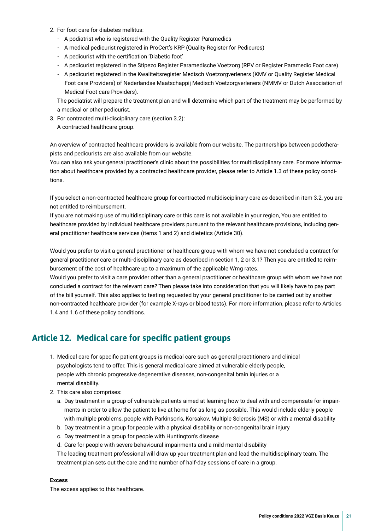- <span id="page-20-0"></span>2. For foot care for diabetes mellitus:
	- A podiatrist who is registered with the Quality Register Paramedics
	- A medical pedicurist registered in ProCert's KRP (Quality Register for Pedicures)
	- A pedicurist with the certifcation 'Diabetic foot'
	- A pedicurist registered in the Stipezo Register Paramedische Voetzorg (RPV or Register Paramedic Foot care)
	- A pedicurist registered in the Kwaliteitsregister Medisch Voetzorgverleners (KMV or Quality Register Medical Foot care Providers) of Nederlandse Maatschappij Medisch Voetzorgverleners (NMMV or Dutch Association of Medical Foot care Providers).

The podiatrist will prepare the treatment plan and will determine which part of the treatment may be performed by a medical or other pedicurist.

3. For contracted multi-disciplinary care (section 3.2): A contracted healthcare group.

An overview of contracted healthcare providers is available from our website. The partnerships between podotherapists and pedicurists are also available from our website.

You can also ask your general practitioner's clinic about the possibilities for multidisciplinary care. For more information about healthcare provided by a contracted healthcare provider, please refer to Article 1.3 of these policy conditions.

If you select a non-contracted healthcare group for contracted multidisciplinary care as described in item 3.2, you are not entitled to reimbursement.

If you are not making use of multidisciplinary care or this care is not available in your region, You are entitled to healthcare provided by individual healthcare providers pursuant to the relevant healthcare provisions, including general practitioner healthcare services (items 1 and 2) and dietetics (Article 30).

Would you prefer to visit a general practitioner or healthcare group with whom we have not concluded a contract for general practitioner care or multi-disciplinary care as described in section 1, 2 or 3.1? Then you are entitled to reimbursement of the cost of healthcare up to a maximum of the applicable Wmg rates.

Would you prefer to visit a care provider other than a general practitioner or healthcare group with whom we have not concluded a contract for the relevant care? Then please take into consideration that you will likely have to pay part of the bill yourself. This also applies to testing requested by your general practitioner to be carried out by another non-contracted healthcare provider (for example X-rays or blood tests). For more information, please refer to Articles 1.4 and 1.6 of these policy conditions.

### **Article 12. Medical care for specifc patient groups**

- 1. Medical care for specifc patient groups is medical care such as general practitioners and clinical psychologists tend to offer. This is general medical care aimed at vulnerable elderly people, people with chronic progressive degenerative diseases, non-congenital brain injuries or a mental disability.
- 2. This care also comprises:
	- a. Day treatment in a group of vulnerable patients aimed at learning how to deal with and compensate for impairments in order to allow the patient to live at home for as long as possible. This would include elderly people with multiple problems, people with Parkinson's, Korsakov, Multiple Sclerosis (MS) or with a mental disability
	- b. Day treatment in a group for people with a physical disability or non-congenital brain injury
	- c. Day treatment in a group for people with Huntington's disease
	- d. Care for people with severe behavioural impairments and a mild mental disability

The leading treatment professional will draw up your treatment plan and lead the multidisciplinary team. The treatment plan sets out the care and the number of half-day sessions of care in a group.

### **Excess**

The excess applies to this healthcare.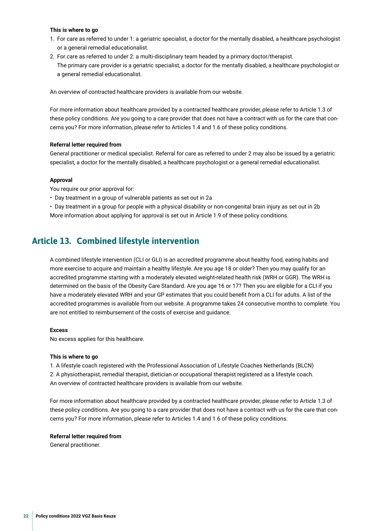### <span id="page-21-0"></span>**This is where to go**

- 1. For care as referred to under 1: a geriatric specialist, a doctor for the mentally disabled, a healthcare psychologist or a general remedial educationalist.
- 2. For care as referred to under 2: a multi-disciplinary team headed by a primary doctor/therapist. The primary care provider is a geriatric specialist, a doctor for the mentally disabled, a healthcare psychologist or a general remedial educationalist.

An overview of contracted healthcare providers is available from our website.

For more information about healthcare provided by a contracted healthcare provider, please refer to Article 1.3 of these policy conditions. Are you going to a care provider that does not have a contract with us for the care that concerns you? For more information, please refer to Articles 1.4 and 1.6 of these policy conditions.

### **Referral letter required from**

General practitioner or medical specialist. Referral for care as referred to under 2 may also be issued by a geriatric specialist, a doctor for the mentally disabled, a healthcare psychologist or a general remedial educationalist.

### **Approval**

You require our prior approval for:

- Day treatment in a group of vulnerable patients as set out in 2a
- Day treatment in a group for people with a physical disability or non-congenital brain injury as set out in 2b More information about applying for approval is set out in Article 1.9 of these policy conditions.

### **Article 13. Combined lifestyle intervention**

A combined lifestyle intervention (CLI or GLI) is an accredited programme about healthy food, eating habits and more exercise to acquire and maintain a healthy lifestyle. Are you age 18 or older? Then you may qualify for an accredited programme starting with a moderately elevated weight-related health risk (WRH or GGR). The WRH is determined on the basis of the Obesity Care Standard. Are you age 16 or 17? Then you are eligible for a CLI if you have a moderately elevated WRH and your GP estimates that you could beneft from a CLI for adults. A list of the accredited programmes is available from our website. A programme takes 24 consecutive months to complete. You are not entitled to reimbursement of the costs of exercise and guidance.

### **Excess**

No excess applies for this healthcare.

### **This is where to go**

1. A lifestyle coach registered with the Professional Association of Lifestyle Coaches Netherlands (BLCN) 2. A physiotherapist, remedial therapist, dietician or occupational therapist registered as a lifestyle coach. An overview of contracted healthcare providers is available from our website.

For more information about healthcare provided by a contracted healthcare provider, please refer to Article 1.3 of these policy conditions. Are you going to a care provider that does not have a contract with us for the care that concerns you? For more information, please refer to Articles 1.4 and 1.6 of these policy conditions.

### **Referral letter required from**

General practitioner.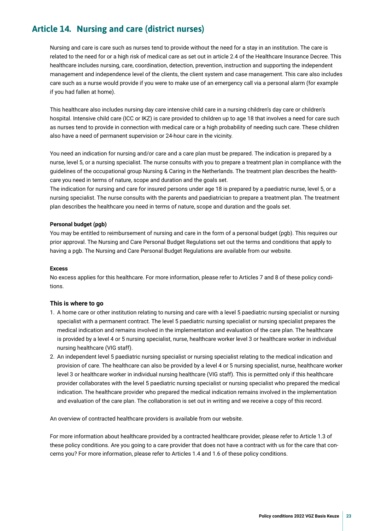### <span id="page-22-0"></span>**Article 14. Nursing and care (district nurses)**

Nursing and care is care such as nurses tend to provide without the need for a stay in an institution. The care is related to the need for or a high risk of medical care as set out in article 2.4 of the Healthcare Insurance Decree. This healthcare includes nursing, care, coordination, detection, prevention, instruction and supporting the independent management and independence level of the clients, the client system and case management. This care also includes care such as a nurse would provide if you were to make use of an emergency call via a personal alarm (for example if you had fallen at home).

This healthcare also includes nursing day care intensive child care in a nursing children's day care or children's hospital. Intensive child care (ICC or IKZ) is care provided to children up to age 18 that involves a need for care such as nurses tend to provide in connection with medical care or a high probability of needing such care. These children also have a need of permanent supervision or 24-hour care in the vicinity.

You need an indication for nursing and/or care and a care plan must be prepared. The indication is prepared by a nurse, level 5, or a nursing specialist. The nurse consults with you to prepare a treatment plan in compliance with the guidelines of the occupational group Nursing & Caring in the Netherlands. The treatment plan describes the healthcare you need in terms of nature, scope and duration and the goals set.

The indication for nursing and care for insured persons under age 18 is prepared by a paediatric nurse, level 5, or a nursing specialist. The nurse consults with the parents and paediatrician to prepare a treatment plan. The treatment plan describes the healthcare you need in terms of nature, scope and duration and the goals set.

### **Personal budget (pgb)**

You may be entitled to reimbursement of nursing and care in the form of a personal budget (pgb). This requires our prior approval. The Nursing and Care Personal Budget Regulations set out the terms and conditions that apply to having a pgb. The Nursing and Care Personal Budget Regulations are available from our website.

### **Excess**

No excess applies for this healthcare. For more information, please refer to Articles 7 and 8 of these policy conditions.

### **This is where to go**

- 1. A home care or other institution relating to nursing and care with a level 5 paediatric nursing specialist or nursing specialist with a permanent contract. The level 5 paediatric nursing specialist or nursing specialist prepares the medical indication and remains involved in the implementation and evaluation of the care plan. The healthcare is provided by a level 4 or 5 nursing specialist, nurse, healthcare worker level 3 or healthcare worker in individual nursing healthcare (VIG staff).
- 2. An independent level 5 paediatric nursing specialist or nursing specialist relating to the medical indication and provision of care. The healthcare can also be provided by a level 4 or 5 nursing specialist, nurse, healthcare worker level 3 or healthcare worker in individual nursing healthcare (VIG staff). This is permitted only if this healthcare provider collaborates with the level 5 paediatric nursing specialist or nursing specialist who prepared the medical indication. The healthcare provider who prepared the medical indication remains involved in the implementation and evaluation of the care plan. The collaboration is set out in writing and we receive a copy of this record.

An overview of contracted healthcare providers is available from our website.

For more information about healthcare provided by a contracted healthcare provider, please refer to Article 1.3 of these policy conditions. Are you going to a care provider that does not have a contract with us for the care that concerns you? For more information, please refer to Articles 1.4 and 1.6 of these policy conditions.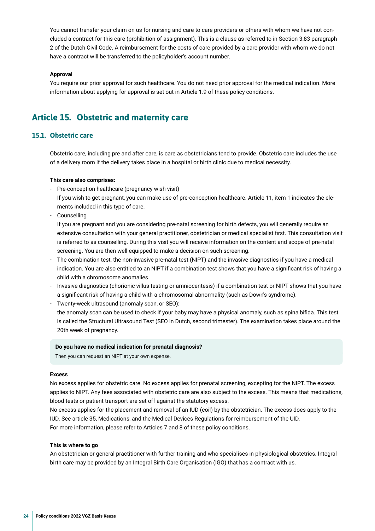<span id="page-23-0"></span>You cannot transfer your claim on us for nursing and care to care providers or others with whom we have not concluded a contract for this care (prohibition of assignment). This is a clause as referred to in Section 3:83 paragraph 2 of the Dutch Civil Code. A reimbursement for the costs of care provided by a care provider with whom we do not have a contract will be transferred to the policyholder's account number.

### **Approval**

You require our prior approval for such healthcare. You do not need prior approval for the medical indication. More information about applying for approval is set out in Article 1.9 of these policy conditions.

### **Article 15. Obstetric and maternity care**

### **15.1. Obstetric care**

Obstetric care, including pre and after care, is care as obstetricians tend to provide. Obstetric care includes the use of a delivery room if the delivery takes place in a hospital or birth clinic due to medical necessity.

### **This care also comprises:**

- Pre-conception healthcare (pregnancy wish visit)

If you wish to get pregnant, you can make use of pre-conception healthcare. Article 11, item 1 indicates the elements included in this type of care.

- Counselling

If you are pregnant and you are considering pre-natal screening for birth defects, you will generally require an extensive consultation with your general practitioner, obstetrician or medical specialist frst. This consultation visit is referred to as counselling. During this visit you will receive information on the content and scope of pre-natal screening. You are then well equipped to make a decision on such screening.

- The combination test, the non-invasive pre-natal test (NIPT) and the invasive diagnostics if you have a medical indication. You are also entitled to an NIPT if a combination test shows that you have a signifcant risk of having a child with a chromosome anomalies.
- Invasive diagnostics (chorionic villus testing or amniocentesis) if a combination test or NIPT shows that you have a signifcant risk of having a child with a chromosomal abnormality (such as Down's syndrome).
- Twenty-week ultrasound (anomaly scan, or SEO):

the anomaly scan can be used to check if your baby may have a physical anomaly, such as spina bifda. This test is called the Structural Ultrasound Test (SEO in Dutch, second trimester). The examination takes place around the 20th week of pregnancy.

### **Do you have no medical indication for prenatal diagnosis?**

Then you can request an NIPT at your own expense.

### **Excess**

No excess applies for obstetric care. No excess applies for prenatal screening, excepting for the NIPT. The excess applies to NIPT. Any fees associated with obstetric care are also subject to the excess. This means that medications, blood tests or patient transport are set off against the statutory excess.

No excess applies for the placement and removal of an IUD (coil) by the obstetrician. The excess does apply to the IUD. See article 35, Medications, and the Medical Devices Regulations for reimbursement of the UID. For more information, please refer to Articles 7 and 8 of these policy conditions.

#### **This is where to go**

An obstetrician or general practitioner with further training and who specialises in physiological obstetrics. Integral birth care may be provided by an Integral Birth Care Organisation (IGO) that has a contract with us.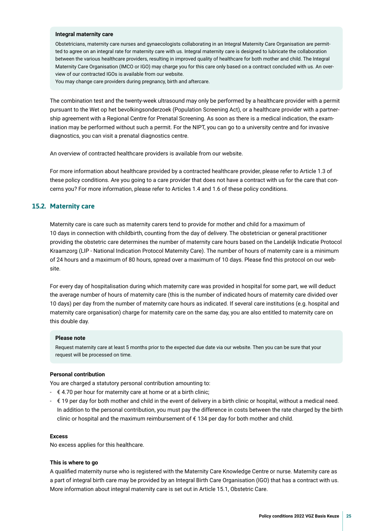#### **Integral maternity care**

Obstetricians, maternity care nurses and gynaecologists collaborating in an Integral Maternity Care Organisation are permitted to agree on an integral rate for maternity care with us. Integral maternity care is designed to lubricate the collaboration between the various healthcare providers, resulting in improved quality of healthcare for both mother and child. The Integral Maternity Care Organisation (IMCO or IGO) may charge you for this care only based on a contract concluded with us. An overview of our contracted IGOs is available from our website.

You may change care providers during pregnancy, birth and aftercare.

The combination test and the twenty-week ultrasound may only be performed by a healthcare provider with a permit pursuant to the Wet op het bevolkingsonderzoek (Population Screening Act), or a healthcare provider with a partnership agreement with a Regional Centre for Prenatal Screening. As soon as there is a medical indication, the examination may be performed without such a permit. For the NIPT, you can go to a university centre and for invasive diagnostics, you can visit a prenatal diagnostics centre.

An overview of contracted healthcare providers is available from our website.

For more information about healthcare provided by a contracted healthcare provider, please refer to Article 1.3 of these policy conditions. Are you going to a care provider that does not have a contract with us for the care that concerns you? For more information, please refer to Articles 1.4 and 1.6 of these policy conditions.

### **15.2. Maternity care**

Maternity care is care such as maternity carers tend to provide for mother and child for a maximum of 10 days in connection with childbirth, counting from the day of delivery. The obstetrician or general practitioner providing the obstetric care determines the number of maternity care hours based on the Landelijk Indicatie Protocol Kraamzorg (LIP - National Indication Protocol Maternity Care). The number of hours of maternity care is a minimum of 24 hours and a maximum of 80 hours, spread over a maximum of 10 days. Please fnd this protocol on our website.

For every day of hospitalisation during which maternity care was provided in hospital for some part, we will deduct the average number of hours of maternity care (this is the number of indicated hours of maternity care divided over 10 days) per day from the number of maternity care hours as indicated. If several care institutions (e.g. hospital and maternity care organisation) charge for maternity care on the same day, you are also entitled to maternity care on this double day.

#### **Please note**

Request maternity care at least 5 months prior to the expected due date via our website. Then you can be sure that your request will be processed on time.

### **Personal contribution**

You are charged a statutory personal contribution amounting to:

- $\epsilon$  4.70 per hour for maternity care at home or at a birth clinic;
- € 19 per day for both mother and child in the event of delivery in a birth clinic or hospital, without a medical need. In addition to the personal contribution, you must pay the difference in costs between the rate charged by the birth clinic or hospital and the maximum reimbursement of € 134 per day for both mother and child.

#### **Excess**

No excess applies for this healthcare.

#### **This is where to go**

A qualifed maternity nurse who is registered with the Maternity Care Knowledge Centre or nurse. Maternity care as a part of integral birth care may be provided by an Integral Birth Care Organisation (IGO) that has a contract with us. More information about integral maternity care is set out in Article 15.1, Obstetric Care.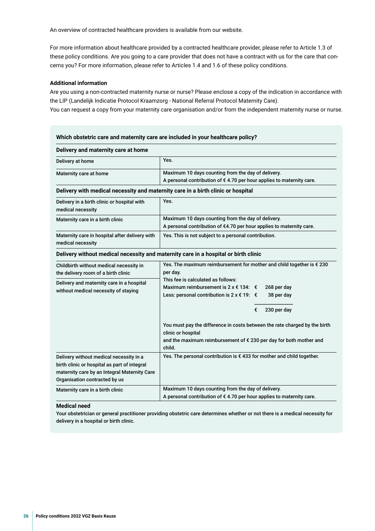An overview of contracted healthcare providers is available from our website.

For more information about healthcare provided by a contracted healthcare provider, please refer to Article 1.3 of these policy conditions. Are you going to a care provider that does not have a contract with us for the care that concerns you? For more information, please refer to Articles 1.4 and 1.6 of these policy conditions.

### **Additional information**

Are you using a non-contracted maternity nurse or nurse? Please enclose a copy of the indication in accordance with the LIP (Landelijk Indicatie Protocol Kraamzorg - National Referral Protocol Maternity Care). You can request a copy from your maternity care organisation and/or from the independent maternity nurse or nurse.

| Delivery and maternity care at home                                                                                                                                      |                                                                                                                                                                                                                                                                                                                                                                                                                                                                                              |  |  |
|--------------------------------------------------------------------------------------------------------------------------------------------------------------------------|----------------------------------------------------------------------------------------------------------------------------------------------------------------------------------------------------------------------------------------------------------------------------------------------------------------------------------------------------------------------------------------------------------------------------------------------------------------------------------------------|--|--|
| Delivery at home                                                                                                                                                         | Yes.                                                                                                                                                                                                                                                                                                                                                                                                                                                                                         |  |  |
| Maternity care at home                                                                                                                                                   | Maximum 10 days counting from the day of delivery.<br>A personal contribution of $\epsilon$ 4.70 per hour applies to maternity care.                                                                                                                                                                                                                                                                                                                                                         |  |  |
| Delivery with medical necessity and maternity care in a birth clinic or hospital                                                                                         |                                                                                                                                                                                                                                                                                                                                                                                                                                                                                              |  |  |
| Delivery in a birth clinic or hospital with<br>medical necessity                                                                                                         | Yes.                                                                                                                                                                                                                                                                                                                                                                                                                                                                                         |  |  |
| Maternity care in a birth clinic                                                                                                                                         | Maximum 10 days counting from the day of delivery.<br>A personal contribution of €4.70 per hour applies to maternity care.                                                                                                                                                                                                                                                                                                                                                                   |  |  |
| Maternity care in hospital after delivery with<br>medical necessity                                                                                                      | Yes. This is not subject to a personal contribution.                                                                                                                                                                                                                                                                                                                                                                                                                                         |  |  |
|                                                                                                                                                                          | Delivery without medical necessity and maternity care in a hospital or birth clinic                                                                                                                                                                                                                                                                                                                                                                                                          |  |  |
| Childbirth without medical necessity in<br>the delivery room of a birth clinic<br>Delivery and maternity care in a hospital<br>without medical necessity of staying      | Yes. The maximum reimbursement for mother and child together is $\epsilon$ 230<br>per day.<br>This fee is calculated as follows:<br>Maximum reimbursement is $2 \times 134$ : $\epsilon$<br>268 per day<br>Less: personal contribution is $2 \times \text{\textsterling} 19$ : €<br>38 per day<br>230 per day<br>€<br>You must pay the difference in costs between the rate charged by the birth<br>clinic or hospital<br>and the maximum reimbursement of € 230 per day for both mother and |  |  |
| Delivery without medical necessity in a<br>birth clinic or hospital as part of integral<br>maternity care by an Integral Maternity Care<br>Organisation contracted by us | child.<br>Yes. The personal contribution is € 433 for mother and child together.                                                                                                                                                                                                                                                                                                                                                                                                             |  |  |
| Maternity care in a birth clinic                                                                                                                                         | Maximum 10 days counting from the day of delivery.<br>A personal contribution of €4.70 per hour applies to maternity care.                                                                                                                                                                                                                                                                                                                                                                   |  |  |

### **Medical need**

Your obstetrician or general practitioner providing obstetric care determines whether or not there is a medical necessity for delivery in a hospital or birth clinic.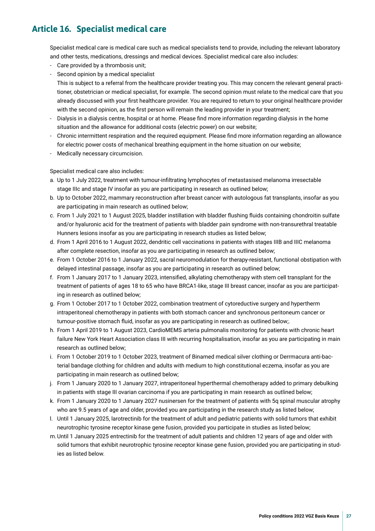### <span id="page-26-0"></span>**Article 16. Specialist medical care**

Specialist medical care is medical care such as medical specialists tend to provide, including the relevant laboratory and other tests, medications, dressings and medical devices. Specialist medical care also includes:

- Care provided by a thrombosis unit;
- Second opinion by a medical specialist

This is subject to a referral from the healthcare provider treating you. This may concern the relevant general practitioner, obstetrician or medical specialist, for example. The second opinion must relate to the medical care that you already discussed with your frst healthcare provider. You are required to return to your original healthcare provider with the second opinion, as the frst person will remain the leading provider in your treatment;

- Dialysis in a dialysis centre, hospital or at home. Please fnd more information regarding dialysis in the home situation and the allowance for additional costs (electric power) on our website;
- Chronic intermittent respiration and the required equipment. Please fnd more information regarding an allowance for electric power costs of mechanical breathing equipment in the home situation on our website;
- Medically necessary circumcision.

Specialist medical care also includes:

- a. Up to 1 July 2022, treatment with tumour-infltrating lymphocytes of metastasised melanoma irresectable stage IIIc and stage IV insofar as you are participating in research as outlined below;
- b. Up to October 2022, mammary reconstruction after breast cancer with autologous fat transplants, insofar as you are participating in main research as outlined below;
- c. From 1 July 2021 to 1 August 2025, bladder instillation with bladder fushing fuids containing chondroitin sulfate and/or hyaluronic acid for the treatment of patients with bladder pain syndrome with non-transurethral treatable Hunners lesions insofar as you are participating in research studies as listed below;
- d. From 1 April 2016 to 1 August 2022, dendritic cell vaccinations in patients with stages IIIB and IIIC melanoma after complete resection, insofar as you are participating in research as outlined below;
- e. From 1 October 2016 to 1 January 2022, sacral neuromodulation for therapy-resistant, functional obstipation with delayed intestinal passage, insofar as you are participating in research as outlined below;
- f. From 1 January 2017 to 1 January 2023, intensifed, alkylating chemotherapy with stem cell transplant for the treatment of patients of ages 18 to 65 who have BRCA1-like, stage III breast cancer, insofar as you are participating in research as outlined below;
- g. From 1 October 2017 to 1 October 2022, combination treatment of cytoreductive surgery and hypertherm intraperitoneal chemotherapy in patients with both stomach cancer and synchronous peritoneum cancer or tumour-positive stomach fuid, insofar as you are participating in research as outlined below;.
- h. From 1 April 2019 to 1 August 2023, CardioMEMS arteria pulmonalis monitoring for patients with chronic heart failure New York Heart Association class III with recurring hospitalisation, insofar as you are participating in main research as outlined below;
- i. From 1 October 2019 to 1 October 2023, treatment of Binamed medical silver clothing or Derrmacura anti-bacterial bandage clothing for children and adults with medium to high constitutional eczema, insofar as you are participating in main research as outlined below;
- j. From 1 January 2020 to 1 January 2027, intraperitoneal hyperthermal chemotherapy added to primary debulking in patients with stage III ovarian carcinoma if you are participating in main research as outlined below;
- k. From 1 January 2020 to 1 January 2027 nusinersen for the treatment of patients with 5q spinal muscular atrophy who are 9.5 years of age and older, provided you are participating in the research study as listed below;
- l. Until 1 January 2025, larotrectinib for the treatment of adult and pediatric patients with solid tumors that exhibit neurotrophic tyrosine receptor kinase gene fusion, provided you participate in studies as listed below;
- m.Until 1 January 2025 entrectinib for the treatment of adult patients and children 12 years of age and older with solid tumors that exhibit neurotrophic tyrosine receptor kinase gene fusion, provided you are participating in studies as listed below.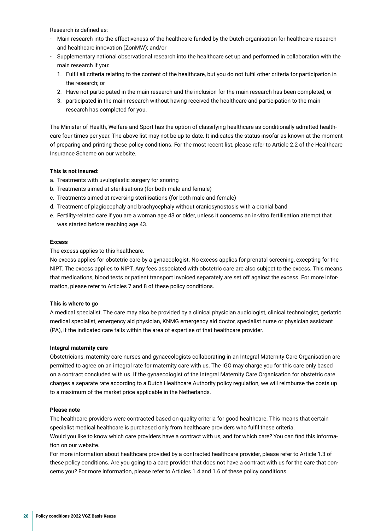Research is defned as:

- Main research into the effectiveness of the healthcare funded by the Dutch organisation for healthcare research and healthcare innovation (ZonMW); and/or
- Supplementary national observational research into the healthcare set up and performed in collaboration with the main research if you:
	- 1. Fulfl all criteria relating to the content of the healthcare, but you do not fulfl other criteria for participation in the research; or
	- 2. Have not participated in the main research and the inclusion for the main research has been completed; or
	- 3. participated in the main research without having received the healthcare and participation to the main research has completed for you.

The Minister of Health, Welfare and Sport has the option of classifying healthcare as conditionally admitted healthcare four times per year. The above list may not be up to date. It indicates the status insofar as known at the moment of preparing and printing these policy conditions. For the most recent list, please refer to Article 2.2 of the Healthcare Insurance Scheme on our website.

### **This is not insured:**

- a. Treatments with uvuloplastic surgery for snoring
- b. Treatments aimed at sterilisations (for both male and female)
- c. Treatments aimed at reversing sterilisations (for both male and female)
- d. Treatment of plagiocephaly and brachycephaly without craniosynostosis with a cranial band
- e. Fertility-related care if you are a woman age 43 or older, unless it concerns an in-vitro fertilisation attempt that was started before reaching age 43.

### **Excess**

The excess applies to this healthcare.

No excess applies for obstetric care by a gynaecologist. No excess applies for prenatal screening, excepting for the NIPT. The excess applies to NIPT. Any fees associated with obstetric care are also subject to the excess. This means that medications, blood tests or patient transport invoiced separately are set off against the excess. For more information, please refer to Articles 7 and 8 of these policy conditions.

### **This is where to go**

A medical specialist. The care may also be provided by a clinical physician audiologist, clinical technologist, geriatric medical specialist, emergency aid physician, KNMG emergency aid doctor, specialist nurse or physician assistant (PA), if the indicated care falls within the area of expertise of that healthcare provider.

### **Integral maternity care**

Obstetricians, maternity care nurses and gynaecologists collaborating in an Integral Maternity Care Organisation are permitted to agree on an integral rate for maternity care with us. The IGO may charge you for this care only based on a contract concluded with us. If the gynaecologist of the Integral Maternity Care Organisation for obstetric care charges a separate rate according to a Dutch Healthcare Authority policy regulation, we will reimburse the costs up to a maximum of the market price applicable in the Netherlands.

### **Please note**

The healthcare providers were contracted based on quality criteria for good healthcare. This means that certain specialist medical healthcare is purchased only from healthcare providers who fulfl these criteria. Would you like to know which care providers have a contract with us, and for which care? You can fnd this information on our website.

For more information about healthcare provided by a contracted healthcare provider, please refer to Article 1.3 of these policy conditions. Are you going to a care provider that does not have a contract with us for the care that concerns you? For more information, please refer to Articles 1.4 and 1.6 of these policy conditions.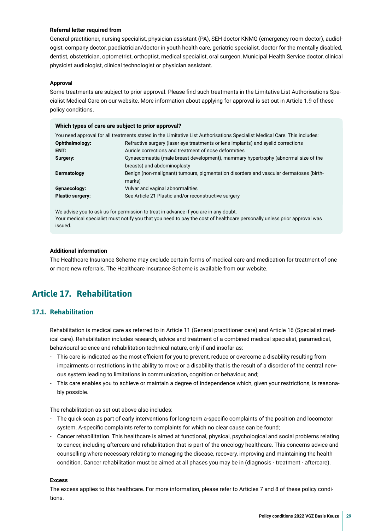### <span id="page-28-0"></span>**Referral letter required from**

**Which types of care are subject to prior approval?**

General practitioner, nursing specialist, physician assistant (PA), SEH doctor KNMG (emergency room doctor), audiologist, company doctor, paediatrician/doctor in youth health care, geriatric specialist, doctor for the mentally disabled, dentist, obstetrician, optometrist, orthoptist, medical specialist, oral surgeon, Municipal Health Service doctor, clinical physicist audiologist, clinical technologist or physician assistant.

### **Approval**

Some treatments are subject to prior approval. Please fnd such treatments in the Limitative List Authorisations Specialist Medical Care on our website. More information about applying for approval is set out in Article 1.9 of these policy conditions.

|                         | <b>VILICII types of care are subject to prior approval!</b>                                                               |  |  |  |
|-------------------------|---------------------------------------------------------------------------------------------------------------------------|--|--|--|
|                         | You need approval for all treatments stated in the Limitative List Authorisations Specialist Medical Care. This includes: |  |  |  |
| Ophthalmology:          | Refractive surgery (laser eye treatments or lens implants) and eyelid corrections                                         |  |  |  |
| ENT:                    | Auricle corrections and treatment of nose deformities                                                                     |  |  |  |
| Surgery:                | Gynaecomastia (male breast development), mammary hypertrophy (abnormal size of the                                        |  |  |  |
|                         | breasts) and abdominoplasty                                                                                               |  |  |  |
| Dermatology             | Benign (non-malignant) tumours, pigmentation disorders and vascular dermatoses (birth-<br>marks)                          |  |  |  |
| Gynaecology:            | Vulvar and vaginal abnormalities                                                                                          |  |  |  |
| <b>Plastic surgery:</b> | See Article 21 Plastic and/or reconstructive surgery                                                                      |  |  |  |
|                         |                                                                                                                           |  |  |  |

We advise you to ask us for permission to treat in advance if you are in any doubt. Your medical specialist must notify you that you need to pay the cost of healthcare personally unless prior approval was issued.

### **Additional information**

The Healthcare Insurance Scheme may exclude certain forms of medical care and medication for treatment of one or more new referrals. The Healthcare Insurance Scheme is available from our website.

### **Article 17. Rehabilitation**

### **17.1. Rehabilitation**

Rehabilitation is medical care as referred to in Article 11 (General practitioner care) and Article 16 (Specialist medical care). Rehabilitation includes research, advice and treatment of a combined medical specialist, paramedical, behavioural science and rehabilitation-technical nature, only if and insofar as:

- This care is indicated as the most efficient for you to prevent, reduce or overcome a disability resulting from impairments or restrictions in the ability to move or a disability that is the result of a disorder of the central nervous system leading to limitations in communication, cognition or behaviour, and;
- This care enables you to achieve or maintain a degree of independence which, given your restrictions, is reasonably possible.

The rehabilitation as set out above also includes:

- The quick scan as part of early interventions for long-term a-specifc complaints of the position and locomotor system. A-specifc complaints refer to complaints for which no clear cause can be found;
- Cancer rehabilitation. This healthcare is aimed at functional, physical, psychological and social problems relating to cancer, including aftercare and rehabilitation that is part of the oncology healthcare. This concerns advice and counselling where necessary relating to managing the disease, recovery, improving and maintaining the health condition. Cancer rehabilitation must be aimed at all phases you may be in (diagnosis - treatment - aftercare).

### **Excess**

The excess applies to this healthcare. For more information, please refer to Articles 7 and 8 of these policy conditions.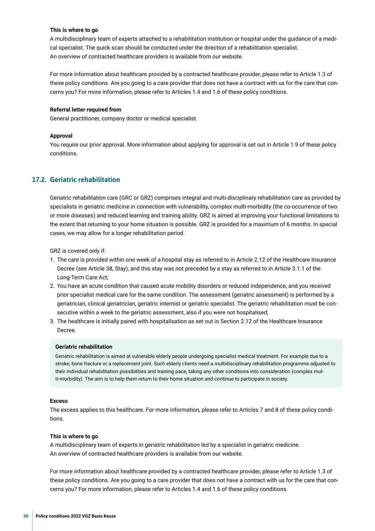### **This is where to go**

A multidisciplinary team of experts attached to a rehabilitation institution or hospital under the guidance of a medical specialist. The quick scan should be conducted under the direction of a rehabilitation specialist. An overview of contracted healthcare providers is available from our website.

For more information about healthcare provided by a contracted healthcare provider, please refer to Article 1.3 of these policy conditions. Are you going to a care provider that does not have a contract with us for the care that concerns you? For more information, please refer to Articles 1.4 and 1.6 of these policy conditions.

### **Referral letter required from**

General practitioner, company doctor or medical specialist.

### **Approval**

You require our prior approval. More information about applying for approval is set out in Article 1.9 of these policy conditions.

### **17.2. Geriatric rehabilitation**

Geriatric rehabilitation care (GRC or GRZ) comprises integral and multi-disciplinary rehabilitation care as provided by specialists in geriatric medicine in connection with vulnerability, complex multi-morbidity (the co-occurrence of two or more diseases) and reduced learning and training ability. GRZ is aimed at improving your functional limitations to the extent that returning to your home situation is possible. GRZ is provided for a maximum of 6 months. In special cases, we may allow for a longer rehabilitation period.

GRZ is covered only if:

- 1. The care is provided within one week of a hospital stay as referred to in Article 2.12 of the Healthcare Insurance Decree (see Article 38, Stay), and this stay was not preceded by a stay as referred to in Article 3.1.1 of the Long-Term Care Act;
- 2. You have an acute condition that caused acute mobility disorders or reduced independence, and you received prior specialist medical care for the same condition. The assessment (geriatric assessment) is performed by a geriatrician, clinical geriatrician, geriatric internist or geriatric specialist. The geriatric rehabilitation must be consecutive within a week to the geriatric assessment, also if you were not hospitalised;
- 3. The healthcare is initially paired with hospitalisation as set out in Section 2.12 of the Healthcare Insurance Decree.

### **Geriatric rehabilitation**

Geriatric rehabilitation is aimed at vulnerable elderly people undergoing specialist medical treatment. For example due to a stroke, bone fracture or a replacement joint. Such elderly clients need a multidisciplinary rehabilitation programme adjusted to their individual rehabilitation possibilities and training pace, taking any other conditions into consideration (complex multi-morbidity). The aim is to help them return to their home situation and continue to participate in society.

### **Excess**

The excess applies to this healthcare. For more information, please refer to Articles 7 and 8 of these policy conditions.

### **This is where to go**

A multidisciplinary team of experts in geriatric rehabilitation led by a specialist in geriatric medicine. An overview of contracted healthcare providers is available from our website.

For more information about healthcare provided by a contracted healthcare provider, please refer to Article 1.3 of these policy conditions. Are you going to a care provider that does not have a contract with us for the care that concerns you? For more information, please refer to Articles 1.4 and 1.6 of these policy conditions.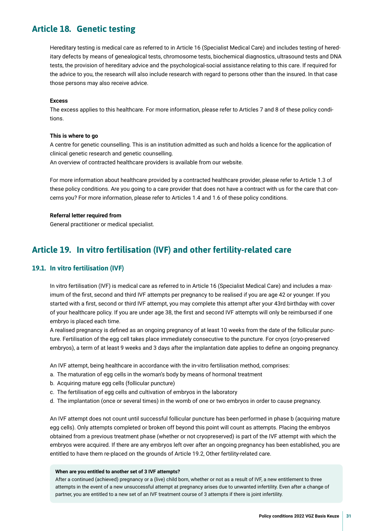### <span id="page-30-0"></span>**Article 18. Genetic testing**

Hereditary testing is medical care as referred to in Article 16 (Specialist Medical Care) and includes testing of hereditary defects by means of genealogical tests, chromosome tests, biochemical diagnostics, ultrasound tests and DNA tests, the provision of hereditary advice and the psychological-social assistance relating to this care. If required for the advice to you, the research will also include research with regard to persons other than the insured. In that case those persons may also receive advice.

### **Excess**

The excess applies to this healthcare. For more information, please refer to Articles 7 and 8 of these policy conditions.

### **This is where to go**

A centre for genetic counselling. This is an institution admitted as such and holds a licence for the application of clinical genetic research and genetic counselling.

An overview of contracted healthcare providers is available from our website.

For more information about healthcare provided by a contracted healthcare provider, please refer to Article 1.3 of these policy conditions. Are you going to a care provider that does not have a contract with us for the care that concerns you? For more information, please refer to Articles 1.4 and 1.6 of these policy conditions.

### **Referral letter required from**

General practitioner or medical specialist.

### **Article 19. In vitro fertilisation (IVF) and other fertility-related care**

### **19.1. In vitro fertilisation (IVF)**

In vitro fertilisation (IVF) is medical care as referred to in Article 16 (Specialist Medical Care) and includes a maximum of the frst, second and third IVF attempts per pregnancy to be realised if you are age 42 or younger. If you started with a frst, second or third IVF attempt, you may complete this attempt after your 43rd birthday with cover of your healthcare policy. If you are under age 38, the frst and second IVF attempts will only be reimbursed if one embryo is placed each time.

A realised pregnancy is defned as an ongoing pregnancy of at least 10 weeks from the date of the follicular puncture. Fertilisation of the egg cell takes place immediately consecutive to the puncture. For cryos (cryo-preserved embryos), a term of at least 9 weeks and 3 days after the implantation date applies to defne an ongoing pregnancy.

An IVF attempt, being healthcare in accordance with the in-vitro fertilisation method, comprises:

- a. The maturation of egg cells in the woman's body by means of hormonal treatment
- b. Acquiring mature egg cells (follicular puncture)
- c. The fertilisation of egg cells and cultivation of embryos in the laboratory
- d. The implantation (once or several times) in the womb of one or two embryos in order to cause pregnancy.

An IVF attempt does not count until successful follicular puncture has been performed in phase b (acquiring mature egg cells). Only attempts completed or broken off beyond this point will count as attempts. Placing the embryos obtained from a previous treatment phase (whether or not cryopreserved) is part of the IVF attempt with which the embryos were acquired. If there are any embryos left over after an ongoing pregnancy has been established, you are entitled to have them re-placed on the grounds of Article 19.2, Other fertility-related care.

#### **When are you entitled to another set of 3 IVF attempts?**

After a continued (achieved) pregnancy or a (live) child born, whether or not as a result of IVF, a new entitlement to three attempts in the event of a new unsuccessful attempt at pregnancy arises due to unwanted infertility. Even after a change of partner, you are entitled to a new set of an IVF treatment course of 3 attempts if there is joint infertility.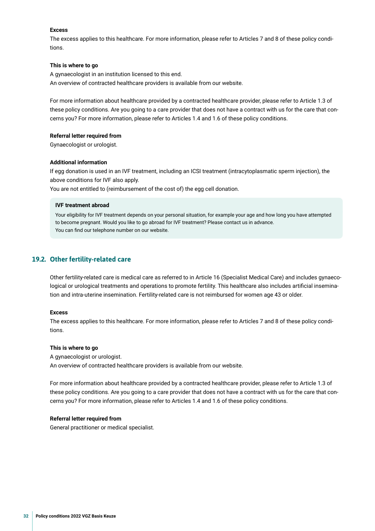### **Excess**

The excess applies to this healthcare. For more information, please refer to Articles 7 and 8 of these policy conditions.

### **This is where to go**

A gynaecologist in an institution licensed to this end. An overview of contracted healthcare providers is available from our website.

For more information about healthcare provided by a contracted healthcare provider, please refer to Article 1.3 of these policy conditions. Are you going to a care provider that does not have a contract with us for the care that concerns you? For more information, please refer to Articles 1.4 and 1.6 of these policy conditions.

### **Referral letter required from**

Gynaecologist or urologist.

### **Additional information**

If egg donation is used in an IVF treatment, including an ICSI treatment (intracytoplasmatic sperm injection), the above conditions for IVF also apply.

You are not entitled to (reimbursement of the cost of) the egg cell donation.

### **IVF treatment abroad**

Your eligibility for IVF treatment depends on your personal situation, for example your age and how long you have attempted to become pregnant. Would you like to go abroad for IVF treatment? Please contact us in advance. You can find our telephone number on our website.

### **19.2. Other fertility-related care**

Other fertility-related care is medical care as referred to in Article 16 (Specialist Medical Care) and includes gynaecological or urological treatments and operations to promote fertility. This healthcare also includes artifcial insemination and intra-uterine insemination. Fertility-related care is not reimbursed for women age 43 or older.

### **Excess**

The excess applies to this healthcare. For more information, please refer to Articles 7 and 8 of these policy conditions.

### **This is where to go**

A gynaecologist or urologist. An overview of contracted healthcare providers is available from our website.

For more information about healthcare provided by a contracted healthcare provider, please refer to Article 1.3 of these policy conditions. Are you going to a care provider that does not have a contract with us for the care that concerns you? For more information, please refer to Articles 1.4 and 1.6 of these policy conditions.

### **Referral letter required from**

General practitioner or medical specialist.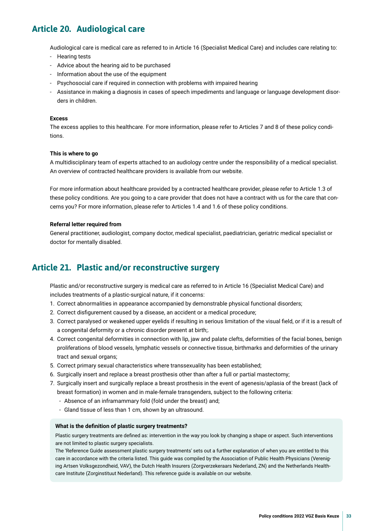### <span id="page-32-0"></span>**Article 20. Audiological care**

Audiological care is medical care as referred to in Article 16 (Specialist Medical Care) and includes care relating to:

- Hearing tests
- Advice about the hearing aid to be purchased
- Information about the use of the equipment
- Psychosocial care if required in connection with problems with impaired hearing
- Assistance in making a diagnosis in cases of speech impediments and language or language development disorders in children.

### **Excess**

The excess applies to this healthcare. For more information, please refer to Articles 7 and 8 of these policy conditions.

#### **This is where to go**

A multidisciplinary team of experts attached to an audiology centre under the responsibility of a medical specialist. An overview of contracted healthcare providers is available from our website.

For more information about healthcare provided by a contracted healthcare provider, please refer to Article 1.3 of these policy conditions. Are you going to a care provider that does not have a contract with us for the care that concerns you? For more information, please refer to Articles 1.4 and 1.6 of these policy conditions.

#### **Referral letter required from**

General practitioner, audiologist, company doctor, medical specialist, paediatrician, geriatric medical specialist or doctor for mentally disabled.

### **Article 21. Plastic and/or reconstructive surgery**

Plastic and/or reconstructive surgery is medical care as referred to in Article 16 (Specialist Medical Care) and includes treatments of a plastic-surgical nature, if it concerns:

- 1. Correct abnormalities in appearance accompanied by demonstrable physical functional disorders;
- 2. Correct disfgurement caused by a disease, an accident or a medical procedure;
- 3. Correct paralysed or weakened upper eyelids if resulting in serious limitation of the visual feld, or if it is a result of a congenital deformity or a chronic disorder present at birth;.
- 4. Correct congenital deformities in connection with lip, jaw and palate clefts, deformities of the facial bones, benign proliferations of blood vessels, lymphatic vessels or connective tissue, birthmarks and deformities of the urinary tract and sexual organs;
- 5. Correct primary sexual characteristics where transsexuality has been established;
- 6. Surgically insert and replace a breast prosthesis other than after a full or partial mastectomy;
- 7. Surgically insert and surgically replace a breast prosthesis in the event of agenesis/aplasia of the breast (lack of breast formation) in women and in male-female transgenders, subject to the following criteria:
	- Absence of an inframammary fold (fold under the breast) and;
	- Gland tissue of less than 1 cm, shown by an ultrasound.

### **What is the defnition of plastic surgery treatments?**

Plastic surgery treatments are defned as: intervention in the way you look by changing a shape or aspect. Such interventions are not limited to plastic surgery specialists.

The 'Reference Guide assessment plastic surgery treatments' sets out a further explanation of when you are entitled to this care in accordance with the criteria listed. This guide was compiled by the Association of Public Health Physicians (Vereniging Artsen Volksgezondheid, VAV), the Dutch Health Insurers (Zorgverzekeraars Nederland, ZN) and the Netherlands Healthcare Institute (Zorginstituut Nederland). This reference guide is available on our website.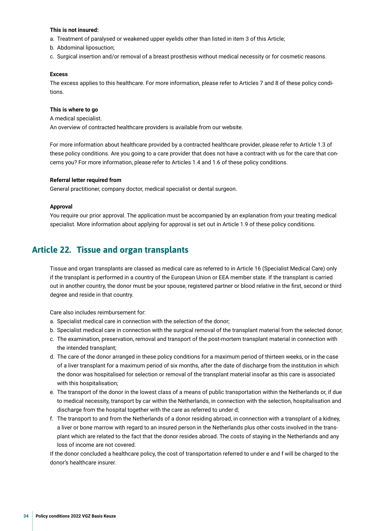### <span id="page-33-0"></span>**This is not insured:**

- a. Treatment of paralysed or weakened upper eyelids other than listed in item 3 of this Article;
- b. Abdominal liposuction;
- c. Surgical insertion and/or removal of a breast prosthesis without medical necessity or for cosmetic reasons.

### **Excess**

The excess applies to this healthcare. For more information, please refer to Articles 7 and 8 of these policy conditions.

### **This is where to go**

A medical specialist. An overview of contracted healthcare providers is available from our website.

For more information about healthcare provided by a contracted healthcare provider, please refer to Article 1.3 of these policy conditions. Are you going to a care provider that does not have a contract with us for the care that concerns you? For more information, please refer to Articles 1.4 and 1.6 of these policy conditions.

#### **Referral letter required from**

General practitioner, company doctor, medical specialist or dental surgeon.

#### **Approval**

You require our prior approval. The application must be accompanied by an explanation from your treating medical specialist. More information about applying for approval is set out in Article 1.9 of these policy conditions.

### **Article 22. Tissue and organ transplants**

Tissue and organ transplants are classed as medical care as referred to in Article 16 (Specialist Medical Care) only if the transplant is performed in a country of the European Union or EEA member state. If the transplant is carried out in another country, the donor must be your spouse, registered partner or blood relative in the frst, second or third degree and reside in that country.

Care also includes reimbursement for:

- a. Specialist medical care in connection with the selection of the donor;
- b. Specialist medical care in connection with the surgical removal of the transplant material from the selected donor;
- c. The examination, preservation, removal and transport of the post-mortem transplant material in connection with the intended transplant;
- d. The care of the donor arranged in these policy conditions for a maximum period of thirteen weeks, or in the case of a liver transplant for a maximum period of six months, after the date of discharge from the institution in which the donor was hospitalised for selection or removal of the transplant material insofar as this care is associated with this hospitalisation;
- e. The transport of the donor in the lowest class of a means of public transportation within the Netherlands or, if due to medical necessity, transport by car within the Netherlands, in connection with the selection, hospitalisation and discharge from the hospital together with the care as referred to under d;
- f. The transport to and from the Netherlands of a donor residing abroad, in connection with a transplant of a kidney, a liver or bone marrow with regard to an insured person in the Netherlands plus other costs involved in the transplant which are related to the fact that the donor resides abroad. The costs of staying in the Netherlands and any loss of income are not covered.

If the donor concluded a healthcare policy, the cost of transportation referred to under e and f will be charged to the donor's healthcare insurer.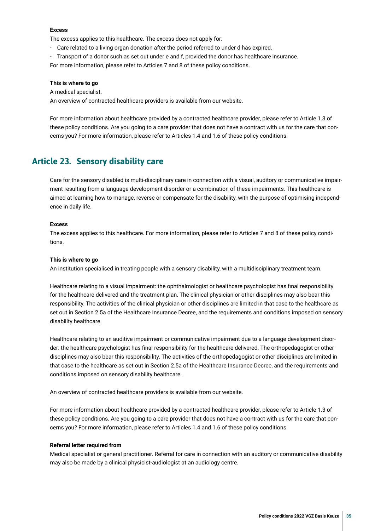### <span id="page-34-0"></span>**Excess**

The excess applies to this healthcare. The excess does not apply for:

- Care related to a living organ donation after the period referred to under d has expired.
- Transport of a donor such as set out under e and f, provided the donor has healthcare insurance.

For more information, please refer to Articles 7 and 8 of these policy conditions.

#### **This is where to go**

A medical specialist.

An overview of contracted healthcare providers is available from our website.

For more information about healthcare provided by a contracted healthcare provider, please refer to Article 1.3 of these policy conditions. Are you going to a care provider that does not have a contract with us for the care that concerns you? For more information, please refer to Articles 1.4 and 1.6 of these policy conditions.

### **Article 23. Sensory disability care**

Care for the sensory disabled is multi-disciplinary care in connection with a visual, auditory or communicative impairment resulting from a language development disorder or a combination of these impairments. This healthcare is aimed at learning how to manage, reverse or compensate for the disability, with the purpose of optimising independence in daily life.

### **Excess**

The excess applies to this healthcare. For more information, please refer to Articles 7 and 8 of these policy conditions.

#### **This is where to go**

An institution specialised in treating people with a sensory disability, with a multidisciplinary treatment team.

Healthcare relating to a visual impairment: the ophthalmologist or healthcare psychologist has fnal responsibility for the healthcare delivered and the treatment plan. The clinical physician or other disciplines may also bear this responsibility. The activities of the clinical physician or other disciplines are limited in that case to the healthcare as set out in Section 2.5a of the Healthcare Insurance Decree, and the requirements and conditions imposed on sensory disability healthcare.

Healthcare relating to an auditive impairment or communicative impairment due to a language development disorder: the healthcare psychologist has fnal responsibility for the healthcare delivered. The orthopedagogist or other disciplines may also bear this responsibility. The activities of the orthopedagogist or other disciplines are limited in that case to the healthcare as set out in Section 2.5a of the Healthcare Insurance Decree, and the requirements and conditions imposed on sensory disability healthcare.

An overview of contracted healthcare providers is available from our website.

For more information about healthcare provided by a contracted healthcare provider, please refer to Article 1.3 of these policy conditions. Are you going to a care provider that does not have a contract with us for the care that concerns you? For more information, please refer to Articles 1.4 and 1.6 of these policy conditions.

#### **Referral letter required from**

Medical specialist or general practitioner. Referral for care in connection with an auditory or communicative disability may also be made by a clinical physicist-audiologist at an audiology centre.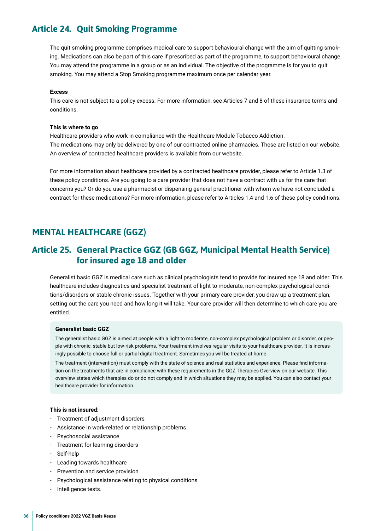### <span id="page-35-0"></span>**Article 24. Quit Smoking Programme**

The quit smoking programme comprises medical care to support behavioural change with the aim of quitting smoking. Medications can also be part of this care if prescribed as part of the programme, to support behavioural change. You may attend the programme in a group or as an individual. The objective of the programme is for you to quit smoking. You may attend a Stop Smoking programme maximum once per calendar year.

### **Excess**

This care is not subject to a policy excess. For more information, see Articles 7 and 8 of these insurance terms and conditions.

#### **This is where to go**

Healthcare providers who work in compliance with the Healthcare Module Tobacco Addiction. The medications may only be delivered by one of our contracted online pharmacies. These are listed on our website. An overview of contracted healthcare providers is available from our website.

For more information about healthcare provided by a contracted healthcare provider, please refer to Article 1.3 of these policy conditions. Are you going to a care provider that does not have a contract with us for the care that concerns you? Or do you use a pharmacist or dispensing general practitioner with whom we have not concluded a contract for these medications? For more information, please refer to Articles 1.4 and 1.6 of these policy conditions.

### **MENTAL HEALTHCARE (GGZ)**

### **Article 25. General Practice GGZ (GB GGZ, Municipal Mental Health Service) for insured age 18 and older**

Generalist basic GGZ is medical care such as clinical psychologists tend to provide for insured age 18 and older. This healthcare includes diagnostics and specialist treatment of light to moderate, non-complex psychological conditions/disorders or stable chronic issues. Together with your primary care provider, you draw up a treatment plan, setting out the care you need and how long it will take. Your care provider will then determine to which care you are entitled.

#### **Generalist basic GGZ**

The generalist basic GGZ is aimed at people with a light to moderate, non-complex psychological problem or disorder, or people with chronic, stable but low-risk problems. Your treatment involves regular visits to your healthcare provider. It is increasingly possible to choose full or partial digital treatment. Sometimes you will be treated at home.

The treatment (intervention) must comply with the state of science and real statistics and experience. Please fnd information on the treatments that are in compliance with these requirements in the GGZ Therapies Overview on our website. This overview states which therapies do or do not comply and in which situations they may be applied. You can also contact your healthcare provider for information.

### **This is not insured:**

- Treatment of adjustment disorders
- Assistance in work-related or relationship problems
- Psychosocial assistance
- Treatment for learning disorders
- Self-help
- Leading towards healthcare
- Prevention and service provision
- Psychological assistance relating to physical conditions
- Intelligence tests.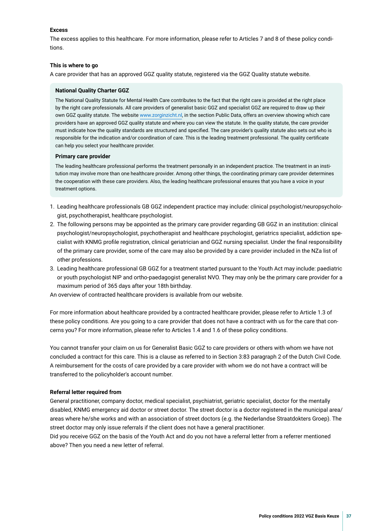### **Excess**

The excess applies to this healthcare. For more information, please refer to Articles 7 and 8 of these policy conditions.

### **This is where to go**

A care provider that has an approved GGZ quality statute, registered via the GGZ Quality statute website.

### **National Quality Charter GGZ**

The National Quality Statute for Mental Health Care contributes to the fact that the right care is provided at the right place by the right care professionals. All care providers of generalist basic GGZ and specialist GGZ are required to draw up their own GGZ quality statute. The website [www.zorginzicht.nl](http://www.zorginzicht.nl), in the section Public Data, offers an overview showing which care providers have an approved GGZ quality statute and where you can view the statute. In the quality statute, the care provider must indicate how the quality standards are structured and specifed. The care provider's quality statute also sets out who is responsible for the indication and/or coordination of care. This is the leading treatment professional. The quality certifcate can help you select your healthcare provider.

#### **Primary care provider**

The leading healthcare professional performs the treatment personally in an independent practice. The treatment in an institution may involve more than one healthcare provider. Among other things, the coordinating primary care provider determines the cooperation with these care providers. Also, the leading healthcare professional ensures that you have a voice in your treatment options.

- 1. Leading healthcare professionals GB GGZ independent practice may include: clinical psychologist/neuropsychologist, psychotherapist, healthcare psychologist.
- 2. The following persons may be appointed as the primary care provider regarding GB GGZ in an institution: clinical psychologist/neuropsychologist, psychotherapist and healthcare psychologist, geriatrics specialist, addiction specialist with KNMG profle registration, clinical geriatrician and GGZ nursing specialist. Under the fnal responsibility of the primary care provider, some of the care may also be provided by a care provider included in the NZa list of other professions.
- 3. Leading healthcare professional GB GGZ for a treatment started pursuant to the Youth Act may include: paediatric or youth psychologist NIP and ortho-paedagogist generalist NVO. They may only be the primary care provider for a maximum period of 365 days after your 18th birthday.

An overview of contracted healthcare providers is available from our website.

For more information about healthcare provided by a contracted healthcare provider, please refer to Article 1.3 of these policy conditions. Are you going to a care provider that does not have a contract with us for the care that concerns you? For more information, please refer to Articles 1.4 and 1.6 of these policy conditions.

You cannot transfer your claim on us for Generalist Basic GGZ to care providers or others with whom we have not concluded a contract for this care. This is a clause as referred to in Section 3:83 paragraph 2 of the Dutch Civil Code. A reimbursement for the costs of care provided by a care provider with whom we do not have a contract will be transferred to the policyholder's account number.

### **Referral letter required from**

General practitioner, company doctor, medical specialist, psychiatrist, geriatric specialist, doctor for the mentally disabled, KNMG emergency aid doctor or street doctor. The street doctor is a doctor registered in the municipal area/ areas where he/she works and with an association of street doctors (e.g. the Nederlandse Straatdokters Groep). The street doctor may only issue referrals if the client does not have a general practitioner.

Did you receive GGZ on the basis of the Youth Act and do you not have a referral letter from a referrer mentioned above? Then you need a new letter of referral.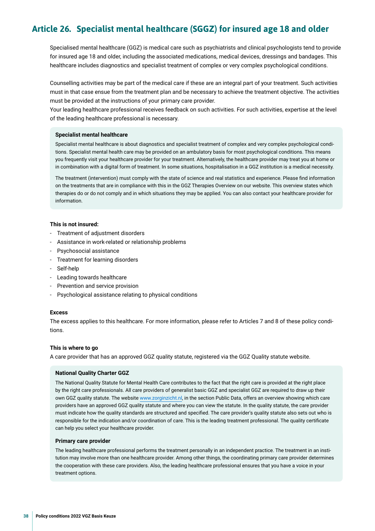### <span id="page-37-0"></span>**Article 26. Specialist mental healthcare (SGGZ) for insured age 18 and older**

Specialised mental healthcare (GGZ) is medical care such as psychiatrists and clinical psychologists tend to provide for insured age 18 and older, including the associated medications, medical devices, dressings and bandages. This healthcare includes diagnostics and specialist treatment of complex or very complex psychological conditions.

Counselling activities may be part of the medical care if these are an integral part of your treatment. Such activities must in that case ensue from the treatment plan and be necessary to achieve the treatment objective. The activities must be provided at the instructions of your primary care provider.

Your leading healthcare professional receives feedback on such activities. For such activities, expertise at the level of the leading healthcare professional is necessary.

### **Specialist mental healthcare**

Specialist mental healthcare is about diagnostics and specialist treatment of complex and very complex psychological conditions. Specialist mental health care may be provided on an ambulatory basis for most psychological conditions. This means you frequently visit your healthcare provider for your treatment. Alternatively, the healthcare provider may treat you at home or in combination with a digital form of treatment. In some situations, hospitalisation in a GGZ institution is a medical necessity.

The treatment (intervention) must comply with the state of science and real statistics and experience. Please fnd information on the treatments that are in compliance with this in the GGZ Therapies Overview on our website. This overview states which therapies do or do not comply and in which situations they may be applied. You can also contact your healthcare provider for information.

### **This is not insured:**

- Treatment of adjustment disorders
- Assistance in work-related or relationship problems
- Psychosocial assistance
- Treatment for learning disorders
- Self-help
- Leading towards healthcare
- Prevention and service provision
- Psychological assistance relating to physical conditions

### **Excess**

The excess applies to this healthcare. For more information, please refer to Articles 7 and 8 of these policy conditions.

### **This is where to go**

A care provider that has an approved GGZ quality statute, registered via the GGZ Quality statute website.

### **National Quality Charter GGZ**

The National Quality Statute for Mental Health Care contributes to the fact that the right care is provided at the right place by the right care professionals. All care providers of generalist basic GGZ and specialist GGZ are required to draw up their own GGZ quality statute. The website [www.zorginzicht.nl](http://www.zorginzicht.nl), in the section Public Data, offers an overview showing which care providers have an approved GGZ quality statute and where you can view the statute. In the quality statute, the care provider must indicate how the quality standards are structured and specifed. The care provider's quality statute also sets out who is responsible for the indication and/or coordination of care. This is the leading treatment professional. The quality certifcate can help you select your healthcare provider.

### **Primary care provider**

The leading healthcare professional performs the treatment personally in an independent practice. The treatment in an institution may involve more than one healthcare provider. Among other things, the coordinating primary care provider determines the cooperation with these care providers. Also, the leading healthcare professional ensures that you have a voice in your treatment options.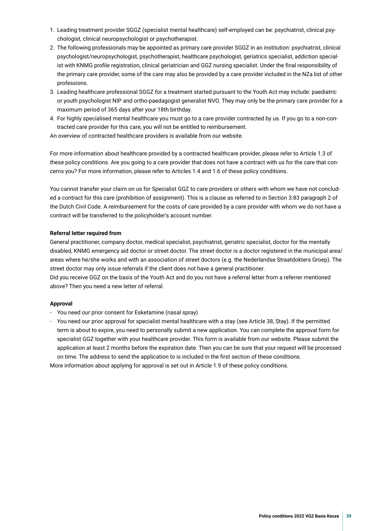- 1. Leading treatment provider SGGZ (specialist mental healthcare) self-employed can be: psychiatrist, clinical psychologist, clinical neuropsychologist or psychotherapist.
- 2. The following professionals may be appointed as primary care provider SGGZ in an institution: psychiatrist, clinical psychologist/neuropsychologist, psychotherapist, healthcare psychologist, geriatrics specialist, addiction specialist with KNMG profle registration, clinical geriatrician and GGZ nursing specialist. Under the fnal responsibility of the primary care provider, some of the care may also be provided by a care provider included in the NZa list of other professions.
- 3. Leading healthcare professional SGGZ for a treatment started pursuant to the Youth Act may include: paediatric or youth psychologist NIP and ortho-paedagogist generalist NVO. They may only be the primary care provider for a maximum period of 365 days after your 18th birthday.
- 4. For highly specialised mental healthcare you must go to a care provider contracted by us. If you go to a non-contracted care provider for this care, you will not be entitled to reimbursement.

An overview of contracted healthcare providers is available from our website.

For more information about healthcare provided by a contracted healthcare provider, please refer to Article 1.3 of these policy conditions. Are you going to a care provider that does not have a contract with us for the care that concerns you? For more information, please refer to Articles 1.4 and 1.6 of these policy conditions.

You cannot transfer your claim on us for Specialist GGZ to care providers or others with whom we have not concluded a contract for this care (prohibition of assignment). This is a clause as referred to in Section 3:83 paragraph 2 of the Dutch Civil Code. A reimbursement for the costs of care provided by a care provider with whom we do not have a contract will be transferred to the policyholder's account number.

### **Referral letter required from**

General practitioner, company doctor, medical specialist, psychiatrist, geriatric specialist, doctor for the mentally disabled, KNMG emergency aid doctor or street doctor. The street doctor is a doctor registered in the municipal area/ areas where he/she works and with an association of street doctors (e.g. the Nederlandse Straatdokters Groep). The street doctor may only issue referrals if the client does not have a general practitioner.

Did you receive GGZ on the basis of the Youth Act and do you not have a referral letter from a referrer mentioned above? Then you need a new letter of referral.

### **Approval**

- You need our prior consent for Esketamine (nasal spray)
- You need our prior approval for specialist mental healthcare with a stay (see Article 38, Stay). If the permitted term is about to expire, you need to personally submit a new application. You can complete the approval form for specialist GGZ together with your healthcare provider. This form is available from our website. Please submit the application at least 2 months before the expiration date. Then you can be sure that your request will be processed on time. The address to send the application to is included in the frst section of these conditions.

More information about applying for approval is set out in Article 1.9 of these policy conditions.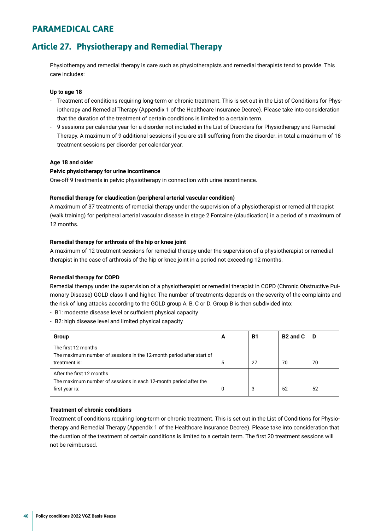### <span id="page-39-0"></span>**PARAMEDICAL CARE**

### **Article 27. Physiotherapy and Remedial Therapy**

Physiotherapy and remedial therapy is care such as physiotherapists and remedial therapists tend to provide. This care includes:

### **Up to age 18**

- Treatment of conditions requiring long-term or chronic treatment. This is set out in the List of Conditions for Physiotherapy and Remedial Therapy (Appendix 1 of the Healthcare Insurance Decree). Please take into consideration that the duration of the treatment of certain conditions is limited to a certain term.
- 9 sessions per calendar year for a disorder not included in the List of Disorders for Physiotherapy and Remedial Therapy. A maximum of 9 additional sessions if you are still suffering from the disorder: in total a maximum of 18 treatment sessions per disorder per calendar year.

### **Age 18 and older**

### **Pelvic physiotherapy for urine incontinence**

One-off 9 treatments in pelvic physiotherapy in connection with urine incontinence.

### **Remedial therapy for claudication (peripheral arterial vascular condition)**

A maximum of 37 treatments of remedial therapy under the supervision of a physiotherapist or remedial therapist (walk training) for peripheral arterial vascular disease in stage 2 Fontaine (claudication) in a period of a maximum of 12 months.

### **Remedial therapy for arthrosis of the hip or knee joint**

A maximum of 12 treatment sessions for remedial therapy under the supervision of a physiotherapist or remedial therapist in the case of arthrosis of the hip or knee joint in a period not exceeding 12 months.

### **Remedial therapy for COPD**

Remedial therapy under the supervision of a physiotherapist or remedial therapist in COPD (Chronic Obstructive Pulmonary Disease) GOLD class II and higher. The number of treatments depends on the severity of the complaints and the risk of lung attacks according to the GOLD group A, B, C or D. Group B is then subdivided into:

- B1: moderate disease level or sufficient physical capacity
- B2: high disease level and limited physical capacity

| Group                                                                                         | A | <b>B1</b> | B <sub>2</sub> and C | Ð  |
|-----------------------------------------------------------------------------------------------|---|-----------|----------------------|----|
| The first 12 months<br>The maximum number of sessions in the 12-month period after start of   |   |           |                      |    |
| treatment is:                                                                                 | 5 | 27        | 70                   | 70 |
| After the first 12 months<br>The maximum number of sessions in each 12-month period after the |   |           |                      |    |
| first year is:                                                                                | 0 | 3         | 52                   | 52 |

### **Treatment of chronic conditions**

Treatment of conditions requiring long-term or chronic treatment. This is set out in the List of Conditions for Physiotherapy and Remedial Therapy (Appendix 1 of the Healthcare Insurance Decree). Please take into consideration that the duration of the treatment of certain conditions is limited to a certain term. The first 20 treatment sessions will not be reimbursed.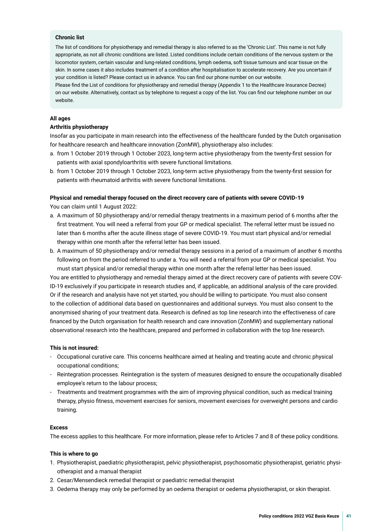### **Chronic list**

The list of conditions for physiotherapy and remedial therapy is also referred to as the 'Chronic List'. This name is not fully appropriate, as not all chronic conditions are listed. Listed conditions include certain conditions of the nervous system or the locomotor system, certain vascular and lung-related conditions, lymph oedema, soft tissue tumours and scar tissue on the skin. In some cases it also includes treatment of a condition after hospitalisation to accelerate recovery. Are you uncertain if your condition is listed? Please contact us in advance. You can fnd our phone number on our website.

Please fnd the List of conditions for physiotherapy and remedial therapy (Appendix 1 to the Healthcare Insurance Decree) on our website. Alternatively, contact us by telephone to request a copy of the list. You can fnd our telephone number on our website.

### **All ages**

### **Arthritis physiotherapy**

Insofar as you participate in main research into the effectiveness of the healthcare funded by the Dutch organisation for healthcare research and healthcare innovation (ZonMW), physiotherapy also includes:

- a. from 1 October 2019 through 1 October 2023, long-term active physiotherapy from the twenty-frst session for patients with axial spondyloarthritis with severe functional limitations.
- b. from 1 October 2019 through 1 October 2023, long-term active physiotherapy from the twenty-frst session for patients with rheumatoid arthritis with severe functional limitations.

### **Physical and remedial therapy focused on the direct recovery care of patients with severe COVID-19**

You can claim until 1 August 2022:

- a. A maximum of 50 physiotherapy and/or remedial therapy treatments in a maximum period of 6 months after the frst treatment. You will need a referral from your GP or medical specialist. The referral letter must be issued no later than 6 months after the acute illness stage of severe COVID-19. You must start physical and/or remedial therapy within one month after the referral letter has been issued.
- b. A maximum of 50 physiotherapy and/or remedial therapy sessions in a period of a maximum of another 6 months following on from the period referred to under a. You will need a referral from your GP or medical specialist. You must start physical and/or remedial therapy within one month after the referral letter has been issued.

You are entitled to physiotherapy and remedial therapy aimed at the direct recovery care of patients with severe COV-ID-19 exclusively if you participate in research studies and, if applicable, an additional analysis of the care provided. Or if the research and analysis have not yet started, you should be willing to participate. You must also consent to the collection of additional data based on questionnaires and additional surveys. You must also consent to the anonymised sharing of your treatment data. Research is defned as top line research into the effectiveness of care fnanced by the Dutch organisation for health research and care innovation (ZonMW) and supplementary national observational research into the healthcare, prepared and performed in collaboration with the top line research.

### **This is not insured:**

- Occupational curative care. This concerns healthcare aimed at healing and treating acute and chronic physical occupational conditions;
- Reintegration processes. Reintegration is the system of measures designed to ensure the occupationally disabled employee's return to the labour process;
- Treatments and treatment programmes with the aim of improving physical condition, such as medical training therapy, physio ftness, movement exercises for seniors, movement exercises for overweight persons and cardio training.

### **Excess**

The excess applies to this healthcare. For more information, please refer to Articles 7 and 8 of these policy conditions.

### **This is where to go**

- 1. Physiotherapist, paediatric physiotherapist, pelvic physiotherapist, psychosomatic physiotherapist, geriatric physiotherapist and a manual therapist
- 2. Cesar/Mensendieck remedial therapist or paediatric remedial therapist
- 3. Oedema therapy may only be performed by an oedema therapist or oedema physiotherapist, or skin therapist.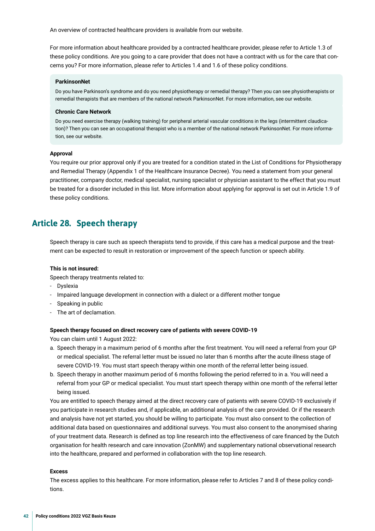<span id="page-41-0"></span>An overview of contracted healthcare providers is available from our website.

For more information about healthcare provided by a contracted healthcare provider, please refer to Article 1.3 of these policy conditions. Are you going to a care provider that does not have a contract with us for the care that concerns you? For more information, please refer to Articles 1.4 and 1.6 of these policy conditions.

#### **ParkinsonNet**

Do you have Parkinson's syndrome and do you need physiotherapy or remedial therapy? Then you can see physiotherapists or remedial therapists that are members of the national network ParkinsonNet. For more information, see our website.

#### **Chronic Care Network**

Do you need exercise therapy (walking training) for peripheral arterial vascular conditions in the legs (intermittent claudication)? Then you can see an occupational therapist who is a member of the national network ParkinsonNet. For more information, see our website.

#### **Approval**

You require our prior approval only if you are treated for a condition stated in the List of Conditions for Physiotherapy and Remedial Therapy (Appendix 1 of the Healthcare Insurance Decree). You need a statement from your general practitioner, company doctor, medical specialist, nursing specialist or physician assistant to the effect that you must be treated for a disorder included in this list. More information about applying for approval is set out in Article 1.9 of these policy conditions.

### **Article 28. Speech therapy**

Speech therapy is care such as speech therapists tend to provide, if this care has a medical purpose and the treatment can be expected to result in restoration or improvement of the speech function or speech ability.

#### **This is not insured:**

Speech therapy treatments related to:

- Dyslexia
- Impaired language development in connection with a dialect or a different mother tongue
- Speaking in public
- The art of declamation.

#### **Speech therapy focused on direct recovery care of patients with severe COVID-19**

You can claim until 1 August 2022:

- a. Speech therapy in a maximum period of 6 months after the frst treatment. You will need a referral from your GP or medical specialist. The referral letter must be issued no later than 6 months after the acute illness stage of severe COVID-19. You must start speech therapy within one month of the referral letter being issued.
- b. Speech therapy in another maximum period of 6 months following the period referred to in a. You will need a referral from your GP or medical specialist. You must start speech therapy within one month of the referral letter being issued.

You are entitled to speech therapy aimed at the direct recovery care of patients with severe COVID-19 exclusively if you participate in research studies and, if applicable, an additional analysis of the care provided. Or if the research and analysis have not yet started, you should be willing to participate. You must also consent to the collection of additional data based on questionnaires and additional surveys. You must also consent to the anonymised sharing of your treatment data. Research is defned as top line research into the effectiveness of care fnanced by the Dutch organisation for health research and care innovation (ZonMW) and supplementary national observational research into the healthcare, prepared and performed in collaboration with the top line research.

### **Excess**

The excess applies to this healthcare. For more information, please refer to Articles 7 and 8 of these policy conditions.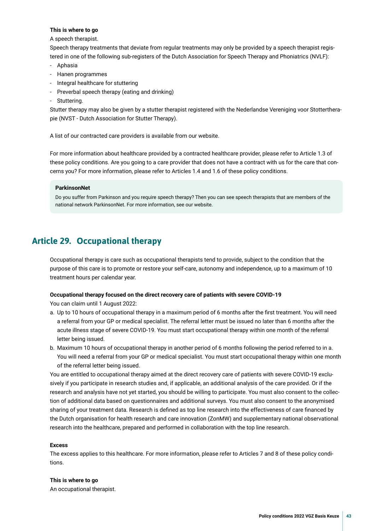### <span id="page-42-0"></span>**This is where to go**

### A speech therapist.

Speech therapy treatments that deviate from regular treatments may only be provided by a speech therapist registered in one of the following sub-registers of the Dutch Association for Speech Therapy and Phoniatrics (NVLF):

- Aphasia
- Hanen programmes
- Integral healthcare for stuttering
- Preverbal speech therapy (eating and drinking)
- Stuttering.

Stutter therapy may also be given by a stutter therapist registered with the Nederlandse Vereniging voor Stottertherapie (NVST - Dutch Association for Stutter Therapy).

A list of our contracted care providers is available from our website.

For more information about healthcare provided by a contracted healthcare provider, please refer to Article 1.3 of these policy conditions. Are you going to a care provider that does not have a contract with us for the care that concerns you? For more information, please refer to Articles 1.4 and 1.6 of these policy conditions.

### **ParkinsonNet**

Do you suffer from Parkinson and you require speech therapy? Then you can see speech therapists that are members of the national network ParkinsonNet. For more information, see our website.

### **Article 29. Occupational therapy**

Occupational therapy is care such as occupational therapists tend to provide, subject to the condition that the purpose of this care is to promote or restore your self-care, autonomy and independence, up to a maximum of 10 treatment hours per calendar year.

### **Occupational therapy focused on the direct recovery care of patients with severe COVID-19**

You can claim until 1 August 2022:

- a. Up to 10 hours of occupational therapy in a maximum period of 6 months after the frst treatment. You will need a referral from your GP or medical specialist. The referral letter must be issued no later than 6 months after the acute illness stage of severe COVID-19. You must start occupational therapy within one month of the referral letter being issued.
- b. Maximum 10 hours of occupational therapy in another period of 6 months following the period referred to in a. You will need a referral from your GP or medical specialist. You must start occupational therapy within one month of the referral letter being issued.

You are entitled to occupational therapy aimed at the direct recovery care of patients with severe COVID-19 exclusively if you participate in research studies and, if applicable, an additional analysis of the care provided. Or if the research and analysis have not yet started, you should be willing to participate. You must also consent to the collection of additional data based on questionnaires and additional surveys. You must also consent to the anonymised sharing of your treatment data. Research is defned as top line research into the effectiveness of care fnanced by the Dutch organisation for health research and care innovation (ZonMW) and supplementary national observational research into the healthcare, prepared and performed in collaboration with the top line research.

### **Excess**

The excess applies to this healthcare. For more information, please refer to Articles 7 and 8 of these policy conditions.

### **This is where to go**

An occupational therapist.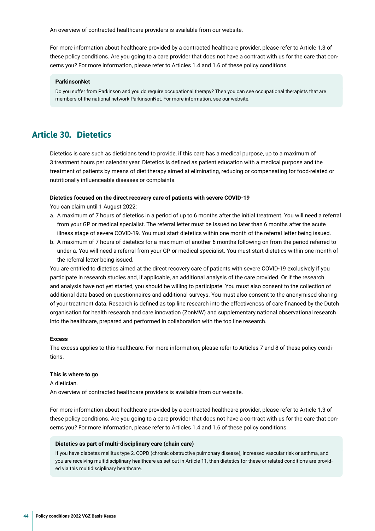<span id="page-43-0"></span>An overview of contracted healthcare providers is available from our website.

For more information about healthcare provided by a contracted healthcare provider, please refer to Article 1.3 of these policy conditions. Are you going to a care provider that does not have a contract with us for the care that concerns you? For more information, please refer to Articles 1.4 and 1.6 of these policy conditions.

#### **ParkinsonNet**

Do you suffer from Parkinson and you do require occupational therapy? Then you can see occupational therapists that are members of the national network ParkinsonNet. For more information, see our website.

### **Article 30. Dietetics**

Dietetics is care such as dieticians tend to provide, if this care has a medical purpose, up to a maximum of 3 treatment hours per calendar year. Dietetics is defned as patient education with a medical purpose and the treatment of patients by means of diet therapy aimed at eliminating, reducing or compensating for food-related or nutritionally infuenceable diseases or complaints.

### **Dietetics focused on the direct recovery care of patients with severe COVID-19**

You can claim until 1 August 2022:

- a. A maximum of 7 hours of dietetics in a period of up to 6 months after the initial treatment. You will need a referral from your GP or medical specialist. The referral letter must be issued no later than 6 months after the acute illness stage of severe COVID-19. You must start dietetics within one month of the referral letter being issued.
- b. A maximum of 7 hours of dietetics for a maximum of another 6 months following on from the period referred to under a. You will need a referral from your GP or medical specialist. You must start dietetics within one month of the referral letter being issued.

You are entitled to dietetics aimed at the direct recovery care of patients with severe COVID-19 exclusively if you participate in research studies and, if applicable, an additional analysis of the care provided. Or if the research and analysis have not yet started, you should be willing to participate. You must also consent to the collection of additional data based on questionnaires and additional surveys. You must also consent to the anonymised sharing of your treatment data. Research is defned as top line research into the effectiveness of care fnanced by the Dutch organisation for health research and care innovation (ZonMW) and supplementary national observational research into the healthcare, prepared and performed in collaboration with the top line research.

#### **Excess**

The excess applies to this healthcare. For more information, please refer to Articles 7 and 8 of these policy conditions.

#### **This is where to go**

A dietician. An overview of contracted healthcare providers is available from our website.

For more information about healthcare provided by a contracted healthcare provider, please refer to Article 1.3 of these policy conditions. Are you going to a care provider that does not have a contract with us for the care that concerns you? For more information, please refer to Articles 1.4 and 1.6 of these policy conditions.

#### **Dietetics as part of multi-disciplinary care (chain care)**

If you have diabetes mellitus type 2, COPD (chronic obstructive pulmonary disease), increased vascular risk or asthma, and you are receiving multidisciplinary healthcare as set out in Article 11, then dietetics for these or related conditions are provided via this multidisciplinary healthcare.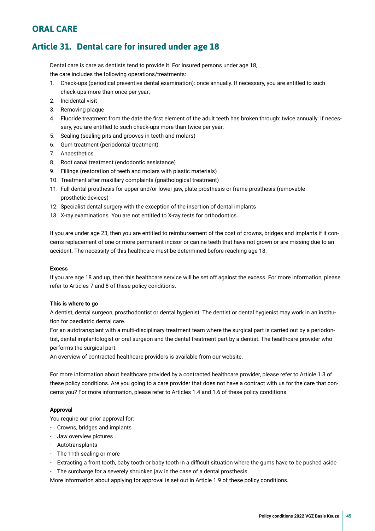### <span id="page-44-0"></span>**ORAL CARE**

### **Article 31. Dental care for insured under age 18**

Dental care is care as dentists tend to provide it. For insured persons under age 18, the care includes the following operations/treatments:

- 1. Check-ups (periodical preventive dental examination): once annually. If necessary, you are entitled to such check-ups more than once per year;
- 2. Incidental visit
- 3. Removing plaque
- 4. Fluoride treatment from the date the frst element of the adult teeth has broken through: twice annually. If necessary, you are entitled to such check-ups more than twice per year;
- 5. Sealing (sealing pits and grooves in teeth and molars)
- 6. Gum treatment (periodontal treatment)
- 7. Anaesthetics
- 8. Root canal treatment (endodontic assistance)
- 9. Fillings (restoration of teeth and molars with plastic materials)
- 10. Treatment after maxillary complaints (gnathological treatment)
- 11. Full dental prosthesis for upper and/or lower jaw, plate prosthesis or frame prosthesis (removable prosthetic devices)
- 12. Specialist dental surgery with the exception of the insertion of dental implants
- 13. X-ray examinations. You are not entitled to X-ray tests for orthodontics.

If you are under age 23, then you are entitled to reimbursement of the cost of crowns, bridges and implants if it concerns replacement of one or more permanent incisor or canine teeth that have not grown or are missing due to an accident. The necessity of this healthcare must be determined before reaching age 18.

### **Excess**

If you are age 18 and up, then this healthcare service will be set off against the excess. For more information, please refer to Articles 7 and 8 of these policy conditions.

### **This is where to go**

A dentist, dental surgeon, prosthodontist or dental hygienist. The dentist or dental hygienist may work in an institution for paediatric dental care.

For an autotransplant with a multi-disciplinary treatment team where the surgical part is carried out by a periodontist, dental implantologist or oral surgeon and the dental treatment part by a dentist. The healthcare provider who performs the surgical part.

An overview of contracted healthcare providers is available from our website.

For more information about healthcare provided by a contracted healthcare provider, please refer to Article 1.3 of these policy conditions. Are you going to a care provider that does not have a contract with us for the care that concerns you? For more information, please refer to Articles 1.4 and 1.6 of these policy conditions.

### **Approval**

You require our prior approval for:

- Crowns, bridges and implants
- Jaw overview pictures
- Autotransplants
- The 11th sealing or more
- Extracting a front tooth, baby tooth or baby tooth in a difcult situation where the gums have to be pushed aside
- The surcharge for a severely shrunken jaw in the case of a dental prosthesis

More information about applying for approval is set out in Article 1.9 of these policy conditions.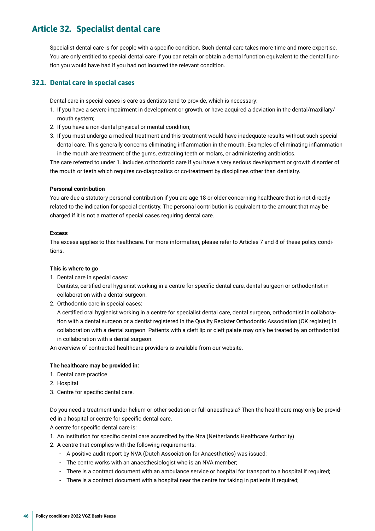### <span id="page-45-0"></span>**Article 32. Specialist dental care**

Specialist dental care is for people with a specifc condition. Such dental care takes more time and more expertise. You are only entitled to special dental care if you can retain or obtain a dental function equivalent to the dental function you would have had if you had not incurred the relevant condition.

### **32.1. Dental care in special cases**

Dental care in special cases is care as dentists tend to provide, which is necessary:

- 1. If you have a severe impairment in development or growth, or have acquired a deviation in the dental/maxillary/ mouth system;
- 2. If you have a non-dental physical or mental condition;
- 3. If you must undergo a medical treatment and this treatment would have inadequate results without such special dental care. This generally concerns eliminating infammation in the mouth. Examples of eliminating infammation in the mouth are treatment of the gums, extracting teeth or molars, or administering antibiotics.

The care referred to under 1. includes orthodontic care if you have a very serious development or growth disorder of the mouth or teeth which requires co-diagnostics or co-treatment by disciplines other than dentistry.

### **Personal contribution**

You are due a statutory personal contribution if you are age 18 or older concerning healthcare that is not directly related to the indication for special dentistry. The personal contribution is equivalent to the amount that may be charged if it is not a matter of special cases requiring dental care.

### **Excess**

The excess applies to this healthcare. For more information, please refer to Articles 7 and 8 of these policy conditions.

### **This is where to go**

- 1. Dental care in special cases: Dentists, certifed oral hygienist working in a centre for specifc dental care, dental surgeon or orthodontist in collaboration with a dental surgeon.
- 2. Orthodontic care in special cases:

A certifed oral hygienist working in a centre for specialist dental care, dental surgeon, orthodontist in collaboration with a dental surgeon or a dentist registered in the Quality Register Orthodontic Association (OK register) in collaboration with a dental surgeon. Patients with a cleft lip or cleft palate may only be treated by an orthodontist in collaboration with a dental surgeon.

An overview of contracted healthcare providers is available from our website.

### **The healthcare may be provided in:**

- 1. Dental care practice
- 2. Hospital
- 3. Centre for specifc dental care.

Do you need a treatment under helium or other sedation or full anaesthesia? Then the healthcare may only be provided in a hospital or centre for specifc dental care.

A centre for specifc dental care is:

- 1. An institution for specifc dental care accredited by the Nza (Netherlands Healthcare Authority)
- 2. A centre that complies with the following requirements:
	- A positive audit report by NVA (Dutch Association for Anaesthetics) was issued;
	- The centre works with an anaesthesiologist who is an NVA member;
	- There is a contract document with an ambulance service or hospital for transport to a hospital if required;
	- There is a contract document with a hospital near the centre for taking in patients if required;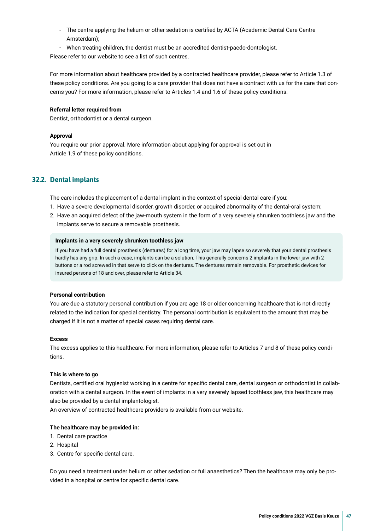- The centre applying the helium or other sedation is certifed by ACTA (Academic Dental Care Centre Amsterdam);
- When treating children, the dentist must be an accredited dentist-paedo-dontologist.

Please refer to our website to see a list of such centres.

For more information about healthcare provided by a contracted healthcare provider, please refer to Article 1.3 of these policy conditions. Are you going to a care provider that does not have a contract with us for the care that concerns you? For more information, please refer to Articles 1.4 and 1.6 of these policy conditions.

### **Referral letter required from**

Dentist, orthodontist or a dental surgeon.

### **Approval**

You require our prior approval. More information about applying for approval is set out in Article 1.9 of these policy conditions.

### **32.2. Dental implants**

The care includes the placement of a dental implant in the context of special dental care if you:

- 1. Have a severe developmental disorder, growth disorder, or acquired abnormality of the dental-oral system;
- 2. Have an acquired defect of the jaw-mouth system in the form of a very severely shrunken toothless jaw and the implants serve to secure a removable prosthesis.

### **Implants in a very severely shrunken toothless jaw**

If you have had a full dental prosthesis (dentures) for a long time, your jaw may lapse so severely that your dental prosthesis hardly has any grip. In such a case, implants can be a solution. This generally concerns 2 implants in the lower jaw with 2 buttons or a rod screwed in that serve to click on the dentures. The dentures remain removable. For prosthetic devices for insured persons of 18 and over, please refer to Article 34.

### **Personal contribution**

You are due a statutory personal contribution if you are age 18 or older concerning healthcare that is not directly related to the indication for special dentistry. The personal contribution is equivalent to the amount that may be charged if it is not a matter of special cases requiring dental care.

### **Excess**

The excess applies to this healthcare. For more information, please refer to Articles 7 and 8 of these policy conditions.

### **This is where to go**

Dentists, certifed oral hygienist working in a centre for specifc dental care, dental surgeon or orthodontist in collaboration with a dental surgeon. In the event of implants in a very severely lapsed toothless jaw, this healthcare may also be provided by a dental implantologist.

An overview of contracted healthcare providers is available from our website.

### **The healthcare may be provided in:**

- 1. Dental care practice
- 2. Hospital
- 3. Centre for specifc dental care.

Do you need a treatment under helium or other sedation or full anaesthetics? Then the healthcare may only be provided in a hospital or centre for specifc dental care.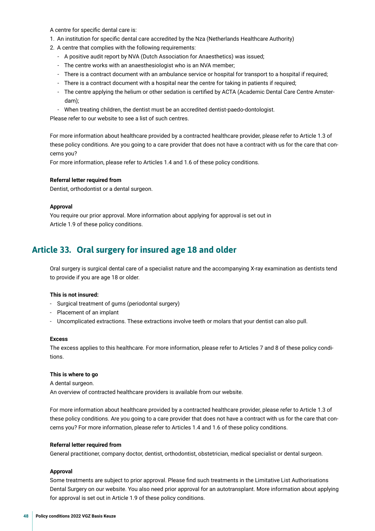<span id="page-47-0"></span>A centre for specifc dental care is:

- 1. An institution for specifc dental care accredited by the Nza (Netherlands Healthcare Authority)
- 2. A centre that complies with the following requirements:
	- A positive audit report by NVA (Dutch Association for Anaesthetics) was issued;
	- The centre works with an anaesthesiologist who is an NVA member;
	- There is a contract document with an ambulance service or hospital for transport to a hospital if required;
	- There is a contract document with a hospital near the centre for taking in patients if required;
	- The centre applying the helium or other sedation is certifed by ACTA (Academic Dental Care Centre Amsterdam);
	- When treating children, the dentist must be an accredited dentist-paedo-dontologist.

Please refer to our website to see a list of such centres.

For more information about healthcare provided by a contracted healthcare provider, please refer to Article 1.3 of these policy conditions. Are you going to a care provider that does not have a contract with us for the care that concerns you?

For more information, please refer to Articles 1.4 and 1.6 of these policy conditions.

### **Referral letter required from**

Dentist, orthodontist or a dental surgeon.

#### **Approval**

You require our prior approval. More information about applying for approval is set out in Article 1.9 of these policy conditions.

### **Article 33. Oral surgery for insured age 18 and older**

Oral surgery is surgical dental care of a specialist nature and the accompanying X-ray examination as dentists tend to provide if you are age 18 or older.

### **This is not insured:**

- Surgical treatment of gums (periodontal surgery)
- Placement of an implant
- Uncomplicated extractions. These extractions involve teeth or molars that your dentist can also pull.

#### **Excess**

The excess applies to this healthcare. For more information, please refer to Articles 7 and 8 of these policy conditions.

#### **This is where to go**

A dental surgeon.

An overview of contracted healthcare providers is available from our website.

For more information about healthcare provided by a contracted healthcare provider, please refer to Article 1.3 of these policy conditions. Are you going to a care provider that does not have a contract with us for the care that concerns you? For more information, please refer to Articles 1.4 and 1.6 of these policy conditions.

### **Referral letter required from**

General practitioner, company doctor, dentist, orthodontist, obstetrician, medical specialist or dental surgeon.

### **Approval**

Some treatments are subject to prior approval. Please fnd such treatments in the Limitative List Authorisations Dental Surgery on our website. You also need prior approval for an autotransplant. More information about applying for approval is set out in Article 1.9 of these policy conditions.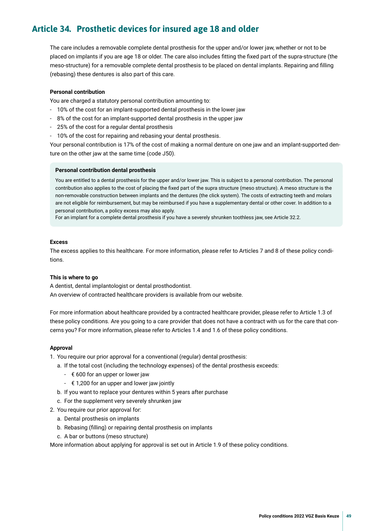### <span id="page-48-0"></span>**Article 34. Prosthetic devices for insured age 18 and older**

The care includes a removable complete dental prosthesis for the upper and/or lower jaw, whether or not to be placed on implants if you are age 18 or older. The care also includes ftting the fxed part of the supra-structure (the meso-structure) for a removable complete dental prosthesis to be placed on dental implants. Repairing and flling (rebasing) these dentures is also part of this care.

### **Personal contribution**

You are charged a statutory personal contribution amounting to:

- 10% of the cost for an implant-supported dental prosthesis in the lower jaw
- 8% of the cost for an implant-supported dental prosthesis in the upper jaw
- 25% of the cost for a regular dental prosthesis
- 10% of the cost for repairing and rebasing your dental prosthesis.

Your personal contribution is 17% of the cost of making a normal denture on one jaw and an implant-supported denture on the other jaw at the same time (code J50).

#### **Personal contribution dental prosthesis**

You are entitled to a dental prosthesis for the upper and/or lower jaw. This is subject to a personal contribution. The personal contribution also applies to the cost of placing the fxed part of the supra structure (meso structure). A meso structure is the non-removable construction between implants and the dentures (the click system). The costs of extracting teeth and molars are not eligible for reimbursement, but may be reimbursed if you have a supplementary dental or other cover. In addition to a personal contribution, a policy excess may also apply.

For an implant for a complete dental prosthesis if you have a severely shrunken toothless jaw, see Article 32.2.

### **Excess**

The excess applies to this healthcare. For more information, please refer to Articles 7 and 8 of these policy conditions.

### **This is where to go**

A dentist, dental implantologist or dental prosthodontist. An overview of contracted healthcare providers is available from our website.

For more information about healthcare provided by a contracted healthcare provider, please refer to Article 1.3 of these policy conditions. Are you going to a care provider that does not have a contract with us for the care that concerns you? For more information, please refer to Articles 1.4 and 1.6 of these policy conditions.

### **Approval**

- 1. You require our prior approval for a conventional (regular) dental prosthesis:
	- a. If the total cost (including the technology expenses) of the dental prosthesis exceeds:
		- $\epsilon$  600 for an upper or lower jaw
		- $\epsilon$  1,200 for an upper and lower jaw jointly
	- b. If you want to replace your dentures within 5 years after purchase
	- c. For the supplement very severely shrunken jaw
- 2. You require our prior approval for:
	- a. Dental prosthesis on implants
	- b. Rebasing (flling) or repairing dental prosthesis on implants
	- c. A bar or buttons (meso structure)

More information about applying for approval is set out in Article 1.9 of these policy conditions.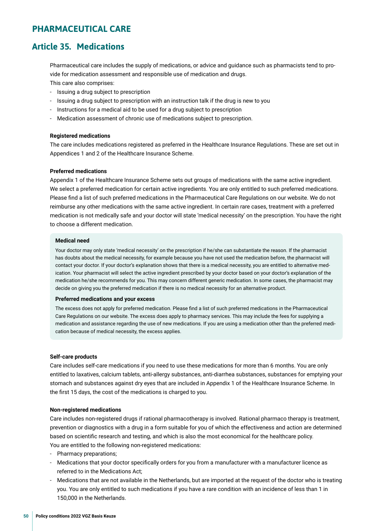### <span id="page-49-0"></span>**PHARMACEUTICAL CARE**

### **Article 35. Medications**

Pharmaceutical care includes the supply of medications, or advice and guidance such as pharmacists tend to provide for medication assessment and responsible use of medication and drugs.

This care also comprises:

- Issuing a drug subject to prescription
- Issuing a drug subject to prescription with an instruction talk if the drug is new to you
- Instructions for a medical aid to be used for a drug subject to prescription
- Medication assessment of chronic use of medications subject to prescription.

### **Registered medications**

The care includes medications registered as preferred in the Healthcare Insurance Regulations. These are set out in Appendices 1 and 2 of the Healthcare Insurance Scheme.

### **Preferred medications**

Appendix 1 of the Healthcare Insurance Scheme sets out groups of medications with the same active ingredient. We select a preferred medication for certain active ingredients. You are only entitled to such preferred medications. Please fnd a list of such preferred medications in the Pharmaceutical Care Regulations on our website. We do not reimburse any other medications with the same active ingredient. In certain rare cases, treatment with a preferred medication is not medically safe and your doctor will state 'medical necessity' on the prescription. You have the right to choose a different medication.

### **Medical need**

Your doctor may only state 'medical necessity' on the prescription if he/she can substantiate the reason. If the pharmacist has doubts about the medical necessity, for example because you have not used the medication before, the pharmacist will contact your doctor. If your doctor's explanation shows that there is a medical necessity, you are entitled to alternative medication. Your pharmacist will select the active ingredient prescribed by your doctor based on your doctor's explanation of the medication he/she recommends for you. This may concern different generic medication. In some cases, the pharmacist may decide on giving you the preferred medication if there is no medical necessity for an alternative product.

### **Preferred medications and your excess**

The excess does not apply for preferred medication. Please fnd a list of such preferred medications in the Pharmaceutical Care Regulations on our website. The excess does apply to pharmacy services. This may include the fees for supplying a medication and assistance regarding the use of new medications. If you are using a medication other than the preferred medication because of medical necessity, the excess applies.

### **Self-care products**

Care includes self-care medications if you need to use these medications for more than 6 months. You are only entitled to laxatives, calcium tablets, anti-allergy substances, anti-diarrhea substances, substances for emptying your stomach and substances against dry eyes that are included in Appendix 1 of the Healthcare Insurance Scheme. In the frst 15 days, the cost of the medications is charged to you.

### **Non-registered medications**

Care includes non-registered drugs if rational pharmacotherapy is involved. Rational pharmaco therapy is treatment, prevention or diagnostics with a drug in a form suitable for you of which the effectiveness and action are determined based on scientifc research and testing, and which is also the most economical for the healthcare policy. You are entitled to the following non-registered medications:

- Pharmacy preparations;
- Medications that your doctor specifcally orders for you from a manufacturer with a manufacturer licence as referred to in the Medications Act;
- Medications that are not available in the Netherlands, but are imported at the request of the doctor who is treating you. You are only entitled to such medications if you have a rare condition with an incidence of less than 1 in 150,000 in the Netherlands.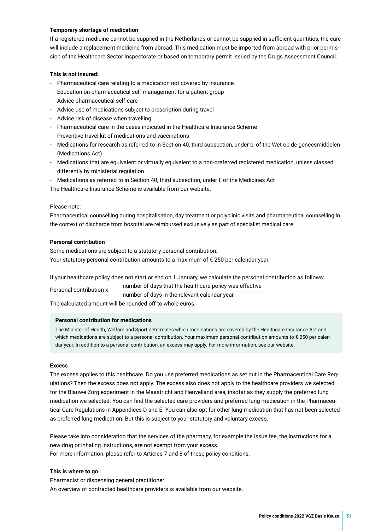### **Temporary shortage of medication**

If a registered medicine cannot be supplied in the Netherlands or cannot be supplied in sufficient quantities, the care will include a replacement medicine from abroad. This medication must be imported from abroad with prior permission of the Healthcare Sector Inspectorate or based on temporary permit issued by the Drugs Assessment Council.

### **This is not insured:**

- Pharmaceutical care relating to a medication not covered by insurance
- Education on pharmaceutical self-management for a patient group
- Advice pharmaceutical self-care
- Advice use of medications subject to prescription during travel
- Advice risk of disease when travelling
- Pharmaceutical care in the cases indicated in the Healthcare Insurance Scheme
- Preventive travel kit of medications and vaccinations
- Medications for research as referred to in Section 40, third subsection, under b, of the Wet op de geneesmiddelen (Medications Act)
- Medications that are equivalent or virtually equivalent to a non-preferred registered medication, unless classed differently by ministerial regulation
- Medications as referred to in Section 40, third subsection, under f, of the Medicines Act

The Healthcare Insurance Scheme is available from our website.

### Please note:

Pharmaceutical counselling during hospitalisation, day treatment or polyclinic visits and pharmaceutical counselling in the context of discharge from hospital are reimbursed exclusively as part of specialist medical care.

### **Personal contribution**

Some medications are subject to a statutory personal contribution. Your statutory personal contribution amounts to a maximum of € 250 per calendar year.

If your healthcare policy does not start or end on 1 January, we calculate the personal contribution as follows: number of days that the healthcare policy was effective Personal contribution x

number of days in the relevant calendar year

The calculated amount will be rounded off to whole euros.

### **Personal contribution for medications**

The Minister of Health, Welfare and Sport determines which medications are covered by the Healthcare Insurance Act and which medications are subject to a personal contribution. Your maximum personal contribution amounts to € 250 per calendar year. In addition to a personal contribution, an excess may apply. For more information, see our website.

### **Excess**

The excess applies to this healthcare. Do you use preferred medications as set out in the Pharmaceutical Care Regulations? Then the excess does not apply. The excess also does not apply to the healthcare providers we selected for the Blauwe Zorg experiment in the Maastricht and Heuvelland area, insofar as they supply the preferred lung medication we selected. You can fnd the selected care providers and preferred lung medication in the Pharmaceutical Care Regulations in Appendices D and E. You can also opt for other lung medication that has not been selected as preferred lung medication. But this is subject to your statutory and voluntary excess.

Please take into consideration that the services of the pharmacy, for example the issue fee, the instructions for a new drug or inhaling instructions, are not exempt from your excess. For more information, please refer to Articles 7 and 8 of these policy conditions.

### **This is where to go**

Pharmacist or dispensing general practitioner. An overview of contracted healthcare providers is available from our website.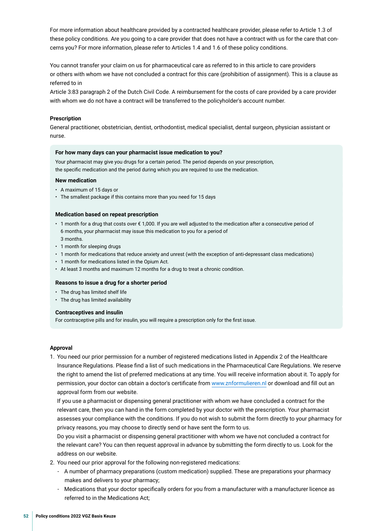For more information about healthcare provided by a contracted healthcare provider, please refer to Article 1.3 of these policy conditions. Are you going to a care provider that does not have a contract with us for the care that concerns you? For more information, please refer to Articles 1.4 and 1.6 of these policy conditions.

You cannot transfer your claim on us for pharmaceutical care as referred to in this article to care providers or others with whom we have not concluded a contract for this care (prohibition of assignment). This is a clause as referred to in

Article 3:83 paragraph 2 of the Dutch Civil Code. A reimbursement for the costs of care provided by a care provider with whom we do not have a contract will be transferred to the policyholder's account number.

### **Prescription**

General practitioner, obstetrician, dentist, orthodontist, medical specialist, dental surgeon, physician assistant or nurse.

#### **For how many days can your pharmacist issue medication to you?**

Your pharmacist may give you drugs for a certain period. The period depends on your prescription, the specifc medication and the period during which you are required to use the medication.

#### **New medication**

- A maximum of 15 days or
- The smallest package if this contains more than you need for 15 days

#### **Medication based on repeat prescription**

- 1 month for a drug that costs over € 1,000. If you are well adjusted to the medication after a consecutive period of 6 months, your pharmacist may issue this medication to you for a period of 3 months.
- 1 month for sleeping drugs
- 1 month for medications that reduce anxiety and unrest (with the exception of anti-depressant class medications)
- 1 month for medications listed in the Opium Act.
- At least 3 months and maximum 12 months for a drug to treat a chronic condition.

#### **Reasons to issue a drug for a shorter period**

- The drug has limited shelf life
- The drug has limited availability

### **Contraceptives and insulin**

For contraceptive pills and for insulin, you will require a prescription only for the frst issue.

### **Approval**

1. You need our prior permission for a number of registered medications listed in Appendix 2 of the Healthcare Insurance Regulations. Please fnd a list of such medications in the Pharmaceutical Care Regulations. We reserve the right to amend the list of preferred medications at any time. You will receive information about it. To apply for permission, your doctor can obtain a doctor's certifcate from [www.znformulieren.nl](https://www.znformulieren.nl) or download and fll out an approval form from our website.

 If you use a pharmacist or dispensing general practitioner with whom we have concluded a contract for the relevant care, then you can hand in the form completed by your doctor with the prescription. Your pharmacist assesses your compliance with the conditions. If you do not wish to submit the form directly to your pharmacy for privacy reasons, you may choose to directly send or have sent the form to us.

 Do you visit a pharmacist or dispensing general practitioner with whom we have not concluded a contract for the relevant care? You can then request approval in advance by submitting the form directly to us. Look for the address on our website.

- 2. You need our prior approval for the following non-registered medications:
	- A number of pharmacy preparations (custom medication) supplied. These are preparations your pharmacy makes and delivers to your pharmacy;
	- Medications that your doctor specifcally orders for you from a manufacturer with a manufacturer licence as referred to in the Medications Act;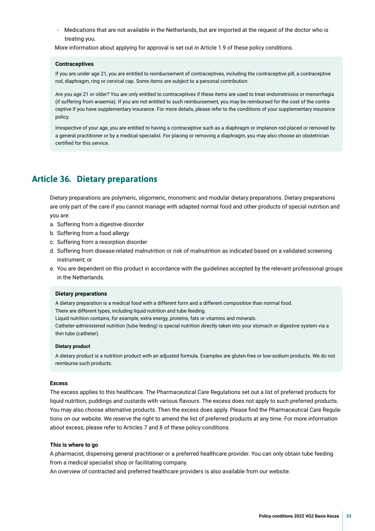<span id="page-52-0"></span>- Medications that are not available in the Netherlands, but are imported at the request of the doctor who is treating you.

More information about applying for approval is set out in Article 1.9 of these policy conditions.

#### **Contraceptives**

If you are under age 21, you are entitled to reimbursement of contraceptives, including the contraceptive pill, a contraceptive rod, diaphragm, ring or cervical cap. Some items are subject to a personal contribution.

Are you age 21 or older? You are only entitled to contraceptives if these items are used to treat endometriosis or menorrhagia (if suffering from anaemia). If you are not entitled to such reimbursement, you may be reimbursed for the cost of the contraceptive if you have supplementary insurance. For more details, please refer to the conditions of your supplementary insurance policy.

Irrespective of your age, you are entitled to having a contraceptive such as a diaphragm or implanon rod placed or removed by a general practitioner or by a medical specialist. For placing or removing a diaphragm, you may also choose an obstetrician certifed for this service.

### **Article 36. Dietary preparations**

Dietary preparations are polymeric, oligomeric, monomeric and modular dietary preparations. Dietary preparations are only part of the care if you cannot manage with adapted normal food and other products of special nutrition and you are:

- a. Suffering from a digestive disorder
- b. Suffering from a food allergy
- c. Suffering from a resorption disorder
- d. Suffering from disease-related malnutrition or risk of malnutrition as indicated based on a validated screening instrument; or
- e. You are dependent on this product in accordance with the guidelines accepted by the relevant professional groups in the Netherlands.

#### **Dietary preparations**

A dietary preparation is a medical food with a different form and a different composition than normal food. There are different types, including liquid nutrition and tube feeding.

Liquid nutrition contains, for example, extra energy, proteins, fats or vitamins and minerals.

Catheter-administered nutrition (tube feeding) is special nutrition directly taken into your stomach or digestive system via a thin tube (catheter).

#### **Dietary product**

A dietary product is a nutrition product with an adjusted formula. Examples are gluten-free or low-sodium products. We do not reimburse such products.

### **Excess**

The excess applies to this healthcare. The Pharmaceutical Care Regulations set out a list of preferred products for liquid nutrition, puddings and custards with various favours. The excess does not apply to such preferred products. You may also choose alternative products. Then the excess does apply. Please fnd the Pharmaceutical Care Regulations on our website. We reserve the right to amend the list of preferred products at any time. For more information about excess, please refer to Articles 7 and 8 of these policy conditions.

#### **This is where to go**

A pharmacist, dispensing general practitioner or a preferred healthcare provider. You can only obtain tube feeding from a medical specialist shop or facilitating company.

An overview of contracted and preferred healthcare providers is also available from our website.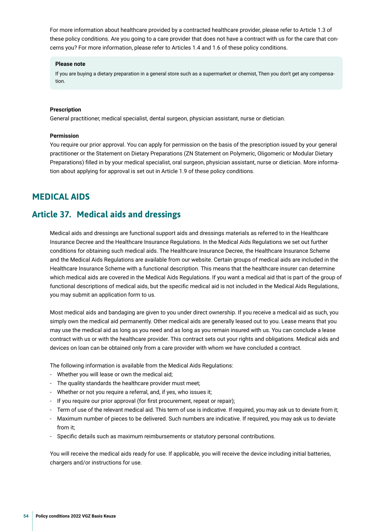<span id="page-53-0"></span>For more information about healthcare provided by a contracted healthcare provider, please refer to Article 1.3 of these policy conditions. Are you going to a care provider that does not have a contract with us for the care that concerns you? For more information, please refer to Articles 1.4 and 1.6 of these policy conditions.

### **Please note**

If you are buying a dietary preparation in a general store such as a supermarket or chemist, Then you don't get any compensation.

### **Prescription**

General practitioner, medical specialist, dental surgeon, physician assistant, nurse or dietician.

### **Permission**

You require our prior approval. You can apply for permission on the basis of the prescription issued by your general practitioner or the Statement on Dietary Preparations (ZN Statement on Polymeric, Oligomeric or Modular Dietary Preparations) flled in by your medical specialist, oral surgeon, physician assistant, nurse or dietician. More information about applying for approval is set out in Article 1.9 of these policy conditions.

### **MEDICAL AIDS**

### **Article 37. Medical aids and dressings**

Medical aids and dressings are functional support aids and dressings materials as referred to in the Healthcare Insurance Decree and the Healthcare Insurance Regulations. In the Medical Aids Regulations we set out further conditions for obtaining such medical aids. The Healthcare Insurance Decree, the Healthcare Insurance Scheme and the Medical Aids Regulations are available from our website. Certain groups of medical aids are included in the Healthcare Insurance Scheme with a functional description. This means that the healthcare insurer can determine which medical aids are covered in the Medical Aids Regulations. If you want a medical aid that is part of the group of functional descriptions of medical aids, but the specific medical aid is not included in the Medical Aids Regulations, you may submit an application form to us.

Most medical aids and bandaging are given to you under direct ownership. If you receive a medical aid as such, you simply own the medical aid permanently. Other medical aids are generally leased out to you. Lease means that you may use the medical aid as long as you need and as long as you remain insured with us. You can conclude a lease contract with us or with the healthcare provider. This contract sets out your rights and obligations. Medical aids and devices on loan can be obtained only from a care provider with whom we have concluded a contract.

The following information is available from the Medical Aids Regulations:

- Whether you will lease or own the medical aid;
- The quality standards the healthcare provider must meet;
- Whether or not you require a referral, and, if yes, who issues it;
- If you require our prior approval (for frst procurement, repeat or repair);
- Term of use of the relevant medical aid. This term of use is indicative. If required, you may ask us to deviate from it;
- Maximum number of pieces to be delivered. Such numbers are indicative. If required, you may ask us to deviate from it;
- Specifc details such as maximum reimbursements or statutory personal contributions.

You will receive the medical aids ready for use. If applicable, you will receive the device including initial batteries, chargers and/or instructions for use.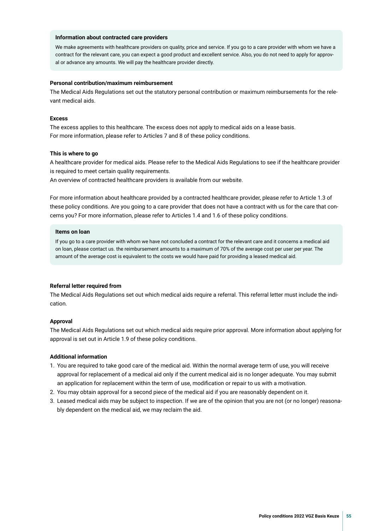### **Information about contracted care providers**

We make agreements with healthcare providers on quality, price and service. If you go to a care provider with whom we have a contract for the relevant care, you can expect a good product and excellent service. Also, you do not need to apply for approval or advance any amounts. We will pay the healthcare provider directly.

### **Personal contribution/maximum reimbursement**

The Medical Aids Regulations set out the statutory personal contribution or maximum reimbursements for the relevant medical aids.

#### **Excess**

The excess applies to this healthcare. The excess does not apply to medical aids on a lease basis. For more information, please refer to Articles 7 and 8 of these policy conditions.

#### **This is where to go**

A healthcare provider for medical aids. Please refer to the Medical Aids Regulations to see if the healthcare provider is required to meet certain quality requirements.

An overview of contracted healthcare providers is available from our website.

For more information about healthcare provided by a contracted healthcare provider, please refer to Article 1.3 of these policy conditions. Are you going to a care provider that does not have a contract with us for the care that concerns you? For more information, please refer to Articles 1.4 and 1.6 of these policy conditions.

### **Items on loan**

If you go to a care provider with whom we have not concluded a contract for the relevant care and it concerns a medical aid on loan, please contact us. the reimbursement amounts to a maximum of 70% of the average cost per user per year. The amount of the average cost is equivalent to the costs we would have paid for providing a leased medical aid.

### **Referral letter required from**

The Medical Aids Regulations set out which medical aids require a referral. This referral letter must include the indication.

### **Approval**

The Medical Aids Regulations set out which medical aids require prior approval. More information about applying for approval is set out in Article 1.9 of these policy conditions.

### **Additional information**

- 1. You are required to take good care of the medical aid. Within the normal average term of use, you will receive approval for replacement of a medical aid only if the current medical aid is no longer adequate. You may submit an application for replacement within the term of use, modifcation or repair to us with a motivation.
- 2. You may obtain approval for a second piece of the medical aid if you are reasonably dependent on it.
- 3. Leased medical aids may be subject to inspection. If we are of the opinion that you are not (or no longer) reasonably dependent on the medical aid, we may reclaim the aid.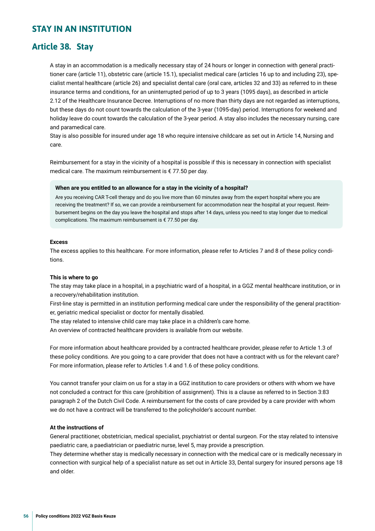### <span id="page-55-0"></span>**STAY IN AN INSTITUTION**

### **Article 38. Stay**

A stay in an accommodation is a medically necessary stay of 24 hours or longer in connection with general practitioner care (article 11), obstetric care (article 15.1), specialist medical care (articles 16 up to and including 23), specialist mental healthcare (article 26) and specialist dental care (oral care, articles 32 and 33) as referred to in these insurance terms and conditions, for an uninterrupted period of up to 3 years (1095 days), as described in article 2.12 of the Healthcare Insurance Decree. Interruptions of no more than thirty days are not regarded as interruptions, but these days do not count towards the calculation of the 3-year (1095-day) period. Interruptions for weekend and holiday leave do count towards the calculation of the 3-year period. A stay also includes the necessary nursing, care and paramedical care.

Stay is also possible for insured under age 18 who require intensive childcare as set out in Article 14, Nursing and care.

Reimbursement for a stay in the vicinity of a hospital is possible if this is necessary in connection with specialist medical care. The maximum reimbursement is € 77.50 per day.

### **When are you entitled to an allowance for a stay in the vicinity of a hospital?**

Are you receiving CAR T-cell therapy and do you live more than 60 minutes away from the expert hospital where you are receiving the treatment? If so, we can provide a reimbursement for accommodation near the hospital at your request. Reimbursement begins on the day you leave the hospital and stops after 14 days, unless you need to stay longer due to medical complications. The maximum reimbursement is € 77.50 per day.

#### **Excess**

The excess applies to this healthcare. For more information, please refer to Articles 7 and 8 of these policy conditions.

#### **This is where to go**

The stay may take place in a hospital, in a psychiatric ward of a hospital, in a GGZ mental healthcare institution, or in a recovery/rehabilitation institution.

First-line stay is permitted in an institution performing medical care under the responsibility of the general practitioner, geriatric medical specialist or doctor for mentally disabled.

The stay related to intensive child care may take place in a children's care home.

An overview of contracted healthcare providers is available from our website.

For more information about healthcare provided by a contracted healthcare provider, please refer to Article 1.3 of these policy conditions. Are you going to a care provider that does not have a contract with us for the relevant care? For more information, please refer to Articles 1.4 and 1.6 of these policy conditions.

You cannot transfer your claim on us for a stay in a GGZ institution to care providers or others with whom we have not concluded a contract for this care (prohibition of assignment). This is a clause as referred to in Section 3:83 paragraph 2 of the Dutch Civil Code. A reimbursement for the costs of care provided by a care provider with whom we do not have a contract will be transferred to the policyholder's account number.

### **At the instructions of**

General practitioner, obstetrician, medical specialist, psychiatrist or dental surgeon. For the stay related to intensive paediatric care, a paediatrician or paediatric nurse, level 5, may provide a prescription.

They determine whether stay is medically necessary in connection with the medical care or is medically necessary in connection with surgical help of a specialist nature as set out in Article 33, Dental surgery for insured persons age 18 and older.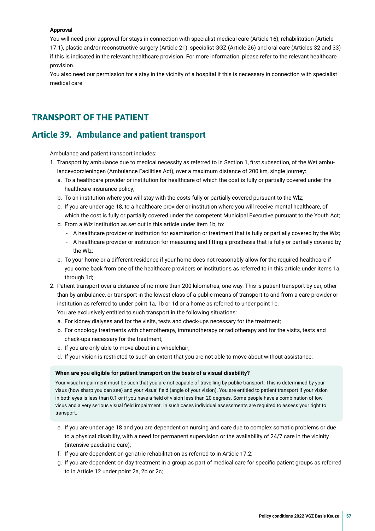### <span id="page-56-0"></span>**Approval**

You will need prior approval for stays in connection with specialist medical care (Article 16), rehabilitation (Article 17.1), plastic and/or reconstructive surgery (Article 21), specialist GGZ (Article 26) and oral care (Articles 32 and 33) if this is indicated in the relevant healthcare provision. For more information, please refer to the relevant healthcare provision.

You also need our permission for a stay in the vicinity of a hospital if this is necessary in connection with specialist medical care.

### **TRANSPORT OF THE PATIENT**

### **Article 39. Ambulance and patient transport**

Ambulance and patient transport includes:

- 1. Transport by ambulance due to medical necessity as referred to in Section 1, frst subsection, of the Wet ambulancevoorzieningen (Ambulance Facilities Act), over a maximum distance of 200 km, single journey:
	- a. To a healthcare provider or institution for healthcare of which the cost is fully or partially covered under the healthcare insurance policy;
	- b. To an institution where you will stay with the costs fully or partially covered pursuant to the Wlz;
	- c. If you are under age 18, to a healthcare provider or institution where you will receive mental healthcare, of which the cost is fully or partially covered under the competent Municipal Executive pursuant to the Youth Act;
	- d. From a Wlz institution as set out in this article under item 1b, to:
		- A healthcare provider or institution for examination or treatment that is fully or partially covered by the Wlz;
		- A healthcare provider or institution for measuring and ftting a prosthesis that is fully or partially covered by the Wlz;
	- e. To your home or a different residence if your home does not reasonably allow for the required healthcare if you come back from one of the healthcare providers or institutions as referred to in this article under items 1a through 1d;
- 2. Patient transport over a distance of no more than 200 kilometres, one way. This is patient transport by car, other than by ambulance, or transport in the lowest class of a public means of transport to and from a care provider or institution as referred to under point 1a, 1b or 1d or a home as referred to under point 1e.

You are exclusively entitled to such transport in the following situations:

- a. For kidney dialyses and for the visits, tests and check-ups necessary for the treatment;
- b. For oncology treatments with chemotherapy, immunotherapy or radiotherapy and for the visits, tests and check-ups necessary for the treatment;
- c. If you are only able to move about in a wheelchair;
- d. If your vision is restricted to such an extent that you are not able to move about without assistance.

### **When are you eligible for patient transport on the basis of a visual disability?**

Your visual impairment must be such that you are not capable of travelling by public transport. This is determined by your visus (how sharp you can see) and your visual feld (angle of your vision). You are entitled to patient transport if your vision in both eyes is less than 0.1 or if you have a feld of vision less than 20 degrees. Some people have a combination of low visus and a very serious visual feld impairment. In such cases individual assessments are required to assess your right to transport.

- e. If you are under age 18 and you are dependent on nursing and care due to complex somatic problems or due to a physical disability, with a need for permanent supervision or the availability of 24/7 care in the vicinity (intensive paediatric care);
- f. If you are dependent on geriatric rehabilitation as referred to in Article 17.2;
- g. If you are dependent on day treatment in a group as part of medical care for specifc patient groups as referred to in Article 12 under point 2a, 2b or 2c;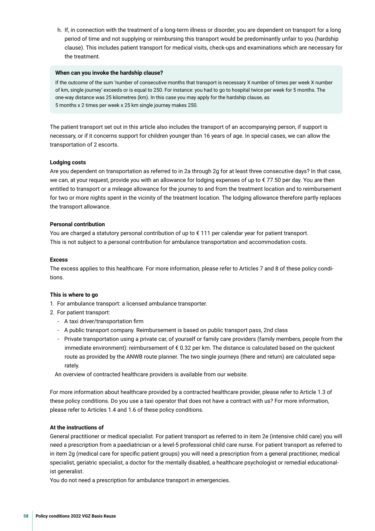h. If, in connection with the treatment of a long-term illness or disorder, you are dependent on transport for a long period of time and not supplying or reimbursing this transport would be predominantly unfair to you (hardship clause). This includes patient transport for medical visits, check-ups and examinations which are necessary for the treatment.

### **When can you invoke the hardship clause?**

If the outcome of the sum 'number of consecutive months that transport is necessary X number of times per week X number of km, single journey' exceeds or is equal to 250. For instance: you had to go to hospital twice per week for 5 months. The one-way distance was 25 kilometres (km). In this case you may apply for the hardship clause, as 5 months x 2 times per week x 25 km single journey makes 250.

The patient transport set out in this article also includes the transport of an accompanying person, if support is necessary, or if it concerns support for children younger than 16 years of age. In special cases, we can allow the transportation of 2 escorts.

### **Lodging costs**

Are you dependent on transportation as referred to in 2a through 2g for at least three consecutive days? In that case, we can, at your request, provide you with an allowance for lodging expenses of up to €77.50 per day. You are then entitled to transport or a mileage allowance for the journey to and from the treatment location and to reimbursement for two or more nights spent in the vicinity of the treatment location. The lodging allowance therefore partly replaces the transport allowance.

### **Personal contribution**

You are charged a statutory personal contribution of up to € 111 per calendar year for patient transport. This is not subject to a personal contribution for ambulance transportation and accommodation costs.

### **Excess**

The excess applies to this healthcare. For more information, please refer to Articles 7 and 8 of these policy conditions.

### **This is where to go**

- 1. For ambulance transport: a licensed ambulance transporter.
- 2. For patient transport:
	- A taxi driver/transportation frm
	- A public transport company. Reimbursement is based on public transport pass, 2nd class
	- Private transportation using a private car, of yourself or family care providers (family members, people from the immediate environment): reimbursement of € 0.32 per km. The distance is calculated based on the quickest route as provided by the ANWB route planner. The two single journeys (there and return) are calculated separately.

An overview of contracted healthcare providers is available from our website.

For more information about healthcare provided by a contracted healthcare provider, please refer to Article 1.3 of these policy conditions. Do you use a taxi operator that does not have a contract with us? For more information, please refer to Articles 1.4 and 1.6 of these policy conditions.

### **At the instructions of**

General practitioner or medical specialist. For patient transport as referred to in item 2e (intensive child care) you will need a prescription from a paediatrician or a level-5 professional child care nurse. For patient transport as referred to in item 2g (medical care for specifc patient groups) you will need a prescription from a general practitioner, medical specialist, geriatric specialist, a doctor for the mentally disabled, a healthcare psychologist or remedial educationalist generalist.

You do not need a prescription for ambulance transport in emergencies.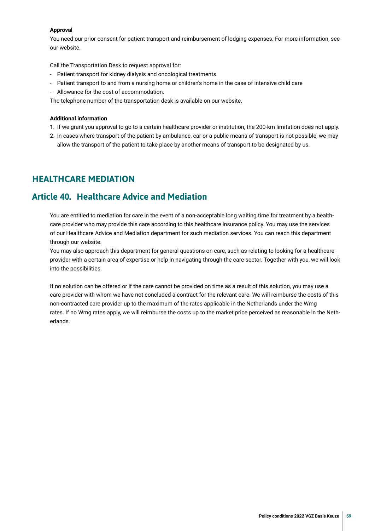### <span id="page-58-0"></span>**Approval**

You need our prior consent for patient transport and reimbursement of lodging expenses. For more information, see our website.

Call the Transportation Desk to request approval for:

- Patient transport for kidney dialysis and oncological treatments
- Patient transport to and from a nursing home or children's home in the case of intensive child care
- Allowance for the cost of accommodation.

The telephone number of the transportation desk is available on our website.

### **Additional information**

- 1. If we grant you approval to go to a certain healthcare provider or institution, the 200-km limitation does not apply.
- 2. In cases where transport of the patient by ambulance, car or a public means of transport is not possible, we may allow the transport of the patient to take place by another means of transport to be designated by us.

### **HEALTHCARE MEDIATION**

### **Article 40. Healthcare Advice and Mediation**

You are entitled to mediation for care in the event of a non-acceptable long waiting time for treatment by a healthcare provider who may provide this care according to this healthcare insurance policy. You may use the services of our Healthcare Advice and Mediation department for such mediation services. You can reach this department through our website.

You may also approach this department for general questions on care, such as relating to looking for a healthcare provider with a certain area of expertise or help in navigating through the care sector. Together with you, we will look into the possibilities.

If no solution can be offered or if the care cannot be provided on time as a result of this solution, you may use a care provider with whom we have not concluded a contract for the relevant care. We will reimburse the costs of this non-contracted care provider up to the maximum of the rates applicable in the Netherlands under the Wmg rates. If no Wmg rates apply, we will reimburse the costs up to the market price perceived as reasonable in the Netherlands.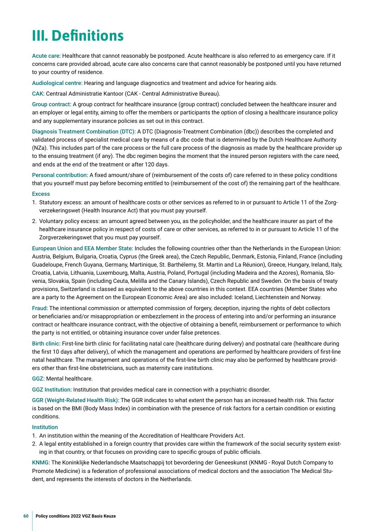## <span id="page-59-0"></span>**III. Defnitions**

Acute care: Healthcare that cannot reasonably be postponed. Acute healthcare is also referred to as emergency care. If it concerns care provided abroad, acute care also concerns care that cannot reasonably be postponed until you have returned to your country of residence.

Audiological centre: Hearing and language diagnostics and treatment and advice for hearing aids.

CAK: Centraal Administratie Kantoor (CAK - Central Administrative Bureau).

Group contract: A group contract for healthcare insurance (group contract) concluded between the healthcare insurer and an employer or legal entity, aiming to offer the members or participants the option of closing a healthcare insurance policy and any supplementary insurance policies as set out in this contract.

Diagnosis Treatment Combination (DTC): A DTC (Diagnosis-Treatment Combination (dbc)) describes the completed and validated process of specialist medical care by means of a dbc code that is determined by the Dutch Healthcare Authority (NZa). This includes part of the care process or the full care process of the diagnosis as made by the healthcare provider up to the ensuing treatment (if any). The dbc regimen begins the moment that the insured person registers with the care need, and ends at the end of the treatment or after 120 days.

Personal contribution: A fxed amount/share of (reimbursement of the costs of) care referred to in these policy conditions that you yourself must pay before becoming entitled to (reimbursement of the cost of) the remaining part of the healthcare.

### **Excess**

- 1. Statutory excess: an amount of healthcare costs or other services as referred to in or pursuant to Article 11 of the Zorgverzekeringswet (Health Insurance Act) that you must pay yourself.
- 2. Voluntary policy excess: an amount agreed between you, as the policyholder, and the healthcare insurer as part of the healthcare insurance policy in respect of costs of care or other services, as referred to in or pursuant to Article 11 of the Zorgverzekeringswet that you must pay yourself.

European Union and EEA Member State: Includes the following countries other than the Netherlands in the European Union: Austria, Belgium, Bulgaria, Croatia, Cyprus (the Greek area), the Czech Republic, Denmark, Estonia, Finland, France (including Guadeloupe, French Guyana, Germany, Martinique, St. Barthélemy, St. Martin and La Réunion), Greece, Hungary, Ireland, Italy, Croatia, Latvia, Lithuania, Luxembourg, Malta, Austria, Poland, Portugal (including Madeira and the Azores), Romania, Slovenia, Slovakia, Spain (including Ceuta, Melilla and the Canary Islands), Czech Republic and Sweden. On the basis of treaty provisions, Switzerland is classed as equivalent to the above countries in this context. EEA countries (Member States who are a party to the Agreement on the European Economic Area) are also included: Iceland, Liechtenstein and Norway.

Fraud: The intentional commission or attempted commission of forgery, deception, injuring the rights of debt collectors or benefciaries and/or misappropriation or embezzlement in the process of entering into and/or performing an insurance contract or healthcare insurance contract, with the objective of obtaining a beneft, reimbursement or performance to which the party is not entitled, or obtaining insurance cover under false pretences.

Birth clinic: First-line birth clinic for facilitating natal care (healthcare during delivery) and postnatal care (healthcare during the frst 10 days after delivery), of which the management and operations are performed by healthcare providers of frst-line natal healthcare. The management and operations of the frst-line birth clinic may also be performed by healthcare providers other than frst-line obstetricians, such as maternity care institutions.

GGZ: Mental healthcare.

GGZ Institution: Institution that provides medical care in connection with a psychiatric disorder.

GGR (Weight-Related Health Risk): The GGR indicates to what extent the person has an increased health risk. This factor is based on the BMI (Body Mass Index) in combination with the presence of risk factors for a certain condition or existing conditions.

### Institution

- 1. An institution within the meaning of the Accreditation of Healthcare Providers Act.
- 2. A legal entity established in a foreign country that provides care within the framework of the social security system existing in that country, or that focuses on providing care to specific groups of public officials.

KNMG: The Koninklijke Nederlandsche Maatschappij tot bevordering der Geneeskunst (KNMG - Royal Dutch Company to Promote Medicine) is a federation of professional associations of medical doctors and the association The Medical Student, and represents the interests of doctors in the Netherlands.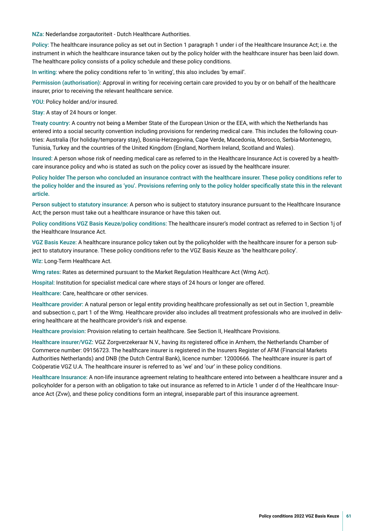NZa: Nederlandse zorgautoriteit - Dutch Healthcare Authorities.

Policy: The healthcare insurance policy as set out in Section 1 paragraph 1 under i of the Healthcare Insurance Act; i.e. the instrument in which the healthcare insurance taken out by the policy holder with the healthcare insurer has been laid down. The healthcare policy consists of a policy schedule and these policy conditions.

In writing: where the policy conditions refer to 'in writing', this also includes 'by email'.

Permission (authorisation): Approval in writing for receiving certain care provided to you by or on behalf of the healthcare insurer, prior to receiving the relevant healthcare service.

YOU: Policy holder and/or insured.

Stay: A stay of 24 hours or longer.

Treaty country: A country not being a Member State of the European Union or the EEA, with which the Netherlands has entered into a social security convention including provisions for rendering medical care. This includes the following countries: Australia (for holiday/temporary stay), Bosnia-Herzegovina, Cape Verde, Macedonia, Morocco, Serbia-Montenegro, Tunisia, Turkey and the countries of the United Kingdom (England, Northern Ireland, Scotland and Wales).

Insured: A person whose risk of needing medical care as referred to in the Healthcare Insurance Act is covered by a healthcare insurance policy and who is stated as such on the policy cover as issued by the healthcare insurer.

Policy holder The person who concluded an insurance contract with the healthcare insurer. These policy conditions refer to the policy holder and the insured as 'you'. Provisions referring only to the policy holder specifcally state this in the relevant article.

Person subject to statutory insurance: A person who is subject to statutory insurance pursuant to the Healthcare Insurance Act; the person must take out a healthcare insurance or have this taken out.

Policy conditions VGZ Basis Keuze/policy conditions: The healthcare insurer's model contract as referred to in Section 1j of the Healthcare Insurance Act.

VGZ Basis Keuze: A healthcare insurance policy taken out by the policyholder with the healthcare insurer for a person subject to statutory insurance. These policy conditions refer to the VGZ Basis Keuze as 'the healthcare policy'.

Wlz: Long-Term Healthcare Act.

Wmg rates: Rates as determined pursuant to the Market Regulation Healthcare Act (Wmg Act).

Hospital: Institution for specialist medical care where stays of 24 hours or longer are offered.

Healthcare: Care, healthcare or other services.

Healthcare provider: A natural person or legal entity providing healthcare professionally as set out in Section 1, preamble and subsection c, part 1 of the Wmg. Healthcare provider also includes all treatment professionals who are involved in delivering healthcare at the healthcare provider's risk and expense.

Healthcare provision: Provision relating to certain healthcare. See Section II, Healthcare Provisions.

Healthcare insurer/VGZ: VGZ Zorgverzekeraar N.V., having its registered office in Arnhem, the Netherlands Chamber of Commerce number: 09156723. The healthcare insurer is registered in the Insurers Register of AFM (Financial Markets Authorities Netherlands) and DNB (the Dutch Central Bank), licence number: 12000666. The healthcare insurer is part of Coöperatie VGZ U.A. The healthcare insurer is referred to as 'we' and 'our' in these policy conditions.

Healthcare Insurance: A non-life insurance agreement relating to healthcare entered into between a healthcare insurer and a policyholder for a person with an obligation to take out insurance as referred to in Article 1 under d of the Healthcare Insurance Act (Zvw), and these policy conditions form an integral, inseparable part of this insurance agreement.